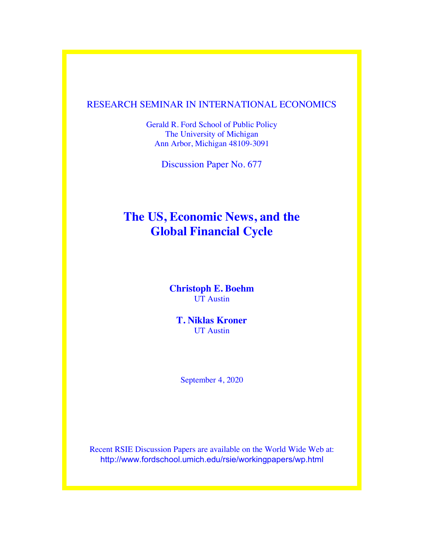# RESEARCH SEMINAR IN INTERNATIONAL ECONOMICS

Gerald R. Ford School of Public Policy The University of Michigan Ann Arbor, Michigan 48109-3091

Discussion Paper No. 677

# **The US, Economic News, and the Global Financial Cycle**

**Christoph E. Boehm** UT Austin

**T. Niklas Kroner** UT Austin

September 4, 2020

Recent RSIE Discussion Papers are available on the World Wide Web at: http://www.fordschool.umich.edu/rsie/workingpapers/wp.html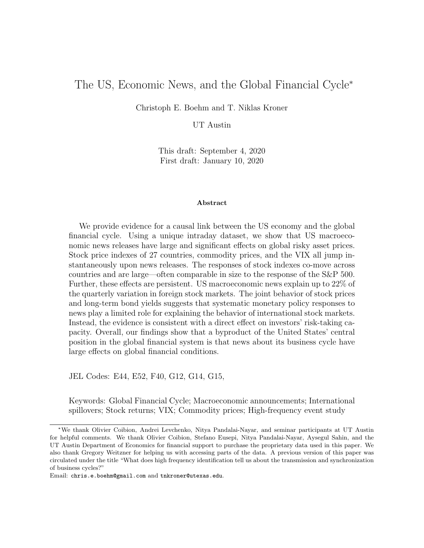# The US, Economic News, and the Global Financial Cycle\*

Christoph E. Boehm and T. Niklas Kroner

UT Austin

This draft: September 4, 2020 First draft: January 10, 2020

#### Abstract

We provide evidence for a causal link between the US economy and the global financial cycle. Using a unique intraday dataset, we show that US macroeconomic news releases have large and significant effects on global risky asset prices. Stock price indexes of 27 countries, commodity prices, and the VIX all jump instantaneously upon news releases. The responses of stock indexes co-move across countries and are large—often comparable in size to the response of the S&P 500. Further, these effects are persistent. US macroeconomic news explain up to 22% of the quarterly variation in foreign stock markets. The joint behavior of stock prices and long-term bond yields suggests that systematic monetary policy responses to news play a limited role for explaining the behavior of international stock markets. Instead, the evidence is consistent with a direct effect on investors' risk-taking capacity. Overall, our findings show that a byproduct of the United States' central position in the global financial system is that news about its business cycle have large effects on global financial conditions.

JEL Codes: E44, E52, F40, G12, G14, G15,

Keywords: Global Financial Cycle; Macroeconomic announcements; International spillovers; Stock returns; VIX; Commodity prices; High-frequency event study

<sup>\*</sup>We thank Olivier Coibion, Andrei Levchenko, Nitya Pandalai-Nayar, and seminar participants at UT Austin for helpful comments. We thank Olivier Coibion, Stefano Eusepi, Nitya Pandalai-Nayar, Aysegul Sahin, and the UT Austin Department of Economics for financial support to purchase the proprietary data used in this paper. We also thank Gregory Weitzner for helping us with accessing parts of the data. A previous version of this paper was circulated under the title "What does high frequency identification tell us about the transmission and synchronization of business cycles?"

Email: chris.e.boehm@gmail.com and tnkroner@utexas.edu.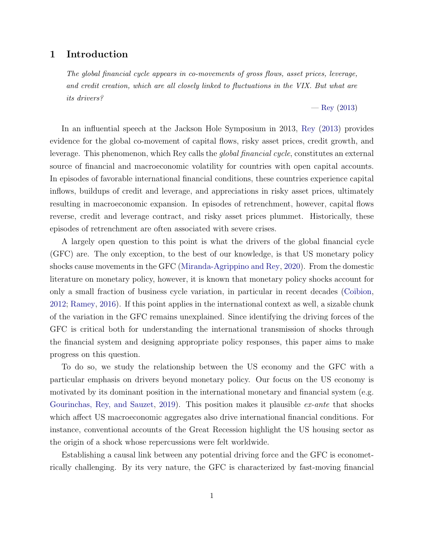## 1 Introduction

The global financial cycle appears in co-movements of gross flows, asset prices, leverage, and credit creation, which are all closely linked to fluctuations in the VIX. But what are its drivers?

— [Rey](#page-45-0) [\(2013\)](#page-45-0)

In an influential speech at the Jackson Hole Symposium in 2013, [Rey](#page-45-0) [\(2013\)](#page-45-0) provides evidence for the global co-movement of capital flows, risky asset prices, credit growth, and leverage. This phenomenon, which Rey calls the global financial cycle, constitutes an external source of financial and macroeconomic volatility for countries with open capital accounts. In episodes of favorable international financial conditions, these countries experience capital inflows, buildups of credit and leverage, and appreciations in risky asset prices, ultimately resulting in macroeconomic expansion. In episodes of retrenchment, however, capital flows reverse, credit and leverage contract, and risky asset prices plummet. Historically, these episodes of retrenchment are often associated with severe crises.

A largely open question to this point is what the drivers of the global financial cycle (GFC) are. The only exception, to the best of our knowledge, is that US monetary policy shocks cause movements in the GFC [\(Miranda-Agrippino and Rey,](#page-45-1) [2020\)](#page-45-1). From the domestic literature on monetary policy, however, it is known that monetary policy shocks account for only a small fraction of business cycle variation, in particular in recent decades [\(Coibion,](#page-42-0) [2012;](#page-42-0) [Ramey,](#page-45-2) [2016\)](#page-45-2). If this point applies in the international context as well, a sizable chunk of the variation in the GFC remains unexplained. Since identifying the driving forces of the GFC is critical both for understanding the international transmission of shocks through the financial system and designing appropriate policy responses, this paper aims to make progress on this question.

To do so, we study the relationship between the US economy and the GFC with a particular emphasis on drivers beyond monetary policy. Our focus on the US economy is motivated by its dominant position in the international monetary and financial system (e.g. [Gourinchas, Rey, and Sauzet,](#page-43-0) [2019\)](#page-43-0). This position makes it plausible *ex-ante* that shocks which affect US macroeconomic aggregates also drive international financial conditions. For instance, conventional accounts of the Great Recession highlight the US housing sector as the origin of a shock whose repercussions were felt worldwide.

Establishing a causal link between any potential driving force and the GFC is econometrically challenging. By its very nature, the GFC is characterized by fast-moving financial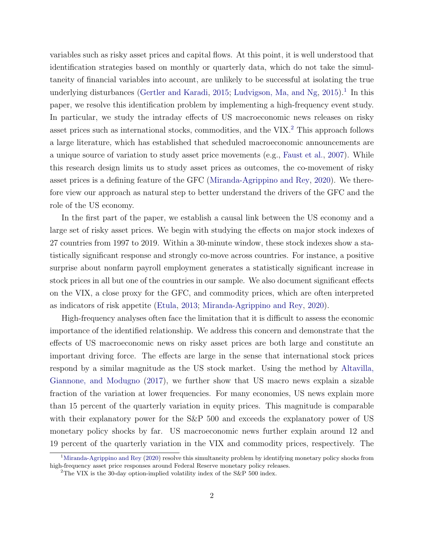variables such as risky asset prices and capital flows. At this point, it is well understood that identification strategies based on monthly or quarterly data, which do not take the simultaneity of financial variables into account, are unlikely to be successful at isolating the true underlying disturbances [\(Gertler and Karadi,](#page-43-1) [2015;](#page-43-1) [Ludvigson, Ma, and Ng,](#page-44-0) [2015\)](#page-44-0).<sup>[1](#page-3-0)</sup> In this paper, we resolve this identification problem by implementing a high-frequency event study. In particular, we study the intraday effects of US macroeconomic news releases on risky asset prices such as international stocks, commodities, and the VIX.[2](#page-3-1) This approach follows a large literature, which has established that scheduled macroeconomic announcements are a unique source of variation to study asset price movements (e.g., [Faust et al.,](#page-43-2) [2007\)](#page-43-2). While this research design limits us to study asset prices as outcomes, the co-movement of risky asset prices is a defining feature of the GFC [\(Miranda-Agrippino and Rey,](#page-45-1) [2020\)](#page-45-1). We therefore view our approach as natural step to better understand the drivers of the GFC and the role of the US economy.

In the first part of the paper, we establish a causal link between the US economy and a large set of risky asset prices. We begin with studying the effects on major stock indexes of 27 countries from 1997 to 2019. Within a 30-minute window, these stock indexes show a statistically significant response and strongly co-move across countries. For instance, a positive surprise about nonfarm payroll employment generates a statistically significant increase in stock prices in all but one of the countries in our sample. We also document significant effects on the VIX, a close proxy for the GFC, and commodity prices, which are often interpreted as indicators of risk appetite [\(Etula,](#page-43-3) [2013;](#page-43-3) [Miranda-Agrippino and Rey,](#page-45-1) [2020\)](#page-45-1).

High-frequency analyses often face the limitation that it is difficult to assess the economic importance of the identified relationship. We address this concern and demonstrate that the effects of US macroeconomic news on risky asset prices are both large and constitute an important driving force. The effects are large in the sense that international stock prices respond by a similar magnitude as the US stock market. Using the method by [Altavilla,](#page-41-0) [Giannone, and Modugno](#page-41-0) [\(2017\)](#page-41-0), we further show that US macro news explain a sizable fraction of the variation at lower frequencies. For many economies, US news explain more than 15 percent of the quarterly variation in equity prices. This magnitude is comparable with their explanatory power for the S&P 500 and exceeds the explanatory power of US monetary policy shocks by far. US macroeconomic news further explain around 12 and 19 percent of the quarterly variation in the VIX and commodity prices, respectively. The

<span id="page-3-0"></span><sup>&</sup>lt;sup>1</sup>[Miranda-Agrippino and Rey](#page-45-1) [\(2020\)](#page-45-1) resolve this simultaneity problem by identifying monetary policy shocks from high-frequency asset price responses around Federal Reserve monetary policy releases.

<span id="page-3-1"></span><sup>&</sup>lt;sup>2</sup>The VIX is the 30-day option-implied volatility index of the S&P 500 index.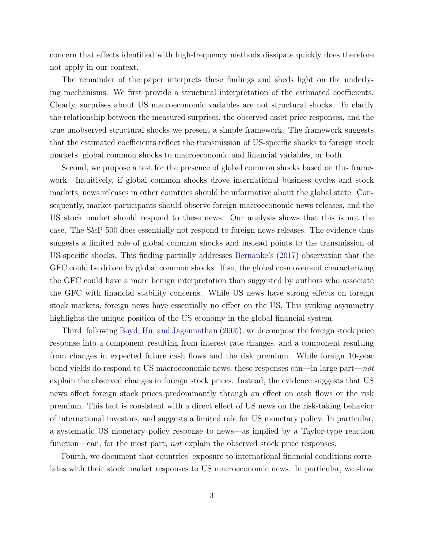concern that effects identified with high-frequency methods dissipate quickly does therefore not apply in our context.

The remainder of the paper interprets these findings and sheds light on the underlying mechanisms. We first provide a structural interpretation of the estimated coefficients. Clearly, surprises about US macroeconomic variables are not structural shocks. To clarify the relationship between the measured surprises, the observed asset price responses, and the true unobserved structural shocks we present a simple framework. The framework suggests that the estimated coefficients reflect the transmission of US-specific shocks to foreign stock markets, global common shocks to macroeconomic and financial variables, or both.

Second, we propose a test for the presence of global common shocks based on this framework. Intuitively, if global common shocks drove international business cycles and stock markets, news releases in other countries should be informative about the global state. Consequently, market participants should observe foreign macroeconomic news releases, and the US stock market should respond to these news. Our analysis shows that this is not the case. The S&P 500 does essentially not respond to foreign news releases. The evidence thus suggests a limited role of global common shocks and instead points to the transmission of US-specific shocks. This finding partially addresses [Bernanke'](#page-41-1)s [\(2017\)](#page-41-1) observation that the GFC could be driven by global common shocks. If so, the global co-movement characterizing the GFC could have a more benign interpretation than suggested by authors who associate the GFC with financial stability concerns. While US news have strong effects on foreign stock markets, foreign news have essentially no effect on the US. This striking asymmetry highlights the unique position of the US economy in the global financial system.

Third, following [Boyd, Hu, and Jagannathan](#page-42-1) [\(2005\)](#page-42-1), we decompose the foreign stock price response into a component resulting from interest rate changes, and a component resulting from changes in expected future cash flows and the risk premium. While foreign 10-year bond yields do respond to US macroeconomic news, these responses can—in large part—not explain the observed changes in foreign stock prices. Instead, the evidence suggests that US news affect foreign stock prices predominantly through an effect on cash flows or the risk premium. This fact is consistent with a direct effect of US news on the risk-taking behavior of international investors, and suggests a limited role for US monetary policy. In particular, a systematic US monetary policy response to news—as implied by a Taylor-type reaction function—can, for the most part, *not* explain the observed stock price responses.

Fourth, we document that countries' exposure to international financial conditions correlates with their stock market responses to US macroeconomic news. In particular, we show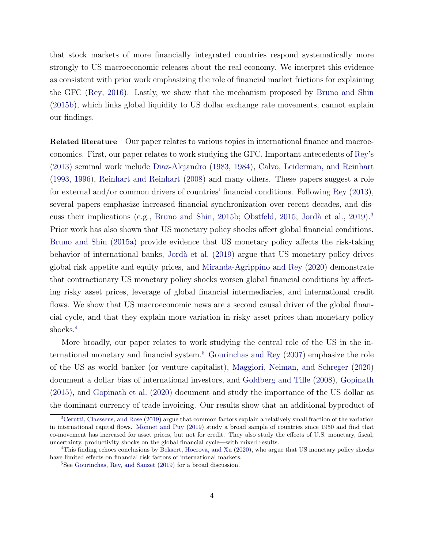that stock markets of more financially integrated countries respond systematically more strongly to US macroeconomic releases about the real economy. We interpret this evidence as consistent with prior work emphasizing the role of financial market frictions for explaining the GFC [\(Rey,](#page-45-3) [2016\)](#page-45-3). Lastly, we show that the mechanism proposed by [Bruno and Shin](#page-42-2) [\(2015b\)](#page-42-2), which links global liquidity to US dollar exchange rate movements, cannot explain our findings.

Related literature Our paper relates to various topics in international finance and macroeconomics. First, our paper relates to work studying the GFC. Important antecedents of [Rey'](#page-45-0)s [\(2013\)](#page-45-0) seminal work include [Diaz-Alejandro](#page-42-3) [\(1983,](#page-42-3) [1984\)](#page-43-4), [Calvo, Leiderman, and Reinhart](#page-42-4) [\(1993,](#page-42-4) [1996\)](#page-42-5), [Reinhart and Reinhart](#page-45-4) [\(2008\)](#page-45-4) and many others. These papers suggest a role for external and/or common drivers of countries' financial conditions. Following [Rey](#page-45-0) [\(2013\)](#page-45-0), several papers emphasize increased financial synchronization over recent decades, and dis-cuss their implications (e.g., [Bruno and Shin,](#page-42-2) [2015b;](#page-42-2) [Obstfeld,](#page-45-5) [2015;](#page-45-5) Jordà et al., [2019\)](#page-44-1).<sup>[3](#page-5-0)</sup> Prior work has also shown that US monetary policy shocks affect global financial conditions. [Bruno and Shin](#page-42-6) [\(2015a\)](#page-42-6) provide evidence that US monetary policy affects the risk-taking behavior of international banks, [Jord`a et al.](#page-44-1) [\(2019\)](#page-44-1) argue that US monetary policy drives global risk appetite and equity prices, and [Miranda-Agrippino and Rey](#page-45-1) [\(2020\)](#page-45-1) demonstrate that contractionary US monetary policy shocks worsen global financial conditions by affecting risky asset prices, leverage of global financial intermediaries, and international credit flows. We show that US macroeconomic news are a second causal driver of the global financial cycle, and that they explain more variation in risky asset prices than monetary policy shocks.<sup>[4](#page-5-1)</sup>

More broadly, our paper relates to work studying the central role of the US in the in-ternational monetary and financial system.<sup>[5](#page-5-2)</sup> [Gourinchas and Rey](#page-43-5)  $(2007)$  emphasize the role of the US as world banker (or venture capitalist), [Maggiori, Neiman, and Schreger](#page-44-2) [\(2020\)](#page-44-2) document a dollar bias of international investors, and [Goldberg and Tille](#page-43-6) [\(2008\)](#page-43-6), [Gopinath](#page-43-7) [\(2015\)](#page-43-7), and [Gopinath et al.](#page-43-8) [\(2020\)](#page-43-8) document and study the importance of the US dollar as the dominant currency of trade invoicing. Our results show that an additional byproduct of

<span id="page-5-0"></span><sup>&</sup>lt;sup>3</sup>[Cerutti, Claessens, and Rose](#page-42-7) [\(2019\)](#page-42-7) argue that common factors explain a relatively small fraction of the variation in international capital flows. [Monnet and Puy](#page-45-6) [\(2019\)](#page-45-6) study a broad sample of countries since 1950 and find that co-movement has increased for asset prices, but not for credit. They also study the effects of U.S. monetary, fiscal, uncertainty, productivity shocks on the global financial cycle—with mixed results.

<span id="page-5-1"></span><sup>&</sup>lt;sup>4</sup>This finding echoes conclusions by [Bekaert, Hoerova, and Xu](#page-41-2) [\(2020\)](#page-41-2), who argue that US monetary policy shocks have limited effects on financial risk factors of international markets.

<span id="page-5-2"></span><sup>&</sup>lt;sup>5</sup>See [Gourinchas, Rey, and Sauzet](#page-43-0) [\(2019\)](#page-43-0) for a broad discussion.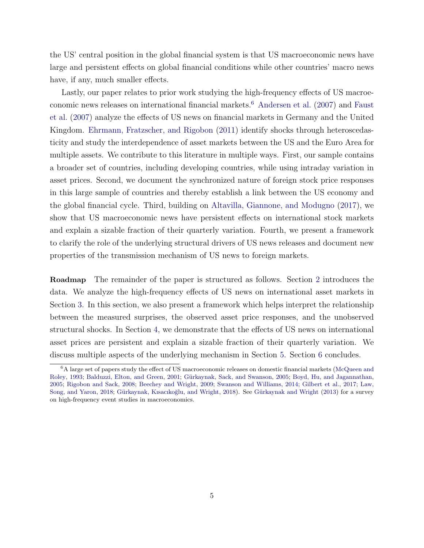the US' central position in the global financial system is that US macroeconomic news have large and persistent effects on global financial conditions while other countries' macro news have, if any, much smaller effects.

Lastly, our paper relates to prior work studying the high-frequency effects of US macroeconomic news releases on international financial markets.[6](#page-6-0) [Andersen et al.](#page-41-3) [\(2007\)](#page-41-3) and [Faust](#page-43-2) [et al.](#page-43-2) [\(2007\)](#page-43-2) analyze the effects of US news on financial markets in Germany and the United Kingdom. [Ehrmann, Fratzscher, and Rigobon](#page-43-9) [\(2011\)](#page-43-9) identify shocks through heteroscedasticity and study the interdependence of asset markets between the US and the Euro Area for multiple assets. We contribute to this literature in multiple ways. First, our sample contains a broader set of countries, including developing countries, while using intraday variation in asset prices. Second, we document the synchronized nature of foreign stock price responses in this large sample of countries and thereby establish a link between the US economy and the global financial cycle. Third, building on [Altavilla, Giannone, and Modugno](#page-41-0) [\(2017\)](#page-41-0), we show that US macroeconomic news have persistent effects on international stock markets and explain a sizable fraction of their quarterly variation. Fourth, we present a framework to clarify the role of the underlying structural drivers of US news releases and document new properties of the transmission mechanism of US news to foreign markets.

Roadmap The remainder of the paper is structured as follows. Section [2](#page-7-0) introduces the data. We analyze the high-frequency effects of US news on international asset markets in Section [3.](#page-10-0) In this section, we also present a framework which helps interpret the relationship between the measured surprises, the observed asset price responses, and the unobserved structural shocks. In Section [4,](#page-23-0) we demonstrate that the effects of US news on international asset prices are persistent and explain a sizable fraction of their quarterly variation. We discuss multiple aspects of the underlying mechanism in Section [5.](#page-26-0) Section [6](#page-39-0) concludes.

<span id="page-6-0"></span> ${}^{6}$ A large set of papers study the effect of US macroeconomic releases on domestic financial markets [\(McQueen and](#page-45-7) [Roley,](#page-45-7) [1993;](#page-45-7) [Balduzzi, Elton, and Green,](#page-41-4) [2001;](#page-41-4) Gürkaynak, Sack, and Swanson, [2005;](#page-44-3) [Boyd, Hu, and Jagannathan,](#page-42-1) [2005;](#page-42-1) [Rigobon and Sack,](#page-45-8) [2008;](#page-45-8) [Beechey and Wright,](#page-41-5) [2009;](#page-41-5) [Swanson and Williams,](#page-45-9) [2014;](#page-45-9) [Gilbert et al.,](#page-43-10) [2017;](#page-43-10) [Law,](#page-44-4) [Song, and Yaron,](#page-44-4) [2018;](#page-44-4) Gürkaynak, Kısacıkoğlu, and Wright, [2018\)](#page-44-5). See Gürkaynak and Wright [\(2013\)](#page-44-6) for a survey on high-frequency event studies in macroeconomics.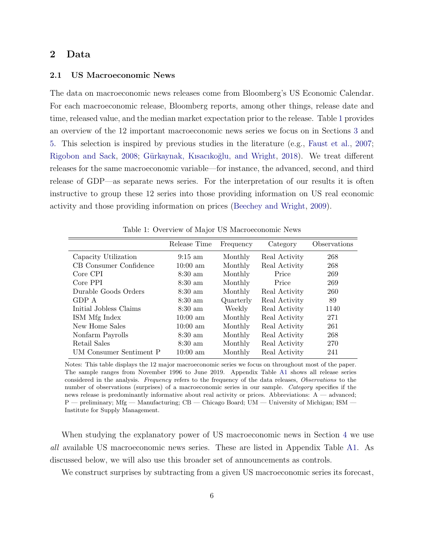## <span id="page-7-0"></span>2 Data

#### 2.1 US Macroeconomic News

The data on macroeconomic news releases come from Bloomberg's US Economic Calendar. For each macroeconomic release, Bloomberg reports, among other things, release date and time, released value, and the median market expectation prior to the release. Table [1](#page-7-1) provides an overview of the 12 important macroeconomic news series we focus on in Sections [3](#page-10-0) and [5.](#page-26-0) This selection is inspired by previous studies in the literature (e.g., [Faust et al.,](#page-43-2) [2007;](#page-43-2) [Rigobon and Sack,](#page-45-8) [2008;](#page-45-8) Gürkaynak, Kısacıkoğlu, and Wright, [2018\)](#page-44-5). We treat different releases for the same macroeconomic variable—for instance, the advanced, second, and third release of GDP—as separate news series. For the interpretation of our results it is often instructive to group these 12 series into those providing information on US real economic activity and those providing information on prices [\(Beechey and Wright,](#page-41-5) [2009\)](#page-41-5).

|                         | Release Time       | Frequency | Category      | Observations |
|-------------------------|--------------------|-----------|---------------|--------------|
| Capacity Utilization    | $9:15 \text{ am}$  | Monthly   | Real Activity | 268          |
| CB Consumer Confidence  | $10:00 \text{ am}$ | Monthly   | Real Activity | 268          |
| Core CPI                | $8:30 \text{ am}$  | Monthly   | Price         | 269          |
| Core PPI                | $8:30 \text{ am}$  | Monthly   | Price         | 269          |
| Durable Goods Orders    | $8:30 \text{ am}$  | Monthly   | Real Activity | 260          |
| GDP A                   | $8:30 \text{ am}$  | Quarterly | Real Activity | 89           |
| Initial Jobless Claims  | $8:30 \text{ am}$  | Weekly    | Real Activity | 1140         |
| ISM Mfg Index           | $10:00 \text{ am}$ | Monthly   | Real Activity | 271          |
| New Home Sales          | $10:00 \text{ am}$ | Monthly   | Real Activity | 261          |
| Nonfarm Payrolls        | $8:30 \text{ am}$  | Monthly   | Real Activity | 268          |
| Retail Sales            | $8:30 \text{ am}$  | Monthly   | Real Activity | 270          |
| UM Consumer Sentiment P | $10:00 \text{ am}$ | Monthly   | Real Activity | 241          |

<span id="page-7-1"></span>Table 1: Overview of Major US Macroeconomic News

Notes: This table displays the 12 major macroeconomic series we focus on throughout most of the paper. The sample ranges from November 1996 to June 2019. Appendix Table [A1](#page-47-0) shows all release series considered in the analysis. Frequency refers to the frequency of the data releases, Observations to the number of observations (surprises) of a macroeconomic series in our sample. Category specifies if the news release is predominantly informative about real activity or prices. Abbreviations: A — advanced; P — preliminary; Mfg — Manufacturing; CB — Chicago Board; UM — University of Michigan; ISM — Institute for Supply Management.

When studying the explanatory power of US macroeconomic news in Section [4](#page-23-0) we use all available US macroeconomic news series. These are listed in Appendix Table [A1.](#page-47-0) As discussed below, we will also use this broader set of announcements as controls.

We construct surprises by subtracting from a given US macroeconomic series its forecast,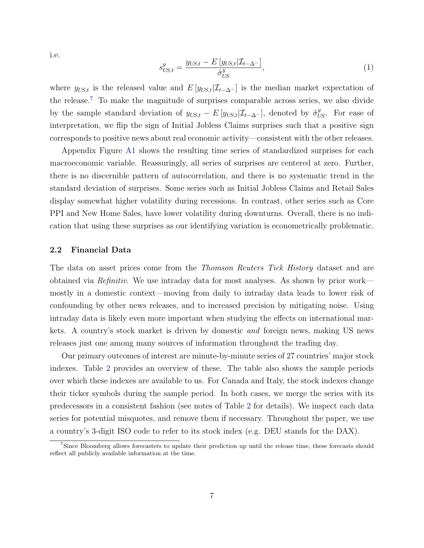i.e.

<span id="page-8-1"></span>
$$
s_{US,t}^y = \frac{y_{US,t} - E[y_{US,t}|\mathcal{I}_{t-\Delta^-}]}{\hat{\sigma}_{US}^y},\tag{1}
$$

where  $y_{US,t}$  is the released value and  $E[y_{US,t}|\mathcal{I}_{t-\Delta^{-}}]$  is the median market expectation of the release.[7](#page-8-0) To make the magnitude of surprises comparable across series, we also divide by the sample standard deviation of  $y_{US,t} - E[y_{US,t}|\mathcal{I}_{t-\Delta} -]$ , denoted by  $\hat{\sigma}_{US}^y$ . For ease of interpretation, we flip the sign of Initial Jobless Claims surprises such that a positive sign corresponds to positive news about real economic activity—consistent with the other releases.

Appendix Figure [A1](#page-48-0) shows the resulting time series of standardized surprises for each macroeconomic variable. Reassuringly, all series of surprises are centered at zero. Further, there is no discernible pattern of autocorrelation, and there is no systematic trend in the standard deviation of surprises. Some series such as Initial Jobless Claims and Retail Sales display somewhat higher volatility during recessions. In contrast, other series such as Core PPI and New Home Sales, have lower volatility during downturns. Overall, there is no indication that using these surprises as our identifying variation is econometrically problematic.

#### 2.2 Financial Data

The data on asset prices come from the Thomson Reuters Tick History dataset and are obtained via Refinitiv. We use intraday data for most analyses. As shown by prior work mostly in a domestic context—moving from daily to intraday data leads to lower risk of confounding by other news releases, and to increased precision by mitigating noise. Using intraday data is likely even more important when studying the effects on international markets. A country's stock market is driven by domestic and foreign news, making US news releases just one among many sources of information throughout the trading day.

Our primary outcomes of interest are minute-by-minute series of 27 countries' major stock indexes. Table [2](#page-9-0) provides an overview of these. The table also shows the sample periods over which these indexes are available to us. For Canada and Italy, the stock indexes change their ticker symbols during the sample period. In both cases, we merge the series with its predecessors in a consistent fashion (see notes of Table [2](#page-9-0) for details). We inspect each data series for potential misquotes, and remove them if necessary. Throughout the paper, we use a country's 3-digit ISO code to refer to its stock index (e.g. DEU stands for the DAX).

<span id="page-8-0"></span><sup>&</sup>lt;sup>7</sup>Since Bloomberg allows forecasters to update their prediction up until the release time, these forecasts should reflect all publicly available information at the time.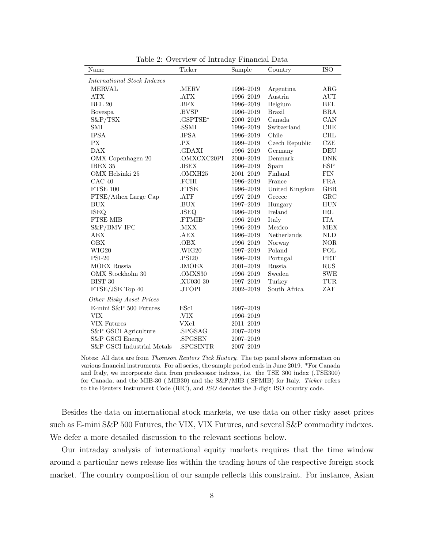| Name                        | Ticker             | Sample        | Country        | <b>ISO</b> |
|-----------------------------|--------------------|---------------|----------------|------------|
| International Stock Indexes |                    |               |                |            |
| <b>MERVAL</b>               | .MERV              | 1996-2019     | Argentina      | ARG        |
| <b>ATX</b>                  | .ATX               | 1996-2019     | Austria        | AUT        |
| <b>BEL 20</b>               | .BFX               | 1996-2019     | Belgium        | BEL        |
| Bovespa                     | .BVSP              | 1996-2019     | <b>Brazil</b>  | <b>BRA</b> |
| $S\&P/TSX$                  | .GSPTSE*           | 2000-2019     | Canada         | CAN        |
| SMI                         | .SSMI              | 1996-2019     | Switzerland    | CHE        |
| <b>IPSA</b>                 | .IPSA              | 1996-2019     | Chile          | <b>CHL</b> |
| <b>PX</b>                   | .PX                | 1999-2019     | Czech Republic | CZE        |
| <b>DAX</b>                  | .GDAXI             | 1996-2019     | Germany        | DEU        |
| OMX Copenhagen 20           | .OMXCXC20PI        | 2000-2019     | Denmark        | <b>DNK</b> |
| IBEX 35                     | .IBEX              | 1996-2019     | Spain          | <b>ESP</b> |
| OMX Helsinki 25             | .OMXH25            | $2001 - 2019$ | Finland        | <b>FIN</b> |
| CAC 40                      | .FCHI              | 1996-2019     | France         | <b>FRA</b> |
| FTSE 100                    | .FTSE              | 1996-2019     | United Kingdom | <b>GBR</b> |
| FTSE/Athex Large Cap        | .ATF               | 1997-2019     | Greece         | GRC        |
| <b>BUX</b>                  | .BUX               | 1997-2019     | Hungary        | <b>HUN</b> |
| <b>ISEQ</b>                 | .ISEQ              | 1996-2019     | Ireland        | <b>IRL</b> |
| <b>FTSE MIB</b>             | .FTMIB*            | 1996-2019     | Italy          | <b>ITA</b> |
| S&P/BMV IPC                 | .MXX               | 1996-2019     | Mexico         | <b>MEX</b> |
| AEX                         | .AEX               | 1996-2019     | Netherlands    | <b>NLD</b> |
| <b>OBX</b>                  | .OBX               | 1996-2019     | Norway         | $\rm{NOR}$ |
| WIG20                       | .WIG20             | 1997-2019     | Poland         | POL        |
| $PSI-20$                    | .PSI20             | 1996-2019     | Portugal       | PRT        |
| <b>MOEX Russia</b>          | $. \mathbf{IMOEX}$ | $2001 - 2019$ | Russia         | RUS        |
| OMX Stockholm 30            | .OMXS30            | 1996-2019     | Sweden         | SWE        |
| BIST 30                     | .XU030 30          | 1997-2019     | Turkey         | TUR        |
| FTSE/JSE Top 40             | .JTOPI             | $2002 - 2019$ | South Africa   | ZAF        |
| Other Risky Asset Prices    |                    |               |                |            |
| E-mini S&P 500 Futures      | ESc1               | 1997-2019     |                |            |
| <b>VIX</b>                  | .VIX               | 1996-2019     |                |            |
| <b>VIX Futures</b>          | VXc1               | $2011 - 2019$ |                |            |
| S&P GSCI Agriculture        | .SPGSAG            | $2007 - 2019$ |                |            |
| S&P GSCI Energy             | .SPGSEN            | 2007-2019     |                |            |
| S&P GSCI Industrial Metals  | .SPGSINTR          | 2007-2019     |                |            |

<span id="page-9-0"></span>Table 2: Overview of Intraday Financial Data

Notes: All data are from Thomson Reuters Tick History. The top panel shows information on various financial instruments. For all series, the sample period ends in June 2019. \*For Canada and Italy, we incorporate data from predecessor indexes, i.e. the TSE 300 index (.TSE300) for Canada, and the MIB-30 (.MIB30) and the S&P/MIB (.SPMIB) for Italy. Ticker refers to the Reuters Instrument Code (RIC), and ISO denotes the 3-digit ISO country code.

Besides the data on international stock markets, we use data on other risky asset prices such as E-mini S&P 500 Futures, the VIX, VIX Futures, and several S&P commodity indexes. We defer a more detailed discussion to the relevant sections below.

Our intraday analysis of international equity markets requires that the time window around a particular news release lies within the trading hours of the respective foreign stock market. The country composition of our sample reflects this constraint. For instance, Asian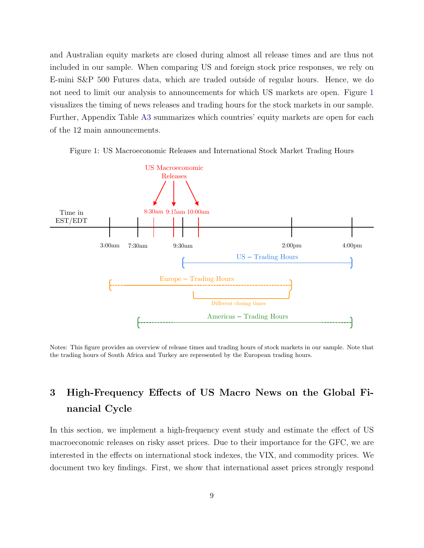and Australian equity markets are closed during almost all release times and are thus not included in our sample. When comparing US and foreign stock price responses, we rely on E-mini S&P 500 Futures data, which are traded outside of regular hours. Hence, we do not need to limit our analysis to announcements for which US markets are open. Figure [1](#page-10-1) visualizes the timing of news releases and trading hours for the stock markets in our sample. Further, Appendix Table [A3](#page-50-0) summarizes which countries' equity markets are open for each of the 12 main announcements.



<span id="page-10-1"></span>Figure 1: US Macroeconomic Releases and International Stock Market Trading Hours

Notes: This figure provides an overview of release times and trading hours of stock markets in our sample. Note that the trading hours of South Africa and Turkey are represented by the European trading hours.

# <span id="page-10-0"></span>3 High-Frequency Effects of US Macro News on the Global Financial Cycle

In this section, we implement a high-frequency event study and estimate the effect of US macroeconomic releases on risky asset prices. Due to their importance for the GFC, we are interested in the effects on international stock indexes, the VIX, and commodity prices. We document two key findings. First, we show that international asset prices strongly respond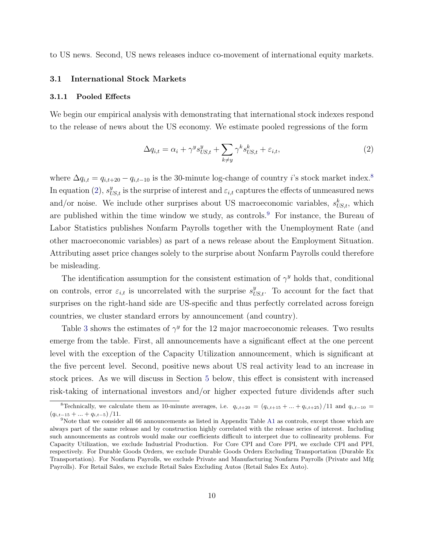to US news. Second, US news releases induce co-movement of international equity markets.

#### <span id="page-11-4"></span>3.1 International Stock Markets

#### 3.1.1 Pooled Effects

We begin our empirical analysis with demonstrating that international stock indexes respond to the release of news about the US economy. We estimate pooled regressions of the form

<span id="page-11-3"></span><span id="page-11-1"></span>
$$
\Delta q_{i,t} = \alpha_i + \gamma^y s_{US,t}^y + \sum_{k \neq y} \gamma^k s_{US,t}^k + \varepsilon_{i,t},\tag{2}
$$

where  $\Delta q_{i,t} = q_{i,t+20} - q_{i,t-10}$  is the 30-minute log-change of country *i*'s stock market index.<sup>[8](#page-11-0)</sup> In equation [\(2\)](#page-11-1),  $s_{US,t}^y$  is the surprise of interest and  $\varepsilon_{i,t}$  captures the effects of unmeasured news and/or noise. We include other surprises about US macroeconomic variables,  $s_{US,t}^k$ , which are published within the time window we study, as controls.<sup>[9](#page-11-2)</sup> For instance, the Bureau of Labor Statistics publishes Nonfarm Payrolls together with the Unemployment Rate (and other macroeconomic variables) as part of a news release about the Employment Situation. Attributing asset price changes solely to the surprise about Nonfarm Payrolls could therefore be misleading.

The identification assumption for the consistent estimation of  $\gamma^y$  holds that, conditional on controls, error  $\varepsilon_{i,t}$  is uncorrelated with the surprise  $s_{US,t}^y$ . To account for the fact that surprises on the right-hand side are US-specific and thus perfectly correlated across foreign countries, we cluster standard errors by announcement (and country).

Table [3](#page-12-0) shows the estimates of  $\gamma^y$  for the 12 major macroeconomic releases. Two results emerge from the table. First, all announcements have a significant effect at the one percent level with the exception of the Capacity Utilization announcement, which is significant at the five percent level. Second, positive news about US real activity lead to an increase in stock prices. As we will discuss in Section [5](#page-26-0) below, this effect is consistent with increased risk-taking of international investors and/or higher expected future dividends after such

<span id="page-11-0"></span><sup>&</sup>lt;sup>8</sup>Technically, we calculate them as 10-minute averages, i.e.  $q_{i,t+20} = (q_{i,t+15} + ... + q_{i,t+25})/11$  and  $q_{i,t-10} =$  $(q_{i,t-15} + ... + q_{i,t-5})/11.$ 

<span id="page-11-2"></span><sup>&</sup>lt;sup>9</sup>Note that we consider all 66 announcements as listed in Appendix Table [A1](#page-47-0) as controls, except those which are always part of the same release and by construction highly correlated with the release series of interest. Including such announcements as controls would make our coefficients difficult to interpret due to collinearity problems. For Capacity Utilization, we exclude Industrial Production. For Core CPI and Core PPI, we exclude CPI and PPI, respectively. For Durable Goods Orders, we exclude Durable Goods Orders Excluding Transportation (Durable Ex Transportation). For Nonfarm Payrolls, we exclude Private and Manufacturing Nonfarm Payrolls (Private and Mfg Payrolls). For Retail Sales, we exclude Retail Sales Excluding Autos (Retail Sales Ex Auto).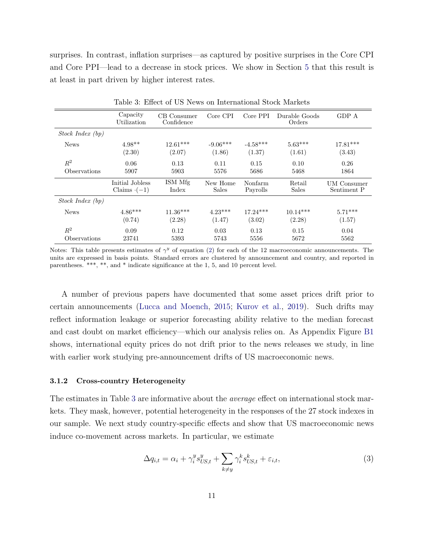surprises. In contrast, inflation surprises—as captured by positive surprises in the Core CPI and Core PPI—lead to a decrease in stock prices. We show in Section [5](#page-26-0) that this result is at least in part driven by higher interest rates.

|                  | Capacity<br>Utilization | CB Consumer<br>Confidence | Core CPI     | Core PPI   |              | GDP A       |
|------------------|-------------------------|---------------------------|--------------|------------|--------------|-------------|
| Stock Index (bp) |                         |                           |              |            |              |             |
| <b>News</b>      | $4.98**$                | $12.61***$                | $-9.06***$   | $-4.58***$ | $5.63***$    | $17.81***$  |
|                  | (2.30)                  | (2.07)                    | (1.86)       | (1.37)     | (1.61)       | (3.43)      |
| $R^2$            | 0.06                    | 0.13                      | 0.11         | 0.15       | 0.10         | 0.26        |
| Observations     | 5907                    | 5903                      | 5576         | 5686       | 5468         | 1864        |
|                  | Initial Jobless         | ISM Mfg                   | New Home     | Nonfarm    | Retail       | UM Consumer |
|                  | Claims $(-1)$           | Index                     | <b>Sales</b> | Payrolls   | <b>Sales</b> | Sentiment P |
| Stock Index(bp)  |                         |                           |              |            |              |             |
| <b>News</b>      | $4.86***$               | $11.36***$                | $4.23***$    | $17.24***$ | $10.14***$   | $5.71***$   |
|                  | (0.74)                  | (2.28)                    | (1.47)       | (3.02)     | (2.28)       | (1.57)      |
| $R^2$            | 0.09                    | 0.12                      | 0.03         | 0.13       | 0.15         | 0.04        |
| Observations     | 23741                   | 5393                      | 5743         | 5556       | 5672         | 5562        |

<span id="page-12-1"></span><span id="page-12-0"></span>Table 3: Effect of US News on International Stock Markets

Notes: This table presents estimates of  $\gamma^y$  of equation [\(2\)](#page-11-1) for each of the 12 macroeconomic announcements. The units are expressed in basis points. Standard errors are clustered by announcement and country, and reported in parentheses. \*\*\*, \*\*, and \* indicate significance at the 1, 5, and 10 percent level.

A number of previous papers have documented that some asset prices drift prior to certain announcements [\(Lucca and Moench,](#page-44-7) [2015;](#page-44-7) [Kurov et al.,](#page-44-8) [2019\)](#page-44-8). Such drifts may reflect information leakage or superior forecasting ability relative to the median forecast and cast doubt on market efficiency—which our analysis relies on. As Appendix Figure [B1](#page-52-0) shows, international equity prices do not drift prior to the news releases we study, in line with earlier work studying pre-announcement drifts of US macroeconomic news.

#### 3.1.2 Cross-country Heterogeneity

The estimates in Table [3](#page-12-0) are informative about the *average* effect on international stock markets. They mask, however, potential heterogeneity in the responses of the 27 stock indexes in our sample. We next study country-specific effects and show that US macroeconomic news induce co-movement across markets. In particular, we estimate

<span id="page-12-2"></span>
$$
\Delta q_{i,t} = \alpha_i + \gamma_i^y s_{US,t}^y + \sum_{k \neq y} \gamma_i^k s_{US,t}^k + \varepsilon_{i,t},\tag{3}
$$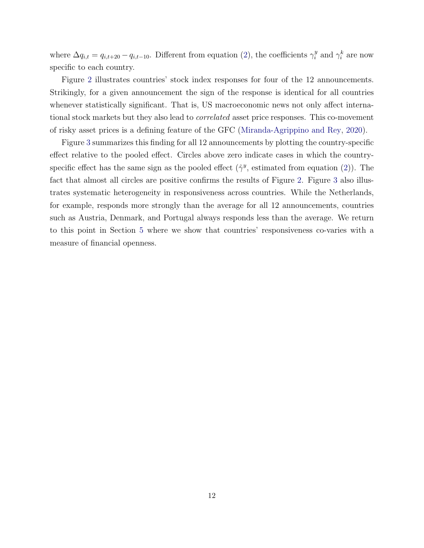where  $\Delta q_{i,t} = q_{i,t+20} - q_{i,t-10}$ . Different from equation [\(2\)](#page-11-1), the coefficients  $\gamma_i^y$  $i^y$  and  $\gamma_i^k$  are now specific to each country.

Figure [2](#page-14-0) illustrates countries' stock index responses for four of the 12 announcements. Strikingly, for a given announcement the sign of the response is identical for all countries whenever statistically significant. That is, US macroeconomic news not only affect international stock markets but they also lead to correlated asset price responses. This co-movement of risky asset prices is a defining feature of the GFC [\(Miranda-Agrippino and Rey,](#page-45-1) [2020\)](#page-45-1).

Figure [3](#page-15-0) summarizes this finding for all 12 announcements by plotting the country-specific effect relative to the pooled effect. Circles above zero indicate cases in which the countryspecific effect has the same sign as the pooled effect  $(\hat{\gamma}^y)$ , estimated from equation [\(2\)](#page-11-1)). The fact that almost all circles are positive confirms the results of Figure [2.](#page-14-0) Figure [3](#page-15-0) also illustrates systematic heterogeneity in responsiveness across countries. While the Netherlands, for example, responds more strongly than the average for all 12 announcements, countries such as Austria, Denmark, and Portugal always responds less than the average. We return to this point in Section [5](#page-26-0) where we show that countries' responsiveness co-varies with a measure of financial openness.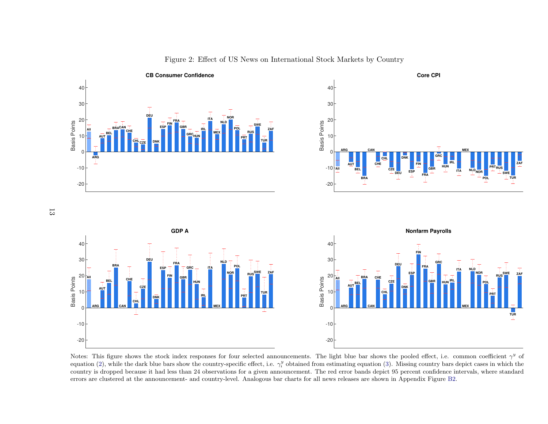

<span id="page-14-0"></span>Figure 2: Effect of US News on International Stock Markets by Country

Notes: This figure shows the stock index responses for four selected announcements. The light blue bar shows the pooled effect, i.e. common coefficient  $\gamma^y$  of equation [\(2\)](#page-11-3), while the dark blue bars show the country-specific effect, i.e.  $\gamma_i^y$  obtained from estimating equation [\(3\)](#page-12-1). Missing country bars depict cases in which the country is dropped because it had less than 24 observations for <sup>a</sup> given announcement. The red error bands depict 95 percent confidence intervals, where standarderrors are clustered at the announcement- and country-level. Analogous bar charts for all news releases are shown in Appendix Figure [B2.](#page-53-0)

13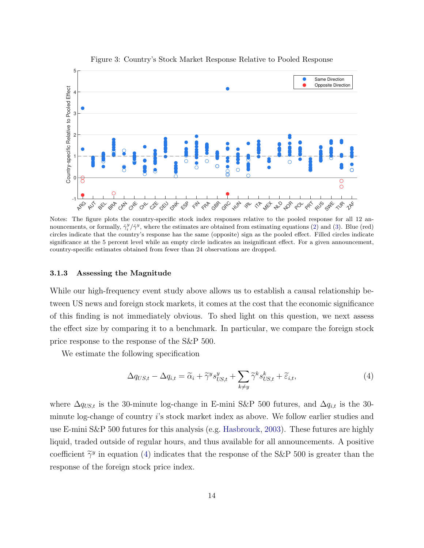

<span id="page-15-0"></span>Figure 3: Country's Stock Market Response Relative to Pooled Response

Notes: The figure plots the country-specific stock index responses relative to the pooled response for all 12 announcements, or formally,  $\hat{\gamma}_i^y/\hat{\gamma}^y$ , where the estimates are obtained from estimating equations [\(2\)](#page-11-1) and [\(3\)](#page-12-2). Blue (red) circles indicate that the country's response has the same (opposite) sign as the pooled effect. Filled circles indicate significance at the 5 percent level while an empty circle indicates an insignificant effect. For a given announcement, country-specific estimates obtained from fewer than 24 observations are dropped.

#### 3.1.3 Assessing the Magnitude

While our high-frequency event study above allows us to establish a causal relationship between US news and foreign stock markets, it comes at the cost that the economic significance of this finding is not immediately obvious. To shed light on this question, we next assess the effect size by comparing it to a benchmark. In particular, we compare the foreign stock price response to the response of the S&P 500.

We estimate the following specification

<span id="page-15-1"></span>
$$
\Delta q_{US,t} - \Delta q_{i,t} = \widetilde{\alpha}_i + \widetilde{\gamma}^y s_{US,t}^y + \sum_{k \neq y} \widetilde{\gamma}^k s_{US,t}^k + \widetilde{\varepsilon}_{i,t},\tag{4}
$$

where  $\Delta q_{US,t}$  is the 30-minute log-change in E-mini S&P 500 futures, and  $\Delta q_{i,t}$  is the 30minute log-change of country i's stock market index as above. We follow earlier studies and use E-mini S&P 500 futures for this analysis (e.g. [Hasbrouck,](#page-44-9) [2003\)](#page-44-9). These futures are highly liquid, traded outside of regular hours, and thus available for all announcements. A positive coefficient  $\tilde{\gamma}^y$  in equation [\(4\)](#page-15-1) indicates that the response of the S&P 500 is greater than the response of the foreign stock price index.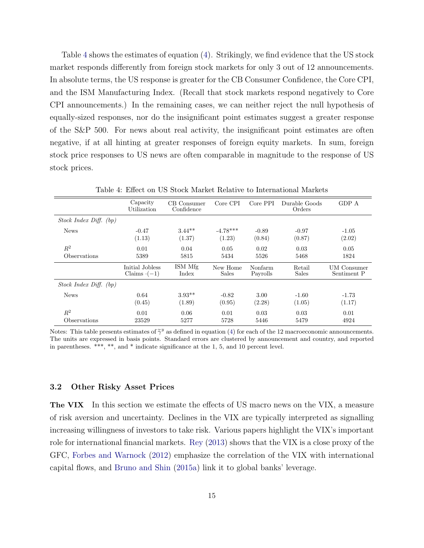Table [4](#page-16-0) shows the estimates of equation [\(4\)](#page-15-1). Strikingly, we find evidence that the US stock market responds differently from foreign stock markets for only 3 out of 12 announcements. In absolute terms, the US response is greater for the CB Consumer Confidence, the Core CPI, and the ISM Manufacturing Index. (Recall that stock markets respond negatively to Core CPI announcements.) In the remaining cases, we can neither reject the null hypothesis of equally-sized responses, nor do the insignificant point estimates suggest a greater response of the S&P 500. For news about real activity, the insignificant point estimates are often negative, if at all hinting at greater responses of foreign equity markets. In sum, foreign stock price responses to US news are often comparable in magnitude to the response of US stock prices.

|                            | Capacity<br>Utilization | CB Consumer<br>Confidence | Core CPI     | Core PPI | Durable Goods<br>Orders | GDP A              |
|----------------------------|-------------------------|---------------------------|--------------|----------|-------------------------|--------------------|
| Stock Index Diff. (bp)     |                         |                           |              |          |                         |                    |
| <b>News</b>                | $-0.47$                 | $3.44**$                  | $-4.78***$   | $-0.89$  | $-0.97$                 | $-1.05$            |
|                            | (1.13)                  | (1.37)                    | (1.23)       | (0.84)   | (0.87)                  | (2.02)             |
| $R^2$                      | 0.01                    | 0.04                      | 0.05         | 0.02     | 0.03                    | 0.05               |
| <i><b>Observations</b></i> | 5389                    | 5815                      | 5434         | 5526     | 5468                    | 1824               |
|                            | Initial Jobless         | ISM Mfg                   | New Home     | Nonfarm  | Retail                  | <b>UM</b> Consumer |
|                            | Claims $\cdot(-1)$      | Index                     | <b>Sales</b> | Payrolls | <b>Sales</b>            | Sentiment P        |
| Stock Index Diff. (bp)     |                         |                           |              |          |                         |                    |
| <b>News</b>                | 0.64                    | $3.93**$                  | $-0.82$      | 3.00     | $-1.60$                 | $-1.73$            |
|                            | (0.45)                  | (1.89)                    | (0.95)       | (2.28)   | (1.05)                  | (1.17)             |
| $R^2$                      | 0.01                    | 0.06                      | 0.01         | 0.03     | 0.03                    | 0.01               |
| Observations               | 23529                   | 5277                      | 5728         | 5446     | 5479                    | 4924               |

<span id="page-16-0"></span>Table 4: Effect on US Stock Market Relative to International Markets

Notes: This table presents estimates of  $\tilde{\gamma}^y$  as defined in equation [\(4\)](#page-15-1) for each of the 12 macroeconomic announcements.<br>The units are expressed in basis points. Standard errors are elustered by ennouncement and equa The units are expressed in basis points. Standard errors are clustered by announcement and country, and reported in parentheses. \*\*\*, \*\*, and \* indicate significance at the 1, 5, and 10 percent level.

#### <span id="page-16-1"></span>3.2 Other Risky Asset Prices

**The VIX** In this section we estimate the effects of US macro news on the VIX, a measure of risk aversion and uncertainty. Declines in the VIX are typically interpreted as signalling increasing willingness of investors to take risk. Various papers highlight the VIX's important role for international financial markets. [Rey](#page-45-0) [\(2013\)](#page-45-0) shows that the VIX is a close proxy of the GFC, [Forbes and Warnock](#page-43-11) [\(2012\)](#page-43-11) emphasize the correlation of the VIX with international capital flows, and [Bruno and Shin](#page-42-6) [\(2015a\)](#page-42-6) link it to global banks' leverage.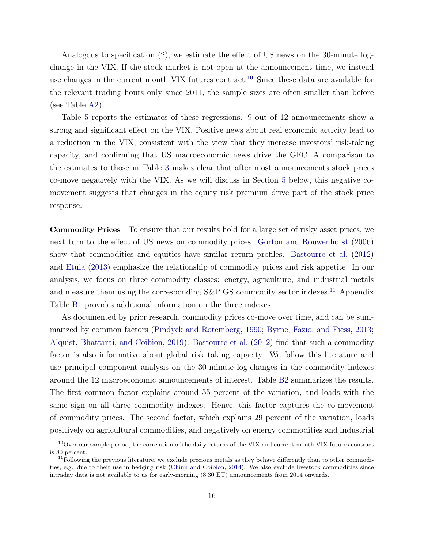Analogous to specification [\(2\)](#page-11-1), we estimate the effect of US news on the 30-minute logchange in the VIX. If the stock market is not open at the announcement time, we instead use changes in the current month VIX futures contract.<sup>[10](#page-17-0)</sup> Since these data are available for the relevant trading hours only since 2011, the sample sizes are often smaller than before (see Table [A2\)](#page-49-0).

Table [5](#page-18-0) reports the estimates of these regressions. 9 out of 12 announcements show a strong and significant effect on the VIX. Positive news about real economic activity lead to a reduction in the VIX, consistent with the view that they increase investors' risk-taking capacity, and confirming that US macroeconomic news drive the GFC. A comparison to the estimates to those in Table [3](#page-12-0) makes clear that after most announcements stock prices co-move negatively with the VIX. As we will discuss in Section [5](#page-26-0) below, this negative comovement suggests that changes in the equity risk premium drive part of the stock price response.

Commodity Prices To ensure that our results hold for a large set of risky asset prices, we next turn to the effect of US news on commodity prices. [Gorton and Rouwenhorst](#page-43-12) [\(2006\)](#page-43-12) show that commodities and equities have similar return profiles. [Bastourre et al.](#page-41-6) [\(2012\)](#page-41-6) and [Etula](#page-43-3) [\(2013\)](#page-43-3) emphasize the relationship of commodity prices and risk appetite. In our analysis, we focus on three commodity classes: energy, agriculture, and industrial metals and measure them using the corresponding  $S\&P$  GS commodity sector indexes.<sup>[11](#page-17-1)</sup> Appendix Table [B1](#page-56-0) provides additional information on the three indexes.

As documented by prior research, commodity prices co-move over time, and can be summarized by common factors [\(Pindyck and Rotemberg,](#page-45-10) [1990;](#page-45-10) [Byrne, Fazio, and Fiess,](#page-42-8) [2013;](#page-42-8) [Alquist, Bhattarai, and Coibion,](#page-41-7) [2019\)](#page-41-7). [Bastourre et al.](#page-41-6) [\(2012\)](#page-41-6) find that such a commodity factor is also informative about global risk taking capacity. We follow this literature and use principal component analysis on the 30-minute log-changes in the commodity indexes around the 12 macroeconomic announcements of interest. Table [B2](#page-56-1) summarizes the results. The first common factor explains around 55 percent of the variation, and loads with the same sign on all three commodity indexes. Hence, this factor captures the co-movement of commodity prices. The second factor, which explains 29 percent of the variation, loads positively on agricultural commodities, and negatively on energy commodities and industrial

<span id="page-17-0"></span> $10$ Over our sample period, the correlation of the daily returns of the VIX and current-month VIX futures contract is 80 percent.

<span id="page-17-1"></span> $11$  Following the previous literature, we exclude precious metals as they behave differently than to other commodities, e.g. due to their use in hedging risk [\(Chinn and Coibion,](#page-42-9) [2014\)](#page-42-9). We also exclude livestock commodities since intraday data is not available to us for early-morning (8:30 ET) announcements from 2014 onwards.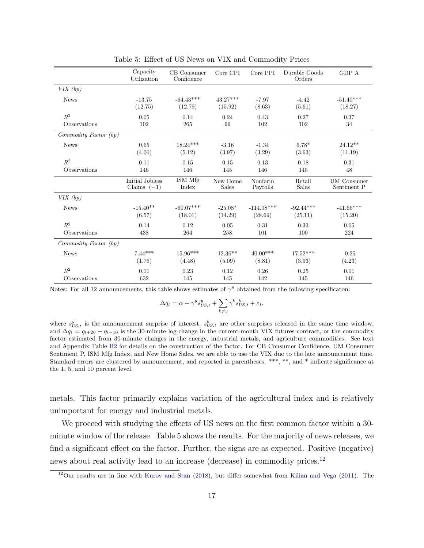|                       | Capacity<br>Utilization | CB Consumer<br>Confidence | Core CPI   | Core PPI     | Durable Goods<br>Orders | GDP A              |
|-----------------------|-------------------------|---------------------------|------------|--------------|-------------------------|--------------------|
| VIX(bp)               |                         |                           |            |              |                         |                    |
| <b>News</b>           | $-13.75$                | $-64.43***$               | $43.27***$ | $-7.97$      | $-4.42$                 | $-51.40***$        |
|                       | (12.75)                 | (12.79)                   | (15.92)    | (8.63)       | (5.61)                  | (18.27)            |
| $R^2$                 | 0.05                    | 0.14                      | 0.24       | 0.43         | 0.27                    | 0.37               |
| Observations          | 102                     | 265                       | 99         | 102          | 102                     | 34                 |
| Commodity Factor (bp) |                         |                           |            |              |                         |                    |
| <b>News</b>           | 0.65                    | $18.24***$                | $-3.16$    | $-1.34$      | $6.78^*$                | $24.12**$          |
|                       | (4.00)                  | (5.12)                    | (3.97)     | (3.29)       | (3.63)                  | (11.19)            |
| $\mathbb{R}^2$        | 0.11                    | 0.15                      | 0.15       | 0.13         | 0.18                    | 0.31               |
| Observations          | 146                     | 146                       | 145        | 146          | 145                     | 48                 |
|                       | Initial Jobless         | ISM Mfg                   | New Home   | Nonfarm      | Retail                  | <b>UM</b> Consumer |
|                       | Claims $(-1)$           | Index                     | Sales      | Payrolls     | <b>Sales</b>            | Sentiment P        |
| VIX(bp)               |                         |                           |            |              |                         |                    |
| <b>News</b>           | $-15.40**$              | $-60.07***$               | $-25.08*$  | $-114.08***$ | $-92.44***$             | $-41.66***$        |
|                       | (6.57)                  | (18.01)                   | (14.29)    | (28.69)      | (25.11)                 | (15.20)            |
| $\mathbb{R}^2$        | 0.14                    | 0.12                      | 0.05       | 0.31         | 0.33                    | 0.05               |
| Observations          | 438                     | 264                       | 258        | 101          | 100                     | 224                |
| Commodity Factor (bp) |                         |                           |            |              |                         |                    |
| <b>News</b>           | $7.44***$               | $15.96***$                | $12.36**$  | $40.00***$   | $17.52***$              | $-0.25$            |
|                       | (1.76)                  | (4.48)                    | (5.09)     | (8.81)       | (3.93)                  | (4.23)             |
| $\mathbb{R}^2$        | 0.11                    | 0.23                      | 0.12       | 0.26         | 0.25                    | 0.01               |
| Observations          | 632                     | 145                       | 145        | 142          | 145                     | 146                |

<span id="page-18-0"></span>Table 5: Effect of US News on VIX and Commodity Prices

Notes: For all 12 announcements, this table shows estimates of  $\gamma^y$  obtained from the following specificaton:

$$
\Delta q_t = \alpha + \gamma^y s_{US,t}^y + \sum_{k \neq y} \gamma^k s_{US,t}^k + \varepsilon_t,
$$

where  $s_{US,t}^y$  is the announcement surprise of interest,  $s_{US,t}^k$  are other surprises released in the same time window, and  $\Delta q_t = q_{t+20} - q_{t-10}$  is the 30-minute log-change in the current-month VIX futures contract, or the commodity factor estimated from 30-minute changes in the energy, industrial metals, and agriculture commodities. See text and Appendix Table [B2](#page-56-1) for details on the construction of the factor. For CB Consumer Confidence, UM Consumer Sentiment P, ISM Mfg Index, and New Home Sales, we are able to use the VIX due to the late announcement time. Standard errors are clustered by announcement, and reported in parentheses. \*\*\*, \*\*, and \* indicate significance at the 1, 5, and 10 percent level.

metals. This factor primarily explains variation of the agricultural index and is relatively unimportant for energy and industrial metals.

We proceed with studying the effects of US news on the first common factor within a 30minute window of the release. Table [5](#page-18-0) shows the results. For the majority of news releases, we find a significant effect on the factor. Further, the signs are as expected. Positive (negative) news about real activity lead to an increase (decrease) in commodity prices.[12](#page-18-1)

<span id="page-18-1"></span><sup>12</sup>Our results are in line with [Kurov and Stan](#page-44-10) [\(2018\)](#page-44-10), but differ somewhat from [Kilian and Vega](#page-44-11) [\(2011\)](#page-44-11). The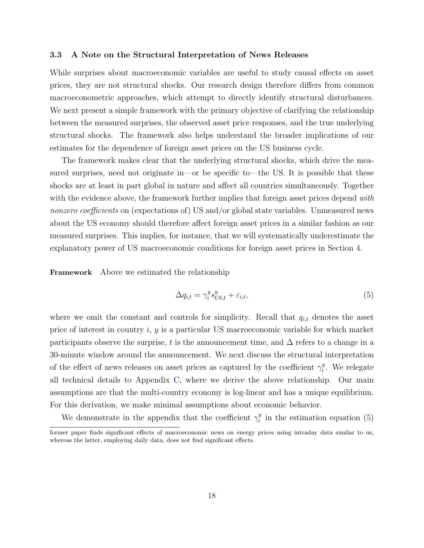#### <span id="page-19-1"></span>3.3 A Note on the Structural Interpretation of News Releases

While surprises about macroeconomic variables are useful to study causal effects on asset prices, they are not structural shocks. Our research design therefore differs from common macroeconometric approaches, which attempt to directly identify structural disturbances. We next present a simple framework with the primary objective of clarifying the relationship between the measured surprises, the observed asset price responses, and the true underlying structural shocks. The framework also helps understand the broader implications of our estimates for the dependence of foreign asset prices on the US business cycle.

The framework makes clear that the underlying structural shocks, which drive the measured surprises, need not originate in—or be specific to—the US. It is possible that these shocks are at least in part global in nature and affect all countries simultaneously. Together with the evidence above, the framework further implies that foreign asset prices depend with nonzero coefficients on (expectations of) US and/or global state variables. Unmeasured news about the US economy should therefore affect foreign asset prices in a similar fashion as our measured surprises. This implies, for instance, that we will systematically underestimate the explanatory power of US macroeconomic conditions for foreign asset prices in Section [4.](#page-23-0)

Framework Above we estimated the relationship

<span id="page-19-0"></span>
$$
\Delta q_{i,t} = \gamma_i^y s_{US,t}^y + \varepsilon_{i,t},\tag{5}
$$

where we omit the constant and controls for simplicity. Recall that  $q_{i,t}$  denotes the asset price of interest in country i, y is a particular US macroeconomic variable for which market participants observe the surprise, t is the announcement time, and  $\Delta$  refers to a change in a 30-minute window around the announcement. We next discuss the structural interpretation of the effect of news releases on asset prices as captured by the coefficient  $\gamma_i^y$  $i<sup>y</sup>$ . We relegate all technical details to Appendix [C,](#page-64-0) where we derive the above relationship. Our main assumptions are that the multi-country economy is log-linear and has a unique equilibrium. For this derivation, we make minimal assumptions about economic behavior.

We demonstrate in the appendix that the coefficient  $\gamma_i^y$  $i$ <sup>y</sup> in the estimation equation [\(5\)](#page-19-0)

former paper finds significant effects of macroeconomic news on energy prices using intraday data similar to us, whereas the latter, employing daily data, does not find significant effects.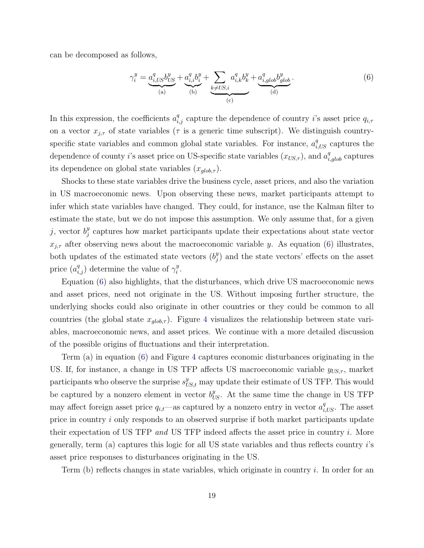can be decomposed as follows,

<span id="page-20-0"></span>
$$
\gamma_i^y = \underbrace{a_{i,US}^q b_{US}^y}_{(a)} + \underbrace{a_{i,i}^q b_i^y}_{(b)} + \sum_{k \neq US,i} a_{i,k}^q b_k^y + \underbrace{a_{i,glob}^q b_{glob}^y}{(d)} \cdot (6)
$$

In this expression, the coefficients  $a_{i,j}^q$  capture the dependence of country i's asset price  $q_{i,\tau}$ on a vector  $x_{j,\tau}$  of state variables ( $\tau$  is a generic time subscript). We distinguish countryspecific state variables and common global state variables. For instance,  $a_{i,US}^q$  captures the dependence of county *i*'s asset price on US-specific state variables  $(x_{US,\tau})$ , and  $a_{i,glob}^q$  captures its dependence on global state variables  $(x_{glob, \tau})$ .

Shocks to these state variables drive the business cycle, asset prices, and also the variation in US macroeconomic news. Upon observing these news, market participants attempt to infer which state variables have changed. They could, for instance, use the Kalman filter to estimate the state, but we do not impose this assumption. We only assume that, for a given j, vector  $b_i^y$  $_j^y$  captures how market participants update their expectations about state vector  $x_{j,\tau}$  after observing news about the macroeconomic variable y. As equation [\(6\)](#page-20-0) illustrates, both updates of the estimated state vectors  $(b_i^y)$  $_{j}^{y}$ ) and the state vectors' effects on the asset price  $(a_{i,j}^q)$  determine the value of  $\gamma_i^y$  $\frac{y}{i}$ .

Equation [\(6\)](#page-20-0) also highlights, that the disturbances, which drive US macroeconomic news and asset prices, need not originate in the US. Without imposing further structure, the underlying shocks could also originate in other countries or they could be common to all countries (the global state  $x_{glob,\tau}$ ). Figure [4](#page-21-0) visualizes the relationship between state variables, macroeconomic news, and asset prices. We continue with a more detailed discussion of the possible origins of fluctuations and their interpretation.

Term (a) in equation [\(6\)](#page-20-0) and Figure [4](#page-21-0) captures economic disturbances originating in the US. If, for instance, a change in US TFP affects US macroeconomic variable  $y_{US,\tau}$ , market participants who observe the surprise  $s_{US,t}^y$  may update their estimate of US TFP. This would be captured by a nonzero element in vector  $b_{US}^y$ . At the same time the change in US TFP may affect foreign asset price  $q_{i,t}$ —as captured by a nonzero entry in vector  $a_{i,US}^q$ . The asset price in country i only responds to an observed surprise if both market participants update their expectation of US TFP and US TFP indeed affects the asset price in country i. More generally, term (a) captures this logic for all US state variables and thus reflects country  $i$ 's asset price responses to disturbances originating in the US.

Term  $(b)$  reflects changes in state variables, which originate in country i. In order for an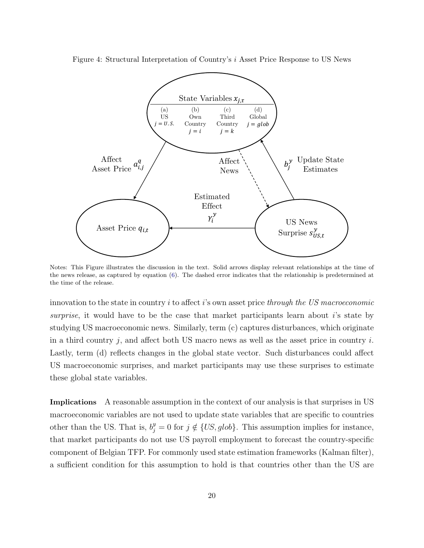

<span id="page-21-0"></span>

Notes: This Figure illustrates the discussion in the text. Solid arrows display relevant relationships at the time of the news release, as captured by equation [\(6\)](#page-20-0). The dashed error indicates that the relationship is predetermined at the time of the release.

innovation to the state in country  $i$  to affect  $i$ 's own asset price through the US macroeconomic surprise, it would have to be the case that market participants learn about i's state by studying US macroeconomic news. Similarly, term (c) captures disturbances, which originate in a third country j, and affect both US macro news as well as the asset price in country  $i$ . Lastly, term (d) reflects changes in the global state vector. Such disturbances could affect US macroeconomic surprises, and market participants may use these surprises to estimate these global state variables.

Implications A reasonable assumption in the context of our analysis is that surprises in US macroeconomic variables are not used to update state variables that are specific to countries other than the US. That is,  $b_j^y = 0$  for  $j \notin \{US, glob\}$ . This assumption implies for instance, that market participants do not use US payroll employment to forecast the country-specific component of Belgian TFP. For commonly used state estimation frameworks (Kalman filter), a sufficient condition for this assumption to hold is that countries other than the US are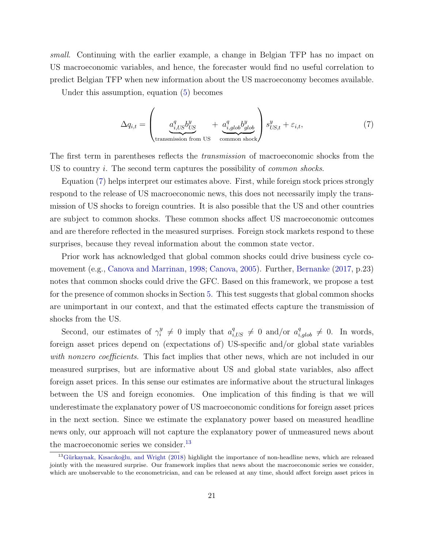small. Continuing with the earlier example, a change in Belgian TFP has no impact on US macroeconomic variables, and hence, the forecaster would find no useful correlation to predict Belgian TFP when new information about the US macroeconomy becomes available.

Under this assumption, equation [\(5\)](#page-19-0) becomes

<span id="page-22-0"></span>
$$
\Delta q_{i,t} = \left(\underbrace{a_{i,US}^q b_{US}^y}_{\text{transmission from US}} + \underbrace{a_{i,glob}^q b_{glob}^y}_{\text{common shock}}\right) s_{US,t}^y + \varepsilon_{i,t},\tag{7}
$$

The first term in parentheses reflects the *transmission* of macroeconomic shocks from the US to country  $i$ . The second term captures the possibility of *common shocks*.

Equation [\(7\)](#page-22-0) helps interpret our estimates above. First, while foreign stock prices strongly respond to the release of US macroeconomic news, this does not necessarily imply the transmission of US shocks to foreign countries. It is also possible that the US and other countries are subject to common shocks. These common shocks affect US macroeconomic outcomes and are therefore reflected in the measured surprises. Foreign stock markets respond to these surprises, because they reveal information about the common state vector.

Prior work has acknowledged that global common shocks could drive business cycle comovement (e.g., [Canova and Marrinan,](#page-42-10) [1998;](#page-42-10) [Canova,](#page-42-11) [2005\)](#page-42-11). Further, [Bernanke](#page-41-1) [\(2017,](#page-41-1) p.23) notes that common shocks could drive the GFC. Based on this framework, we propose a test for the presence of common shocks in Section [5.](#page-26-0) This test suggests that global common shocks are unimportant in our context, and that the estimated effects capture the transmission of shocks from the US.

Second, our estimates of  $\gamma_i^y$  $i \neq 0$  imply that  $a_{i,US}^q \neq 0$  and/or  $a_{i,glob}^q \neq 0$ . In words, foreign asset prices depend on (expectations of) US-specific and/or global state variables with nonzero coefficients. This fact implies that other news, which are not included in our measured surprises, but are informative about US and global state variables, also affect foreign asset prices. In this sense our estimates are informative about the structural linkages between the US and foreign economies. One implication of this finding is that we will underestimate the explanatory power of US macroeconomic conditions for foreign asset prices in the next section. Since we estimate the explanatory power based on measured headline news only, our approach will not capture the explanatory power of unmeasured news about the macroeconomic series we consider. $13$ 

<span id="page-22-1"></span> $13$ Gürkaynak, Kısacıkoğlu, and Wright [\(2018\)](#page-44-5) highlight the importance of non-headline news, which are released jointly with the measured surprise. Our framework implies that news about the macroeconomic series we consider, which are unobservable to the econometrician, and can be released at any time, should affect foreign asset prices in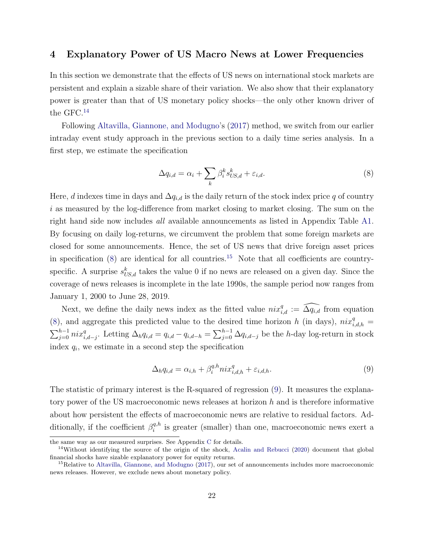## <span id="page-23-0"></span>4 Explanatory Power of US Macro News at Lower Frequencies

In this section we demonstrate that the effects of US news on international stock markets are persistent and explain a sizable share of their variation. We also show that their explanatory power is greater than that of US monetary policy shocks—the only other known driver of the GFC.[14](#page-23-1)

Following [Altavilla, Giannone, and Modugno'](#page-41-0)s [\(2017\)](#page-41-0) method, we switch from our earlier intraday event study approach in the previous section to a daily time series analysis. In a first step, we estimate the specification

<span id="page-23-6"></span><span id="page-23-5"></span><span id="page-23-2"></span>
$$
\Delta q_{i,d} = \alpha_i + \sum_k \beta_i^k s_{US,d}^k + \varepsilon_{i,d}.\tag{8}
$$

Here, d indexes time in days and  $\Delta q_{i,d}$  is the daily return of the stock index price q of country i as measured by the log-difference from market closing to market closing. The sum on the right hand side now includes all available announcements as listed in Appendix Table [A1.](#page-47-0) By focusing on daily log-returns, we circumvent the problem that some foreign markets are closed for some announcements. Hence, the set of US news that drive foreign asset prices in specification  $(8)$  are identical for all countries.<sup>[15](#page-23-3)</sup> Note that all coefficients are countryspecific. A surprise  $s_{US,d}^k$  takes the value 0 if no news are released on a given day. Since the coverage of news releases is incomplete in the late 1990s, the sample period now ranges from January 1, 2000 to June 28, 2019.

Next, we define the daily news index as the fitted value  $nix_{i,d}^q := \widehat{\Delta q_{i,d}}$  from equation [\(8\)](#page-23-2), and aggregate this predicted value to the desired time horizon h (in days),  $nix_{i,d,h}^q =$  $\sum_{j=0}^{h-1} nix_{i,d-j}^q$ . Letting  $\Delta_h q_{i,d} = q_{i,d} - q_{i,d-h} = \sum_{j=0}^{h-1} \Delta q_{i,d-j}$  be the h-day log-return in stock index  $q_i$ , we estimate in a second step the specification

<span id="page-23-4"></span>
$$
\Delta_h q_{i,d} = \alpha_{i,h} + \beta_i^{q,h} n i x_{i,d,h}^q + \varepsilon_{i,d,h}.
$$
\n(9)

The statistic of primary interest is the R-squared of regression [\(9\)](#page-23-4). It measures the explanatory power of the US macroeconomic news releases at horizon  $h$  and is therefore informative about how persistent the effects of macroeconomic news are relative to residual factors. Additionally, if the coefficient  $\beta_i^{q,h}$  $i^{q,n}$  is greater (smaller) than one, macroeconomic news exert a

the same way as our measured surprises. See Appendix [C](#page-64-0) for details.

<span id="page-23-1"></span><sup>&</sup>lt;sup>14</sup>Without identifying the source of the origin of the shock, [Acalin and Rebucci](#page-41-8) [\(2020\)](#page-41-8) document that global financial shocks have sizable explanatory power for equity returns.

<span id="page-23-3"></span><sup>&</sup>lt;sup>15</sup>Relative to [Altavilla, Giannone, and Modugno](#page-41-0) [\(2017\)](#page-41-0), our set of announcements includes more macroeconomic news releases. However, we exclude news about monetary policy.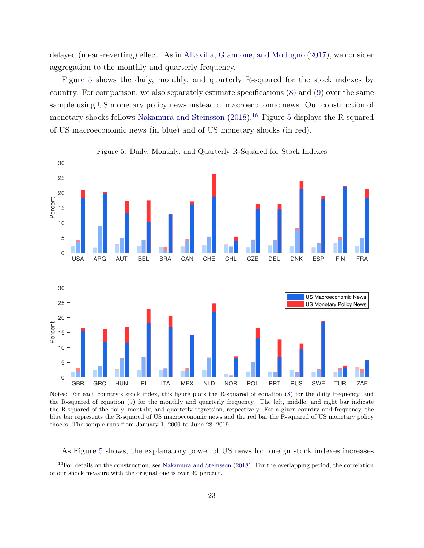delayed (mean-reverting) effect. As in [Altavilla, Giannone, and Modugno](#page-41-0) [\(2017\)](#page-41-0), we consider aggregation to the monthly and quarterly frequency.

Figure [5](#page-24-0) shows the daily, monthly, and quarterly R-squared for the stock indexes by country. For comparison, we also separately estimate specifications [\(8\)](#page-23-2) and [\(9\)](#page-23-4) over the same sample using US monetary policy news instead of macroeconomic news. Our construction of monetary shocks follows [Nakamura and Steinsson](#page-45-11)  $(2018)^{16}$  $(2018)^{16}$  $(2018)^{16}$  $(2018)^{16}$  Figure [5](#page-24-0) displays the R-squared of US macroeconomic news (in blue) and of US monetary shocks (in red).



<span id="page-24-2"></span><span id="page-24-0"></span>Figure 5: Daily, Monthly, and Quarterly R-Squared for Stock Indexes

Notes: For each country's stock index, this figure plots the R-squared of equation [\(8\)](#page-23-2) for the daily frequency, and the R-squared of equation [\(9\)](#page-23-4) for the monthly and quarterly frequency. The left, middle, and right bar indicate the R-squared of the daily, monthly, and quarterly regression, respectively. For a given country and frequency, the blue bar represents the R-squared of US macroeconomic news and the red bar the R-squared of US monetary policy shocks. The sample runs from January 1, 2000 to June 28, 2019.

<span id="page-24-1"></span>As Figure [5](#page-24-0) shows, the explanatory power of US news for foreign stock indexes increases

 $16$ For details on the construction, see [Nakamura and Steinsson](#page-45-11) [\(2018\)](#page-45-11). For the overlapping period, the correlation of our shock measure with the original one is over 99 percent.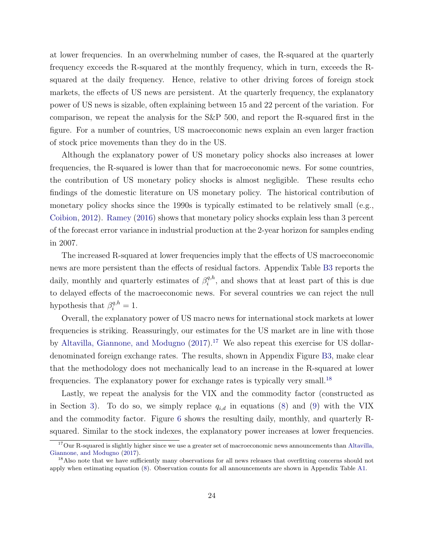at lower frequencies. In an overwhelming number of cases, the R-squared at the quarterly frequency exceeds the R-squared at the monthly frequency, which in turn, exceeds the Rsquared at the daily frequency. Hence, relative to other driving forces of foreign stock markets, the effects of US news are persistent. At the quarterly frequency, the explanatory power of US news is sizable, often explaining between 15 and 22 percent of the variation. For comparison, we repeat the analysis for the S&P 500, and report the R-squared first in the figure. For a number of countries, US macroeconomic news explain an even larger fraction of stock price movements than they do in the US.

Although the explanatory power of US monetary policy shocks also increases at lower frequencies, the R-squared is lower than that for macroeconomic news. For some countries, the contribution of US monetary policy shocks is almost negligible. These results echo findings of the domestic literature on US monetary policy. The historical contribution of monetary policy shocks since the 1990s is typically estimated to be relatively small (e.g., [Coibion,](#page-42-0) [2012\)](#page-42-0). [Ramey](#page-45-2) [\(2016\)](#page-45-2) shows that monetary policy shocks explain less than 3 percent of the forecast error variance in industrial production at the 2-year horizon for samples ending in 2007.

The increased R-squared at lower frequencies imply that the effects of US macroeconomic news are more persistent than the effects of residual factors. Appendix Table [B3](#page-57-0) reports the daily, monthly and quarterly estimates of  $\beta_i^{q,h}$  $\mathbf{z}_i^{q,n}$ , and shows that at least part of this is due to delayed effects of the macroeconomic news. For several countries we can reject the null hypothesis that  $\beta_i^{q,h} = 1$ .

Overall, the explanatory power of US macro news for international stock markets at lower frequencies is striking. Reassuringly, our estimates for the US market are in line with those by [Altavilla, Giannone, and Modugno](#page-41-0)  $(2017).<sup>17</sup>$  $(2017).<sup>17</sup>$  $(2017).<sup>17</sup>$  $(2017).<sup>17</sup>$  We also repeat this exercise for US dollardenominated foreign exchange rates. The results, shown in Appendix Figure [B3,](#page-58-0) make clear that the methodology does not mechanically lead to an increase in the R-squared at lower frequencies. The explanatory power for exchange rates is typically very small.<sup>[18](#page-25-1)</sup>

Lastly, we repeat the analysis for the VIX and the commodity factor (constructed as in Section [3\)](#page-10-0). To do so, we simply replace  $q_{i,d}$  in equations [\(8\)](#page-23-2) and [\(9\)](#page-23-4) with the VIX and the commodity factor. Figure [6](#page-26-1) shows the resulting daily, monthly, and quarterly Rsquared. Similar to the stock indexes, the explanatory power increases at lower frequencies.

<span id="page-25-0"></span> $17$ Our R-squared is slightly higher since we use a greater set of macroeconomic news announcements than [Altavilla,](#page-41-0) [Giannone, and Modugno](#page-41-0) [\(2017\)](#page-41-0).

<span id="page-25-1"></span><sup>&</sup>lt;sup>18</sup>Also note that we have sufficiently many observations for all news releases that overfitting concerns should not apply when estimating equation [\(8\)](#page-23-2). Observation counts for all announcements are shown in Appendix Table [A1.](#page-47-0)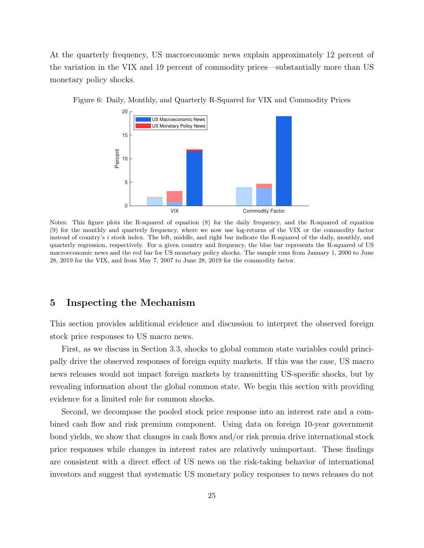At the quarterly frequency, US macroeconomic news explain approximately 12 percent of the variation in the VIX and 19 percent of commodity prices—substantially more than US monetary policy shocks.

<span id="page-26-1"></span>

Figure 6: Daily, Monthly, and Quarterly R-Squared for VIX and Commodity Prices

Notes: This figure plots the R-squared of equation [\(8\)](#page-23-2) for the daily frequency, and the R-squared of equation [\(9\)](#page-23-4) for the monthly and quarterly frequency, where we now use log-returns of the VIX or the commodity factor instead of country's i stock index. The left, middle, and right bar indicate the R-squared of the daily, monthly, and quarterly regression, respectively. For a given country and frequency, the blue bar represents the R-squared of US macroeconomic news and the red bar for US monetary policy shocks. The sample runs from January 1, 2000 to June 28, 2019 for the VIX, and from May 7, 2007 to June 28, 2019 for the commodity factor.

### <span id="page-26-0"></span>5 Inspecting the Mechanism

This section provides additional evidence and discussion to interpret the observed foreign stock price responses to US macro news.

First, as we discuss in Section [3.3,](#page-19-1) shocks to global common state variables could principally drive the observed responses of foreign equity markets. If this was the case, US macro news releases would not impact foreign markets by transmitting US-specific shocks, but by revealing information about the global common state. We begin this section with providing evidence for a limited role for common shocks.

Second, we decompose the pooled stock price response into an interest rate and a combined cash flow and risk premium component. Using data on foreign 10-year government bond yields, we show that changes in cash flows and/or risk premia drive international stock price responses while changes in interest rates are relatively unimportant. These findings are consistent with a direct effect of US news on the risk-taking behavior of international investors and suggest that systematic US monetary policy responses to news releases do not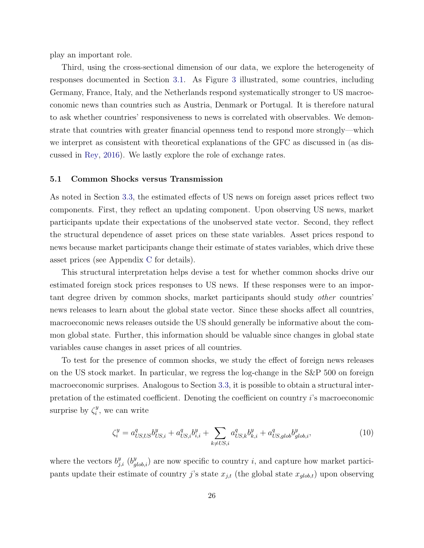play an important role.

Third, using the cross-sectional dimension of our data, we explore the heterogeneity of responses documented in Section [3.1.](#page-11-4) As Figure [3](#page-15-0) illustrated, some countries, including Germany, France, Italy, and the Netherlands respond systematically stronger to US macroeconomic news than countries such as Austria, Denmark or Portugal. It is therefore natural to ask whether countries' responsiveness to news is correlated with observables. We demonstrate that countries with greater financial openness tend to respond more strongly—which we interpret as consistent with theoretical explanations of the GFC as discussed in (as discussed in [Rey,](#page-45-3) [2016\)](#page-45-3). We lastly explore the role of exchange rates.

#### 5.1 Common Shocks versus Transmission

As noted in Section [3.3,](#page-19-1) the estimated effects of US news on foreign asset prices reflect two components. First, they reflect an updating component. Upon observing US news, market participants update their expectations of the unobserved state vector. Second, they reflect the structural dependence of asset prices on these state variables. Asset prices respond to news because market participants change their estimate of states variables, which drive these asset prices (see Appendix [C](#page-64-0) for details).

This structural interpretation helps devise a test for whether common shocks drive our estimated foreign stock prices responses to US news. If these responses were to an important degree driven by common shocks, market participants should study other countries' news releases to learn about the global state vector. Since these shocks affect all countries, macroeconomic news releases outside the US should generally be informative about the common global state. Further, this information should be valuable since changes in global state variables cause changes in asset prices of all countries.

To test for the presence of common shocks, we study the effect of foreign news releases on the US stock market. In particular, we regress the log-change in the S&P 500 on foreign macroeconomic surprises. Analogous to Section [3.3,](#page-19-1) it is possible to obtain a structural interpretation of the estimated coefficient. Denoting the coefficient on country i's macroeconomic surprise by  $\zeta_i^y$  $i<sup>y</sup>$ , we can write

<span id="page-27-0"></span>
$$
\zeta_i^y = a_{US,US}^q b_{US,i}^y + a_{US,i}^q b_{i,i}^y + \sum_{k \neq US,i} a_{US,k}^q b_{k,i}^y + a_{US,glob}^q b_{glob,i}^y,\tag{10}
$$

where the vectors  $b_{j,i}^y$  ( $b_{glob,i}^y$ ) are now specific to country i, and capture how market participants update their estimate of country j's state  $x_{j,t}$  (the global state  $x_{glob,t}$ ) upon observing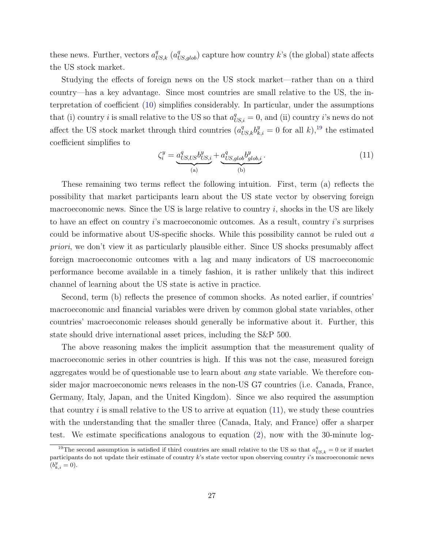these news. Further, vectors  $a_{US,k}^q$   $(a_{US, glob}^q)$  capture how country k's (the global) state affects the US stock market.

Studying the effects of foreign news on the US stock market—rather than on a third country—has a key advantage. Since most countries are small relative to the US, the interpretation of coefficient [\(10\)](#page-27-0) simplifies considerably. In particular, under the assumptions that (i) country *i* is small relative to the US so that  $a_{US,i}^q = 0$ , and (ii) country *i*'s news do not affect the US stock market through third countries  $(a_{US,k}^q b_{k,i}^y = 0$  for all k),<sup>[19](#page-28-0)</sup> the estimated coefficient simplifies to

<span id="page-28-1"></span>
$$
\zeta_i^y = \underbrace{a_{US,US}^q b_{US,i}^y}_{\text{(a)}} + \underbrace{a_{US,glob}^q b_{glob,i}^y}_{\text{(b)}}.
$$
\n(11)

These remaining two terms reflect the following intuition. First, term (a) reflects the possibility that market participants learn about the US state vector by observing foreign macroeconomic news. Since the US is large relative to country  $i$ , shocks in the US are likely to have an effect on country i's macroeconomic outcomes. As a result, country i's surprises could be informative about US-specific shocks. While this possibility cannot be ruled out a priori, we don't view it as particularly plausible either. Since US shocks presumably affect foreign macroeconomic outcomes with a lag and many indicators of US macroeconomic performance become available in a timely fashion, it is rather unlikely that this indirect channel of learning about the US state is active in practice.

Second, term (b) reflects the presence of common shocks. As noted earlier, if countries' macroeconomic and financial variables were driven by common global state variables, other countries' macroeconomic releases should generally be informative about it. Further, this state should drive international asset prices, including the S&P 500.

The above reasoning makes the implicit assumption that the measurement quality of macroeconomic series in other countries is high. If this was not the case, measured foreign aggregates would be of questionable use to learn about any state variable. We therefore consider major macroeconomic news releases in the non-US G7 countries (i.e. Canada, France, Germany, Italy, Japan, and the United Kingdom). Since we also required the assumption that country  $i$  is small relative to the US to arrive at equation  $(11)$ , we study these countries with the understanding that the smaller three (Canada, Italy, and France) offer a sharper test. We estimate specifications analogous to equation [\(2\)](#page-11-1), now with the 30-minute log-

<span id="page-28-0"></span><sup>&</sup>lt;sup>19</sup>The second assumption is satisfied if third countries are small relative to the US so that  $a_{US,k}^q = 0$  or if market participants do not update their estimate of country k's state vector upon observing country i's macroeconomic news  $(b_{k,i}^y = 0).$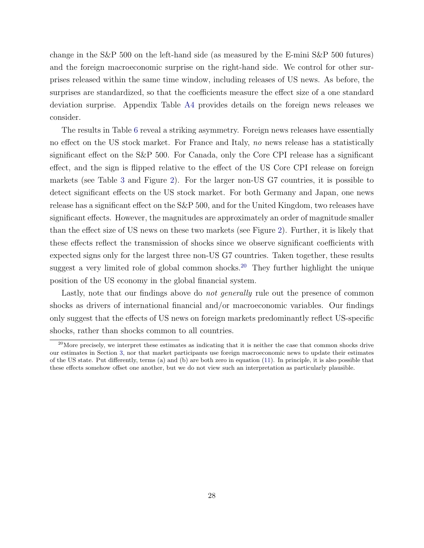change in the S&P 500 on the left-hand side (as measured by the E-mini S&P 500 futures) and the foreign macroeconomic surprise on the right-hand side. We control for other surprises released within the same time window, including releases of US news. As before, the surprises are standardized, so that the coefficients measure the effect size of a one standard deviation surprise. Appendix Table [A4](#page-51-0) provides details on the foreign news releases we consider.

The results in Table [6](#page-30-0) reveal a striking asymmetry. Foreign news releases have essentially no effect on the US stock market. For France and Italy, no news release has a statistically significant effect on the S&P 500. For Canada, only the Core CPI release has a significant effect, and the sign is flipped relative to the effect of the US Core CPI release on foreign markets (see Table [3](#page-12-0) and Figure [2\)](#page-14-0). For the larger non-US G7 countries, it is possible to detect significant effects on the US stock market. For both Germany and Japan, one news release has a significant effect on the S&P 500, and for the United Kingdom, two releases have significant effects. However, the magnitudes are approximately an order of magnitude smaller than the effect size of US news on these two markets (see Figure [2\)](#page-14-0). Further, it is likely that these effects reflect the transmission of shocks since we observe significant coefficients with expected signs only for the largest three non-US G7 countries. Taken together, these results suggest a very limited role of global common shocks.<sup>[20](#page-29-0)</sup> They further highlight the unique position of the US economy in the global financial system.

Lastly, note that our findings above do not generally rule out the presence of common shocks as drivers of international financial and/or macroeconomic variables. Our findings only suggest that the effects of US news on foreign markets predominantly reflect US-specific shocks, rather than shocks common to all countries.

<span id="page-29-0"></span> $^{20}$ More precisely, we interpret these estimates as indicating that it is neither the case that common shocks drive our estimates in Section [3,](#page-10-0) nor that market participants use foreign macroeconomic news to update their estimates of the US state. Put differently, terms (a) and (b) are both zero in equation [\(11\)](#page-28-1). In principle, it is also possible that these effects somehow offset one another, but we do not view such an interpretation as particularly plausible.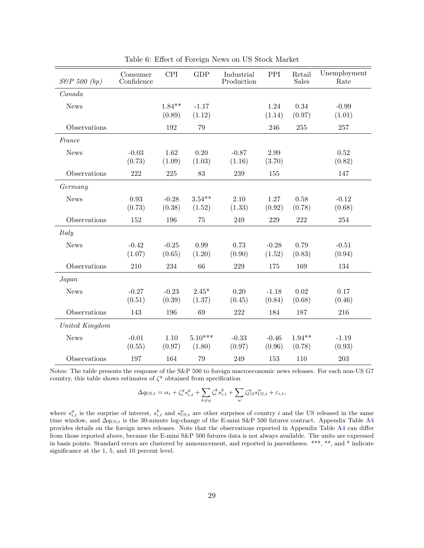| $S\&P 500 (bp)$ | Consumer<br>Confidence | <b>CPI</b>         | <b>GDP</b>          | Industrial<br>Production | PPI               | Retail<br><b>Sales</b> | Unemployment<br>Rate |
|-----------------|------------------------|--------------------|---------------------|--------------------------|-------------------|------------------------|----------------------|
| Canada          |                        |                    |                     |                          |                   |                        |                      |
| <b>News</b>     |                        | $1.84**$<br>(0.89) | $-1.17$<br>(1.12)   |                          | 1.24<br>(1.14)    | 0.34<br>(0.97)         | $-0.99$<br>(1.01)    |
| Observations    |                        | 192                | 79                  |                          | 246               | 255                    | 257                  |
| France          |                        |                    |                     |                          |                   |                        |                      |
| <b>News</b>     | $-0.03$<br>(0.73)      | 1.62<br>(1.09)     | 0.20<br>(1.03)      | $-0.87$<br>(1.16)        | 2.99<br>(3.70)    |                        | 0.52<br>(0.82)       |
| Observations    | 222                    | 225                | 83                  | 239                      | 155               |                        | 147                  |
| Germany         |                        |                    |                     |                          |                   |                        |                      |
| <b>News</b>     | 0.93<br>(0.73)         | $-0.28$<br>(0.38)  | $3.54**$<br>(1.52)  | 2.10<br>(1.33)           | 1.27<br>(0.92)    | 0.58<br>(0.78)         | $-0.12$<br>(0.68)    |
| Observations    | 152                    | 196                | 75                  | 249                      | 229               | 222                    | 254                  |
| Italy           |                        |                    |                     |                          |                   |                        |                      |
| <b>News</b>     | $-0.42$<br>(1.07)      | $-0.25$<br>(0.65)  | 0.99<br>(1.20)      | 0.73<br>(0.90)           | $-0.28$<br>(1.52) | 0.79<br>(0.83)         | $-0.51$<br>(0.94)    |
| Observations    | 210                    | 234                | 66                  | 229                      | 175               | 169                    | 134                  |
| Japan           |                        |                    |                     |                          |                   |                        |                      |
| <b>News</b>     | $-0.27$<br>(0.51)      | $-0.23$<br>(0.39)  | $2.45*$<br>(1.37)   | 0.20<br>(0.45)           | $-1.18$<br>(0.84) | 0.02<br>(0.68)         | 0.17<br>(0.46)       |
| Observations    | 143                    | 196                | 69                  | 222                      | 184               | 187                    | 216                  |
| United Kingdom  |                        |                    |                     |                          |                   |                        |                      |
| <b>News</b>     | $-0.01$<br>(0.55)      | 1.10<br>(0.97)     | $5.10***$<br>(1.80) | $-0.33$<br>(0.97)        | $-0.46$<br>(0.96) | $1.94**$<br>(0.78)     | $-1.19$<br>(0.93)    |
| Observations    | 197                    | 164                | 79                  | 249                      | 153               | 110                    | 203                  |

<span id="page-30-0"></span>Table 6: Effect of Foreign News on US Stock Market

Notes: The table presents the response of the S&P 500 to foreign macroeconomic news releases. For each non-US G7 country, this table shows estimates of  $\zeta^y$  obtained from specification

$$
\Delta q_{US,t} = \alpha_i + \zeta_i^y s_{i,t}^y + \sum_{k \neq y} \zeta_i^k s_{i,t}^k + \sum_w \zeta_{US}^w s_{US,t}^w + \varepsilon_{i,t},
$$

where  $s_{i,t}^y$  is the surprise of interest,  $s_{i,t}^k$  and  $s_{US,t}^w$  are other surprises of country i and the US released in the same time window, and  $\Delta q_{US,t}$  is the 30-minute log-change of the E-mini S&P 500 futures contract. Appendix Table [A4](#page-51-0) provides details on the foreign news releases. Note that the observations reported in Appendix Table [A4](#page-51-0) can differ from those reported above, because the E-mini S&P 500 futures data is not always available. The units are expressed in basis points. Standard errors are clustered by announcement, and reported in parentheses. \*\*\*, \*\*, and \* indicate significance at the 1, 5, and 10 percent level.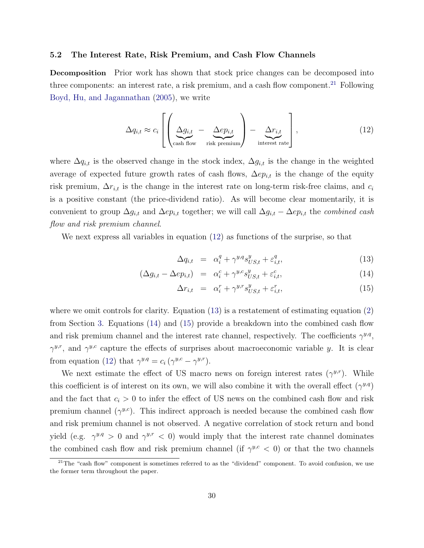#### 5.2 The Interest Rate, Risk Premium, and Cash Flow Channels

Decomposition Prior work has shown that stock price changes can be decomposed into three components: an interest rate, a risk premium, and a cash flow component.<sup>[21](#page-31-0)</sup> Following [Boyd, Hu, and Jagannathan](#page-42-1) [\(2005\)](#page-42-1), we write

<span id="page-31-1"></span>
$$
\Delta q_{i,t} \approx c_i \left[ \left( \underbrace{\Delta g_{i,t}}_{\text{cash flow}} - \underbrace{\Delta ep_{i,t}}_{\text{risk premium}} \right) - \underbrace{\Delta r_{i,t}}_{\text{interest rate}} \right],
$$
\n(12)

where  $\Delta q_{i,t}$  is the observed change in the stock index,  $\Delta g_{i,t}$  is the change in the weighted average of expected future growth rates of cash flows,  $\Delta ep_{i,t}$  is the change of the equity risk premium,  $\Delta r_{i,t}$  is the change in the interest rate on long-term risk-free claims, and  $c_i$ is a positive constant (the price-dividend ratio). As will become clear momentarily, it is convenient to group  $\Delta g_{i,t}$  and  $\Delta ep_{i,t}$  together; we will call  $\Delta g_{i,t} - \Delta ep_{i,t}$  the *combined cash* flow and risk premium channel.

We next express all variables in equation [\(12\)](#page-31-1) as functions of the surprise, so that

<span id="page-31-2"></span>
$$
\Delta q_{i,t} = \alpha_i^q + \gamma^{y,q} s_{US,t}^y + \varepsilon_{i,t}^q,\tag{13}
$$

$$
(\Delta g_{i,t} - \Delta e_{i,t}) = \alpha_i^c + \gamma^{y,c} s_{US,t}^y + \varepsilon_{i,t}^c,
$$
\n(14)

$$
\Delta r_{i,t} = \alpha_i^r + \gamma^{y,r} s_{US,t}^y + \varepsilon_{i,t}^r,\tag{15}
$$

where we omit controls for clarity. Equation  $(13)$  is a restatement of estimating equation  $(2)$ from Section [3.](#page-10-0) Equations [\(14\)](#page-31-2) and [\(15\)](#page-31-2) provide a breakdown into the combined cash flow and risk premium channel and the interest rate channel, respectively. The coefficients  $\gamma^{y,q}$ ,  $\gamma^{y,r}$ , and  $\gamma^{y,c}$  capture the effects of surprises about macroeconomic variable y. It is clear from equation [\(12\)](#page-31-1) that  $\gamma^{y,q} = c_i (\gamma^{y,c} - \gamma^{y,r}).$ 

We next estimate the effect of US macro news on foreign interest rates  $(\gamma^{y,r})$ . While this coefficient is of interest on its own, we will also combine it with the overall effect  $(\gamma^{y,q})$ and the fact that  $c_i > 0$  to infer the effect of US news on the combined cash flow and risk premium channel  $(\gamma^{y,c})$ . This indirect approach is needed because the combined cash flow and risk premium channel is not observed. A negative correlation of stock return and bond yield (e.g.  $\gamma^{y,q} > 0$  and  $\gamma^{y,r} < 0$ ) would imply that the interest rate channel dominates the combined cash flow and risk premium channel (if  $\gamma^{y,c} < 0$ ) or that the two channels

<span id="page-31-0"></span> $21$ The "cash flow" component is sometimes referred to as the "dividend" component. To avoid confusion, we use the former term throughout the paper.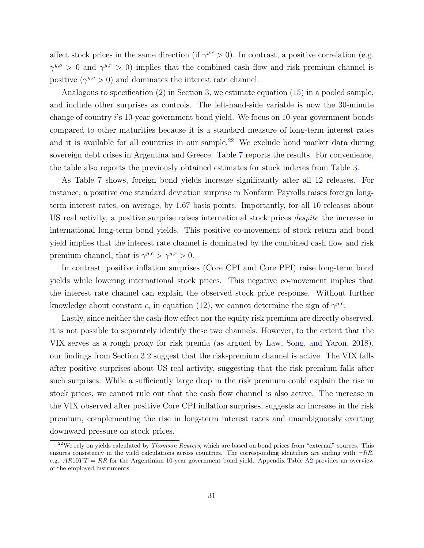affect stock prices in the same direction (if  $\gamma^{y,c} > 0$ ). In contrast, a positive correlation (e.g.  $\gamma^{y,q} > 0$  and  $\gamma^{y,r} > 0$ ) implies that the combined cash flow and risk premium channel is positive  $(\gamma^{y,c} > 0)$  and dominates the interest rate channel.

Analogous to specification [\(2\)](#page-11-1) in Section [3,](#page-10-0) we estimate equation [\(15\)](#page-31-2) in a pooled sample, and include other surprises as controls. The left-hand-side variable is now the 30-minute change of country i's 10-year government bond yield. We focus on 10-year government bonds compared to other maturities because it is a standard measure of long-term interest rates and it is available for all countries in our sample.<sup>[22](#page-32-0)</sup> We exclude bond market data during sovereign debt crises in Argentina and Greece. Table [7](#page-33-0) reports the results. For convenience, the table also reports the previously obtained estimates for stock indexes from Table [3.](#page-12-0)

As Table [7](#page-33-0) shows, foreign bond yields increase significantly after all 12 releases. For instance, a positive one standard deviation surprise in Nonfarm Payrolls raises foreign longterm interest rates, on average, by 1.67 basis points. Importantly, for all 10 releases about US real activity, a positive surprise raises international stock prices *despite* the increase in international long-term bond yields. This positive co-movement of stock return and bond yield implies that the interest rate channel is dominated by the combined cash flow and risk premium channel, that is  $\gamma^{y,c} > \gamma^{y,r} > 0$ .

In contrast, positive inflation surprises (Core CPI and Core PPI) raise long-term bond yields while lowering international stock prices. This negative co-movement implies that the interest rate channel can explain the observed stock price response. Without further knowledge about constant  $c_i$  in equation [\(12\)](#page-31-1), we cannot determine the sign of  $\gamma^{y,c}$ .

Lastly, since neither the cash-flow effect nor the equity risk premium are directly observed, it is not possible to separately identify these two channels. However, to the extent that the VIX serves as a rough proxy for risk premia (as argued by [Law, Song, and Yaron,](#page-44-4) [2018\)](#page-44-4), our findings from Section [3.2](#page-16-1) suggest that the risk-premium channel is active. The VIX falls after positive surprises about US real activity, suggesting that the risk premium falls after such surprises. While a sufficiently large drop in the risk premium could explain the rise in stock prices, we cannot rule out that the cash flow channel is also active. The increase in the VIX observed after positive Core CPI inflation surprises, suggests an increase in the risk premium, complementing the rise in long-term interest rates and unambiguously exerting downward pressure on stock prices.

<span id="page-32-0"></span> $^{22}$ We rely on yields calculated by *Thomson Reuters*, which are based on bond prices from "external" sources. This ensures consistency in the yield calculations across countries. The corresponding identifiers are ending with  $=RR$ , e.g.  $AR10YT = RR$  for the Argentinian 10-year government bond yield. Appendix Table [A2](#page-49-0) provides an overview of the employed instruments.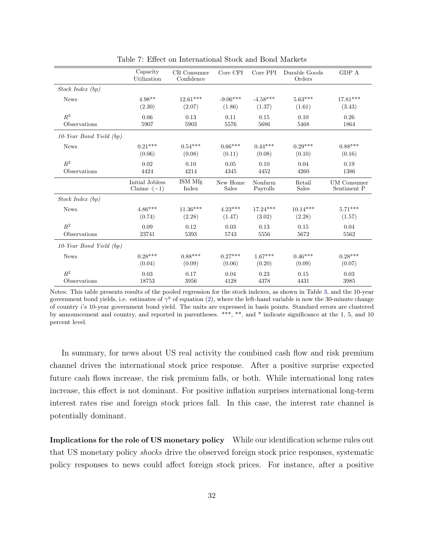|                              | Capacity<br>Utilization | $\operatorname{CB}$ Consumer<br>Confidence | Core CPI     | Core PPI   | Durable Goods<br>Orders | GDP A              |
|------------------------------|-------------------------|--------------------------------------------|--------------|------------|-------------------------|--------------------|
| Stock Index (bp)             |                         |                                            |              |            |                         |                    |
| <b>News</b>                  | $4.98**$                | $12.61***$                                 | $-9.06***$   | $-4.58***$ | $5.63***$               | $17.81***$         |
|                              | (2.30)                  | (2.07)                                     | (1.86)       | (1.37)     | (1.61)                  | (3.43)             |
| $R^2$                        | 0.06                    | 0.13                                       | 0.11         | 0.15       | 0.10                    | 0.26               |
| Observations                 | 5907                    | 5903                                       | 5576         | 5686       | 5468                    | 1864               |
| 10-Year Bond Yield (bp)      |                         |                                            |              |            |                         |                    |
| <b>News</b>                  | $0.21***$               | $0.54***$                                  | $0.66***$    | $0.44***$  | $0.29***$               | $0.88***$          |
|                              | (0.06)                  | (0.08)                                     | (0.11)       | (0.08)     | (0.10)                  | (0.16)             |
| $R^2$                        | 0.02                    | 0.10                                       | 0.05         | 0.10       | 0.04                    | 0.19               |
| Observations                 | 4424                    | 4214                                       | 4345         | 4452       | 4260                    | 1386               |
|                              | Initial Jobless         | ISM Mfg                                    | New Home     | Nonfarm    | Retail                  | <b>UM</b> Consumer |
|                              | Claims $(-1)$           | Index                                      | <b>Sales</b> | Payrolls   | <b>Sales</b>            | Sentiment P        |
| Stock Index (bp)             |                         |                                            |              |            |                         |                    |
| <b>News</b>                  | $4.86***$               | $11.36***$                                 | $4.23***$    | $17.24***$ | $10.14***$              | $5.71***$          |
|                              | (0.74)                  | (2.28)                                     | (1.47)       | (3.02)     | (2.28)                  | (1.57)             |
| $R^2$                        | 0.09                    | 0.12                                       | 0.03         | 0.13       | 0.15                    | 0.04               |
| Observations                 | 23741                   | 5393                                       | 5743         | 5556       | 5672                    | 5562               |
| $10$ -Year Bond Yield $(bp)$ |                         |                                            |              |            |                         |                    |
| <b>News</b>                  | $0.28***$               | $0.88***$                                  | $0.27***$    | $1.67***$  | $0.46***$               | $0.28***$          |
|                              | (0.04)                  | (0.09)                                     | (0.06)       | (0.20)     | (0.09)                  | (0.07)             |
| $R^2$                        | 0.03                    | 0.17                                       | 0.04         | 0.23       | 0.15                    | 0.03               |
| Observations                 | 18753                   | 3956                                       | 4128         | 4378       | 4431                    | 3985               |

<span id="page-33-0"></span>Table 7: Effect on International Stock and Bond Markets

Notes: This table presents results of the pooled regression for the stock indexes, as shown in Table [3,](#page-12-0) and the 10-year government bond yields, i.e. estimates of  $\gamma^y$  of equation [\(2\)](#page-11-1), where the left-hand variable is now the 30-minute change of country i's 10-year government bond yield. The units are expressed in basis points. Standard errors are clustered by announcement and country, and reported in parentheses. \*\*\*, \*\*, and \* indicate significance at the 1, 5, and 10 percent level.

In summary, for news about US real activity the combined cash flow and risk premium channel drives the international stock price response. After a positive surprise expected future cash flows increase, the risk premium falls, or both. While international long rates increase, this effect is not dominant. For positive inflation surprises international long-term interest rates rise and foreign stock prices fall. In this case, the interest rate channel is potentially dominant.

Implications for the role of US monetary policy While our identification scheme rules out that US monetary policy shocks drive the observed foreign stock price responses, systematic policy responses to news could affect foreign stock prices. For instance, after a positive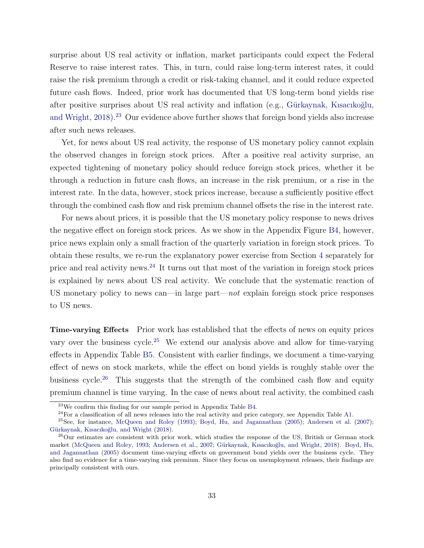surprise about US real activity or inflation, market participants could expect the Federal Reserve to raise interest rates. This, in turn, could raise long-term interest rates, it could raise the risk premium through a credit or risk-taking channel, and it could reduce expected future cash flows. Indeed, prior work has documented that US long-term bond yields rise after positive surprises about US real activity and inflation (e.g., Gürkaynak, Kısacıkoğlu, [and Wright,](#page-44-5) [2018\)](#page-44-5).<sup>[23](#page-34-0)</sup> Our evidence above further shows that foreign bond yields also increase after such news releases.

Yet, for news about US real activity, the response of US monetary policy cannot explain the observed changes in foreign stock prices. After a positive real activity surprise, an expected tightening of monetary policy should reduce foreign stock prices, whether it be through a reduction in future cash flows, an increase in the risk premium, or a rise in the interest rate. In the data, however, stock prices increase, because a sufficiently positive effect through the combined cash flow and risk premium channel offsets the rise in the interest rate.

For news about prices, it is possible that the US monetary policy response to news drives the negative effect on foreign stock prices. As we show in the Appendix Figure [B4,](#page-60-0) however, price news explain only a small fraction of the quarterly variation in foreign stock prices. To obtain these results, we re-run the explanatory power exercise from Section [4](#page-23-0) separately for price and real activity news.[24](#page-34-1) It turns out that most of the variation in foreign stock prices is explained by news about US real activity. We conclude that the systematic reaction of US monetary policy to news can—in large part—not explain foreign stock price responses to US news.

Time-varying Effects Prior work has established that the effects of news on equity prices vary over the business cycle.<sup>[25](#page-34-2)</sup> We extend our analysis above and allow for time-varying effects in Appendix Table [B5.](#page-61-0) Consistent with earlier findings, we document a time-varying effect of news on stock markets, while the effect on bond yields is roughly stable over the business cycle.<sup>[26](#page-34-3)</sup> This suggests that the strength of the combined cash flow and equity premium channel is time varying. In the case of news about real activity, the combined cash

<span id="page-34-0"></span> $^{23}$ We confirm this finding for our sample period in Appendix Table [B4.](#page-59-0)

<span id="page-34-2"></span><span id="page-34-1"></span> $^{24}$ For a classification of all news releases into the real activity and price category, see Appendix Table [A1.](#page-47-0)

<sup>&</sup>lt;sup>25</sup>See, for instance, [McQueen and Roley](#page-45-7) [\(1993\)](#page-45-7); [Boyd, Hu, and Jagannathan](#page-42-1) [\(2005\)](#page-42-1); [Andersen et al.](#page-41-3) [\(2007\)](#page-41-3); Gürkaynak, Kısacıkoğlu, and Wright [\(2018\)](#page-44-5).

<span id="page-34-3"></span><sup>&</sup>lt;sup>26</sup>Our estimates are consistent with prior work, which studies the response of the US, British or German stock market [\(McQueen and Roley,](#page-45-7) [1993;](#page-45-7) [Andersen et al.,](#page-41-3) [2007;](#page-41-3) Gürkaynak, Kısacıkoğlu, and Wright, [2018\)](#page-44-5). [Boyd, Hu,](#page-42-1) [and Jagannathan](#page-42-1) [\(2005\)](#page-42-1) document time-varying effects on government bond yields over the business cycle. They also find no evidence for a time-varying risk premium. Since they focus on unemployment releases, their findings are principally consistent with ours.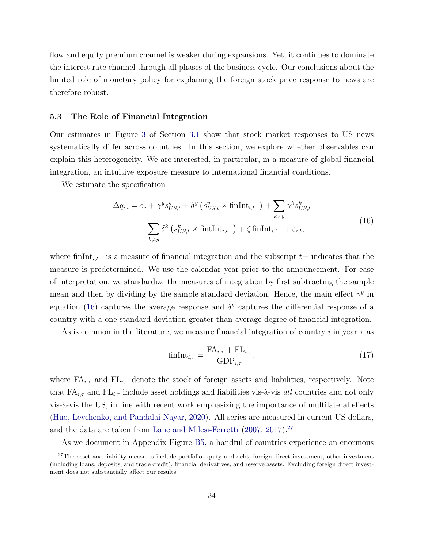flow and equity premium channel is weaker during expansions. Yet, it continues to dominate the interest rate channel through all phases of the business cycle. Our conclusions about the limited role of monetary policy for explaining the foreign stock price response to news are therefore robust.

#### 5.3 The Role of Financial Integration

Our estimates in Figure [3](#page-15-0) of Section [3.1](#page-11-4) show that stock market responses to US news systematically differ across countries. In this section, we explore whether observables can explain this heterogeneity. We are interested, in particular, in a measure of global financial integration, an intuitive exposure measure to international financial conditions.

We estimate the specification

<span id="page-35-0"></span>
$$
\Delta q_{i,t} = \alpha_i + \gamma^y s_{US,t}^y + \delta^y \left( s_{US,t}^y \times \text{finInt}_{i,t-} \right) + \sum_{k \neq y} \gamma^k s_{US,t}^k
$$
  
+ 
$$
\sum_{k \neq y} \delta^k \left( s_{US,t}^k \times \text{finInt}_{i,t-} \right) + \zeta \text{finInt}_{i,t-} + \varepsilon_{i,t},
$$
 (16)

where finInt<sub>i,t−</sub> is a measure of financial integration and the subscript t– indicates that the measure is predetermined. We use the calendar year prior to the announcement. For ease of interpretation, we standardize the measures of integration by first subtracting the sample mean and then by dividing by the sample standard deviation. Hence, the main effect  $\gamma^y$  in equation [\(16\)](#page-35-0) captures the average response and  $\delta^y$  captures the differential response of a country with a one standard deviation greater-than-average degree of financial integration.

As is common in the literature, we measure financial integration of country i in year  $\tau$  as

<span id="page-35-2"></span>
$$
fnInt_{i,\tau} = \frac{FA_{i,\tau} + FL_{i,\tau}}{GDP_{i,\tau}},
$$
\n(17)

where  $FA_{i,\tau}$  and  $FL_{i,\tau}$  denote the stock of foreign assets and liabilities, respectively. Note that  $FA_{i,\tau}$  and  $FL_{i,\tau}$  include asset holdings and liabilities vis-à-vis all countries and not only vis- $\alpha$ -vis the US, in line with recent work emphasizing the importance of multilateral effects [\(Huo, Levchenko, and Pandalai-Nayar,](#page-44-12) [2020\)](#page-44-12). All series are measured in current US dollars, and the data are taken from [Lane and Milesi-Ferretti](#page-44-13) [\(2007,](#page-44-13) [2017\)](#page-44-14).<sup>[27](#page-35-1)</sup>

<span id="page-35-1"></span>As we document in Appendix Figure [B5,](#page-58-1) a handful of countries experience an enormous

 $27$ The asset and liability measures include portfolio equity and debt, foreign direct investment, other investment (including loans, deposits, and trade credit), financial derivatives, and reserve assets. Excluding foreign direct investment does not substantially affect our results.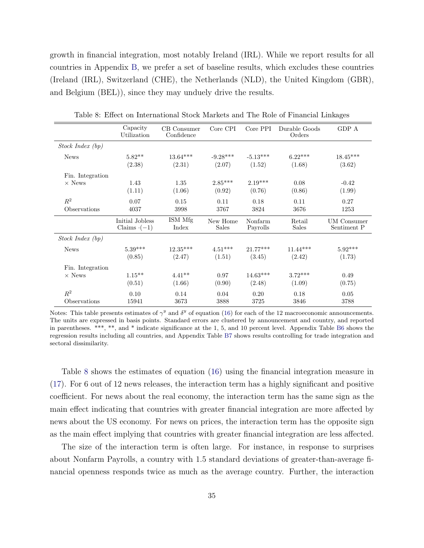growth in financial integration, most notably Ireland (IRL). While we report results for all countries in Appendix [B,](#page-52-1) we prefer a set of baseline results, which excludes these countries (Ireland (IRL), Switzerland (CHE), the Netherlands (NLD), the United Kingdom (GBR), and Belgium (BEL)), since they may unduely drive the results.

|                  | Capacity<br>Utilization               | CB Consumer<br>Confidence | Core CPI                 | Core PPI             | Durable Goods<br>Orders | GDP A                      |
|------------------|---------------------------------------|---------------------------|--------------------------|----------------------|-------------------------|----------------------------|
| Stock Index (bp) |                                       |                           |                          |                      |                         |                            |
| <b>News</b>      | $5.82**$<br>(2.38)                    | $13.64***$<br>(2.31)      | $-9.28***$<br>(2.07)     | $-5.13***$<br>(1.52) | $6.22***$<br>(1.68)     | $18.45***$<br>(3.62)       |
| Fin. Integration |                                       |                           |                          |                      |                         |                            |
| $\times$ News    | 1.43<br>(1.11)                        | 1.35<br>(1.06)            | $2.85***$<br>(0.92)      | $2.19***$<br>(0.76)  | 0.08<br>(0.86)          | $-0.42$<br>(1.99)          |
| $R^2$            | 0.07                                  | 0.15                      | 0.11                     | 0.18                 | 0.11                    | 0.27                       |
| Observations     | 4037                                  | 3998                      | 3767                     | 3824                 | 3676                    | 1253                       |
|                  | Initial Jobless<br>Claims $\cdot(-1)$ | ISM Mfg<br>Index          | New Home<br><b>Sales</b> | Nonfarm<br>Payrolls  | Retail<br><b>Sales</b>  | UM Consumer<br>Sentiment P |
| Stock Index(bp)  |                                       |                           |                          |                      |                         |                            |
| <b>News</b>      | $5.39***$<br>(0.85)                   | $12.35***$<br>(2.47)      | $4.51***$<br>(1.51)      | $21.77***$<br>(3.45) | $11.44***$<br>(2.42)    | $5.92***$<br>(1.73)        |
| Fin. Integration |                                       |                           |                          |                      |                         |                            |
| $\times$ News    | $1.15***$<br>(0.51)                   | $4.41**$<br>(1.66)        | 0.97<br>(0.90)           | $14.63***$<br>(2.48) | $3.72***$<br>(1.09)     | 0.49<br>(0.75)             |
| $R^2$            | 0.10                                  | 0.14                      | 0.04                     | 0.20                 | 0.18                    | 0.05                       |
| Observations     | 15941                                 | 3673                      | 3888                     | 3725                 | 3846                    | 3788                       |

<span id="page-36-0"></span>Table 8: Effect on International Stock Markets and The Role of Financial Linkages

Notes: This table presents estimates of  $\gamma^y$  and  $\delta^y$  of equation [\(16\)](#page-35-0) for each of the 12 macroeconomic announcements. The units are expressed in basis points. Standard errors are clustered by announcement and country, and reported in parentheses. \*\*\*, \*\*, and \* indicate significance at the 1, 5, and 10 percent level. Appendix Table [B6](#page-62-0) shows the regression results including all countries, and Appendix Table [B7](#page-63-0) shows results controlling for trade integration and sectoral dissimilarity.

Table [8](#page-36-0) shows the estimates of equation [\(16\)](#page-35-0) using the financial integration measure in [\(17\)](#page-35-2). For 6 out of 12 news releases, the interaction term has a highly significant and positive coefficient. For news about the real economy, the interaction term has the same sign as the main effect indicating that countries with greater financial integration are more affected by news about the US economy. For news on prices, the interaction term has the opposite sign as the main effect implying that countries with greater financial integration are less affected.

The size of the interaction term is often large. For instance, in response to surprises about Nonfarm Payrolls, a country with 1.5 standard deviations of greater-than-average financial openness responds twice as much as the average country. Further, the interaction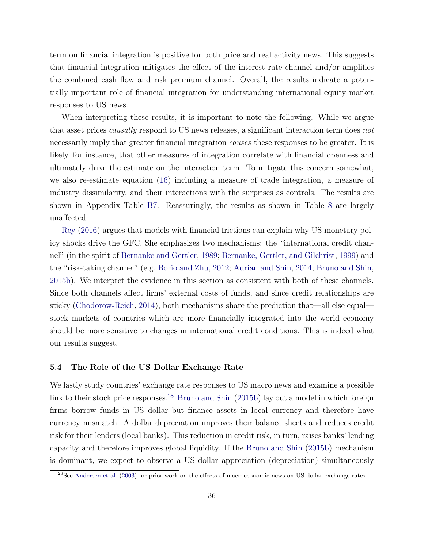term on financial integration is positive for both price and real activity news. This suggests that financial integration mitigates the effect of the interest rate channel and/or amplifies the combined cash flow and risk premium channel. Overall, the results indicate a potentially important role of financial integration for understanding international equity market responses to US news.

When interpreting these results, it is important to note the following. While we argue that asset prices causally respond to US news releases, a significant interaction term does not necessarily imply that greater financial integration *causes* these responses to be greater. It is likely, for instance, that other measures of integration correlate with financial openness and ultimately drive the estimate on the interaction term. To mitigate this concern somewhat, we also re-estimate equation [\(16\)](#page-35-0) including a measure of trade integration, a measure of industry dissimilarity, and their interactions with the surprises as controls. The results are shown in Appendix Table [B7.](#page-63-0) Reassuringly, the results as shown in Table [8](#page-36-0) are largely unaffected.

[Rey](#page-45-3) [\(2016\)](#page-45-3) argues that models with financial frictions can explain why US monetary policy shocks drive the GFC. She emphasizes two mechanisms: the "international credit channel" (in the spirit of [Bernanke and Gertler,](#page-41-9) [1989;](#page-41-9) [Bernanke, Gertler, and Gilchrist,](#page-41-10) [1999\)](#page-41-10) and the "risk-taking channel" (e.g. [Borio and Zhu,](#page-42-12) [2012;](#page-42-12) [Adrian and Shin,](#page-41-11) [2014;](#page-41-11) [Bruno and Shin,](#page-42-2) [2015b\)](#page-42-2). We interpret the evidence in this section as consistent with both of these channels. Since both channels affect firms' external costs of funds, and since credit relationships are sticky [\(Chodorow-Reich,](#page-42-13) [2014\)](#page-42-13), both mechanisms share the prediction that—all else equal stock markets of countries which are more financially integrated into the world economy should be more sensitive to changes in international credit conditions. This is indeed what our results suggest.

#### 5.4 The Role of the US Dollar Exchange Rate

We lastly study countries' exchange rate responses to US macro news and examine a possible link to their stock price responses.<sup>[28](#page-37-0)</sup> [Bruno and Shin](#page-42-2)  $(2015b)$  lay out a model in which foreign firms borrow funds in US dollar but finance assets in local currency and therefore have currency mismatch. A dollar depreciation improves their balance sheets and reduces credit risk for their lenders (local banks). This reduction in credit risk, in turn, raises banks' lending capacity and therefore improves global liquidity. If the [Bruno and Shin](#page-42-2) [\(2015b\)](#page-42-2) mechanism is dominant, we expect to observe a US dollar appreciation (depreciation) simultaneously

<span id="page-37-0"></span><sup>&</sup>lt;sup>28</sup>See [Andersen et al.](#page-41-12) [\(2003\)](#page-41-12) for prior work on the effects of macroeconomic news on US dollar exchange rates.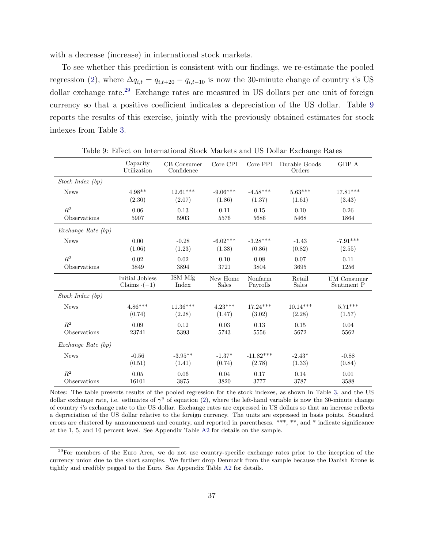with a decrease (increase) in international stock markets.

To see whether this prediction is consistent with our findings, we re-estimate the pooled regression [\(2\)](#page-11-1), where  $\Delta q_{i,t} = q_{i,t+20} - q_{i,t-10}$  is now the 30-minute change of country i's US dollar exchange rate.<sup>[29](#page-38-0)</sup> Exchange rates are measured in US dollars per one unit of foreign currency so that a positive coefficient indicates a depreciation of the US dollar. Table [9](#page-38-1) reports the results of this exercise, jointly with the previously obtained estimates for stock indexes from Table [3.](#page-12-0)

|                      | Capacity<br>Utilization | CB Consumer<br>Confidence | Core CPI     | Core PPI    | Durable Goods<br>Orders | GDP A              |
|----------------------|-------------------------|---------------------------|--------------|-------------|-------------------------|--------------------|
| Stock Index (bp)     |                         |                           |              |             |                         |                    |
| <b>News</b>          | $4.98**$                | $12.61***$                | $-9.06***$   | $-4.58***$  | $5.63***$               | $17.81***$         |
|                      | (2.30)                  | (2.07)                    | (1.86)       | (1.37)      | (1.61)                  | (3.43)             |
| $R^2$                | 0.06                    | 0.13                      | 0.11         | 0.15        | 0.10                    | 0.26               |
| Observations         | 5907                    | 5903                      | 5576         | 5686        | 5468                    | 1864               |
| Exchange Rate $(bp)$ |                         |                           |              |             |                         |                    |
| <b>News</b>          | 0.00                    | $-0.28$                   | $-6.02***$   | $-3.28***$  | $-1.43$                 | $-7.91***$         |
|                      | (1.06)                  | (1.23)                    | (1.38)       | (0.86)      | (0.82)                  | (2.55)             |
| $\mathbb{R}^2$       | 0.02                    | 0.02                      | 0.10         | 0.08        | 0.07                    | 0.11               |
| Observations         | 3849                    | 3894                      | 3721         | 3804        | 3695                    | 1256               |
|                      | Initial Jobless         | ISM Mfg                   | New Home     | Nonfarm     | Retail                  | <b>UM</b> Consumer |
|                      | Claims $\cdot(-1)$      | Index                     | <b>Sales</b> | Payrolls    | <b>Sales</b>            | Sentiment P        |
| Stock Index (bp)     |                         |                           |              |             |                         |                    |
| <b>News</b>          | $4.86***$               | $11.36***$                | $4.23***$    | $17.24***$  | $10.14***$              | $5.71***$          |
|                      | (0.74)                  | (2.28)                    | (1.47)       | (3.02)      | (2.28)                  | (1.57)             |
| $R^2$                | 0.09                    | 0.12                      | 0.03         | 0.13        | 0.15                    | 0.04               |
| Observations         | 23741                   | 5393                      | 5743         | 5556        | 5672                    | 5562               |
| Exchange Rate (bp)   |                         |                           |              |             |                         |                    |
| <b>News</b>          | $-0.56$                 | $-3.95**$                 | $-1.37*$     | $-11.82***$ | $-2.43*$                | $-0.88$            |
|                      | (0.51)                  | (1.41)                    | (0.74)       | (2.78)      | (1.33)                  | (0.84)             |
| $\mathbb{R}^2$       | 0.05                    | 0.06                      | 0.04         | 0.17        | 0.14                    | 0.01               |
| Observations         | 16101                   | 3875                      | 3820         | 3777        | 3787                    | 3588               |

<span id="page-38-1"></span>Table 9: Effect on International Stock Markets and US Dollar Exchange Rates

Notes: The table presents results of the pooled regression for the stock indexes, as shown in Table [3,](#page-12-0) and the US dollar exchange rate, i.e. estimates of  $\gamma^y$  of equation [\(2\)](#page-11-1), where the left-hand variable is now the 30-minute change of country i's exchange rate to the US dollar. Exchange rates are expressed in US dollars so that an increase reflects a depreciation of the US dollar relative to the foreign currency. The units are expressed in basis points. Standard errors are clustered by announcement and country, and reported in parentheses. \*\*\*, \*\*, and \* indicate significance at the 1, 5, and 10 percent level. See Appendix Table [A2](#page-49-0) for details on the sample.

<span id="page-38-0"></span><sup>&</sup>lt;sup>29</sup>For members of the Euro Area, we do not use country-specific exchange rates prior to the inception of the currency union due to the short samples. We further drop Denmark from the sample because the Danish Krone is tightly and credibly pegged to the Euro. See Appendix Table [A2](#page-49-0) for details.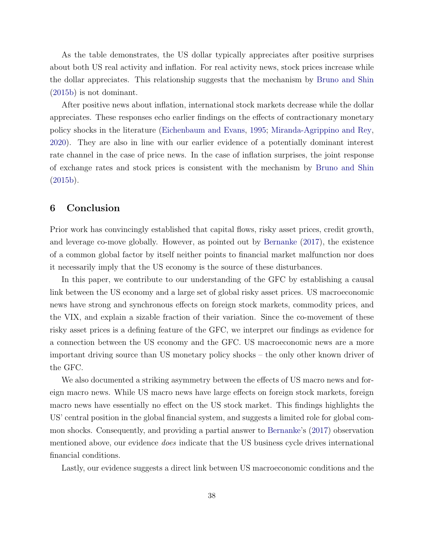As the table demonstrates, the US dollar typically appreciates after positive surprises about both US real activity and inflation. For real activity news, stock prices increase while the dollar appreciates. This relationship suggests that the mechanism by [Bruno and Shin](#page-42-2) [\(2015b\)](#page-42-2) is not dominant.

After positive news about inflation, international stock markets decrease while the dollar appreciates. These responses echo earlier findings on the effects of contractionary monetary policy shocks in the literature [\(Eichenbaum and Evans,](#page-43-13) [1995;](#page-43-13) [Miranda-Agrippino and Rey,](#page-45-1) [2020\)](#page-45-1). They are also in line with our earlier evidence of a potentially dominant interest rate channel in the case of price news. In the case of inflation surprises, the joint response of exchange rates and stock prices is consistent with the mechanism by [Bruno and Shin](#page-42-2) [\(2015b\)](#page-42-2).

### <span id="page-39-0"></span>6 Conclusion

Prior work has convincingly established that capital flows, risky asset prices, credit growth, and leverage co-move globally. However, as pointed out by [Bernanke](#page-41-1) [\(2017\)](#page-41-1), the existence of a common global factor by itself neither points to financial market malfunction nor does it necessarily imply that the US economy is the source of these disturbances.

In this paper, we contribute to our understanding of the GFC by establishing a causal link between the US economy and a large set of global risky asset prices. US macroeconomic news have strong and synchronous effects on foreign stock markets, commodity prices, and the VIX, and explain a sizable fraction of their variation. Since the co-movement of these risky asset prices is a defining feature of the GFC, we interpret our findings as evidence for a connection between the US economy and the GFC. US macroeconomic news are a more important driving source than US monetary policy shocks – the only other known driver of the GFC.

We also documented a striking asymmetry between the effects of US macro news and foreign macro news. While US macro news have large effects on foreign stock markets, foreign macro news have essentially no effect on the US stock market. This findings highlights the US' central position in the global financial system, and suggests a limited role for global common shocks. Consequently, and providing a partial answer to [Bernanke'](#page-41-1)s [\(2017\)](#page-41-1) observation mentioned above, our evidence does indicate that the US business cycle drives international financial conditions.

Lastly, our evidence suggests a direct link between US macroeconomic conditions and the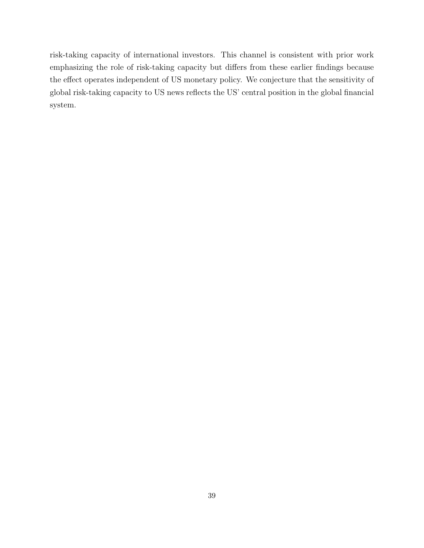risk-taking capacity of international investors. This channel is consistent with prior work emphasizing the role of risk-taking capacity but differs from these earlier findings because the effect operates independent of US monetary policy. We conjecture that the sensitivity of global risk-taking capacity to US news reflects the US' central position in the global financial system.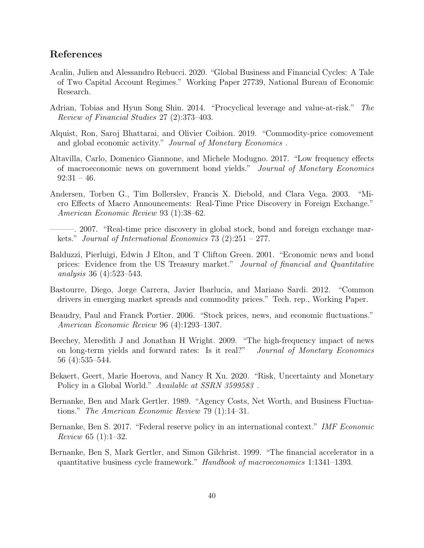## References

- <span id="page-41-8"></span>Acalin, Julien and Alessandro Rebucci. 2020. "Global Business and Financial Cycles: A Tale of Two Capital Account Regimes." Working Paper 27739, National Bureau of Economic Research.
- <span id="page-41-11"></span>Adrian, Tobias and Hyun Song Shin. 2014. "Procyclical leverage and value-at-risk." The Review of Financial Studies 27 (2):373–403.
- <span id="page-41-7"></span>Alquist, Ron, Saroj Bhattarai, and Olivier Coibion. 2019. "Commodity-price comovement and global economic activity." Journal of Monetary Economics.
- <span id="page-41-0"></span>Altavilla, Carlo, Domenico Giannone, and Michele Modugno. 2017. "Low frequency effects of macroeconomic news on government bond yields." Journal of Monetary Economics  $92:31 - 46.$
- <span id="page-41-12"></span>Andersen, Torben G., Tim Bollerslev, Francis X. Diebold, and Clara Vega. 2003. "Micro Effects of Macro Announcements: Real-Time Price Discovery in Foreign Exchange." American Economic Review 93 (1):38–62.
- <span id="page-41-3"></span>———. 2007. "Real-time price discovery in global stock, bond and foreign exchange markets." Journal of International Economics 73 (2):251 – 277.
- <span id="page-41-4"></span>Balduzzi, Pierluigi, Edwin J Elton, and T Clifton Green. 2001. "Economic news and bond prices: Evidence from the US Treasury market." Journal of financial and Quantitative analysis 36 (4):523–543.
- <span id="page-41-6"></span>Bastourre, Diego, Jorge Carrera, Javier Ibarlucia, and Mariano Sardi. 2012. "Common drivers in emerging market spreads and commodity prices." Tech. rep., Working Paper.
- <span id="page-41-13"></span>Beaudry, Paul and Franck Portier. 2006. "Stock prices, news, and economic fluctuations." American Economic Review 96 (4):1293–1307.
- <span id="page-41-5"></span>Beechey, Meredith J and Jonathan H Wright. 2009. "The high-frequency impact of news on long-term yields and forward rates: Is it real?" Journal of Monetary Economics 56 (4):535–544.
- <span id="page-41-2"></span>Bekaert, Geert, Marie Hoerova, and Nancy R Xu. 2020. "Risk, Uncertainty and Monetary Policy in a Global World." Available at SSRN 3599583.
- <span id="page-41-9"></span>Bernanke, Ben and Mark Gertler. 1989. "Agency Costs, Net Worth, and Business Fluctuations." The American Economic Review 79 (1):14–31.
- <span id="page-41-1"></span>Bernanke, Ben S. 2017. "Federal reserve policy in an international context." IMF Economic Review 65 (1):1–32.
- <span id="page-41-10"></span>Bernanke, Ben S, Mark Gertler, and Simon Gilchrist. 1999. "The financial accelerator in a quantitative business cycle framework." Handbook of macroeconomics 1:1341–1393.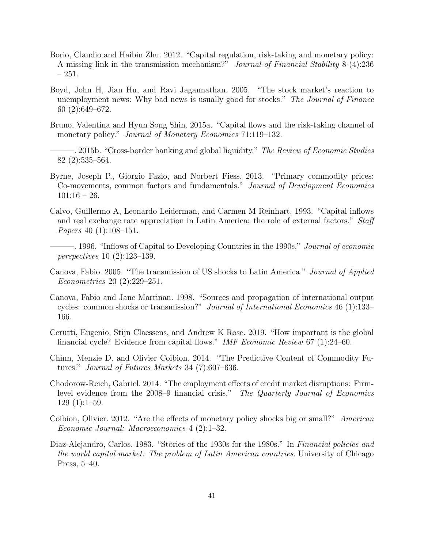- <span id="page-42-12"></span>Borio, Claudio and Haibin Zhu. 2012. "Capital regulation, risk-taking and monetary policy: A missing link in the transmission mechanism?" Journal of Financial Stability 8 (4):236 – 251.
- <span id="page-42-1"></span>Boyd, John H, Jian Hu, and Ravi Jagannathan. 2005. "The stock market's reaction to unemployment news: Why bad news is usually good for stocks." The Journal of Finance 60 (2):649–672.
- <span id="page-42-6"></span>Bruno, Valentina and Hyun Song Shin. 2015a. "Capital flows and the risk-taking channel of monetary policy." Journal of Monetary Economics 71:119–132.
- <span id="page-42-2"></span>. 2015b. "Cross-border banking and global liquidity." The Review of Economic Studies 82 (2):535–564.
- <span id="page-42-8"></span>Byrne, Joseph P., Giorgio Fazio, and Norbert Fiess. 2013. "Primary commodity prices: Co-movements, common factors and fundamentals." Journal of Development Economics  $101:16 - 26.$
- <span id="page-42-4"></span>Calvo, Guillermo A, Leonardo Leiderman, and Carmen M Reinhart. 1993. "Capital inflows and real exchange rate appreciation in Latin America: the role of external factors." Staff Papers 40 (1):108–151.
	- –. 1996. "Inflows of Capital to Developing Countries in the 1990s." *Journal of economic* perspectives 10 (2):123–139.
- <span id="page-42-11"></span><span id="page-42-5"></span>Canova, Fabio. 2005. "The transmission of US shocks to Latin America." Journal of Applied Econometrics 20 (2):229–251.
- <span id="page-42-10"></span>Canova, Fabio and Jane Marrinan. 1998. "Sources and propagation of international output cycles: common shocks or transmission?" Journal of International Economics 46 (1):133– 166.
- <span id="page-42-7"></span>Cerutti, Eugenio, Stijn Claessens, and Andrew K Rose. 2019. "How important is the global financial cycle? Evidence from capital flows." IMF Economic Review 67 (1):24–60.
- <span id="page-42-9"></span>Chinn, Menzie D. and Olivier Coibion. 2014. "The Predictive Content of Commodity Futures." Journal of Futures Markets 34 (7):607–636.
- <span id="page-42-13"></span>Chodorow-Reich, Gabriel. 2014. "The employment effects of credit market disruptions: Firmlevel evidence from the 2008–9 financial crisis." The Quarterly Journal of Economics 129 (1):1–59.
- <span id="page-42-0"></span>Coibion, Olivier. 2012. "Are the effects of monetary policy shocks big or small?" American Economic Journal: Macroeconomics 4 (2):1–32.
- <span id="page-42-3"></span>Diaz-Alejandro, Carlos. 1983. "Stories of the 1930s for the 1980s." In Financial policies and the world capital market: The problem of Latin American countries. University of Chicago Press, 5–40.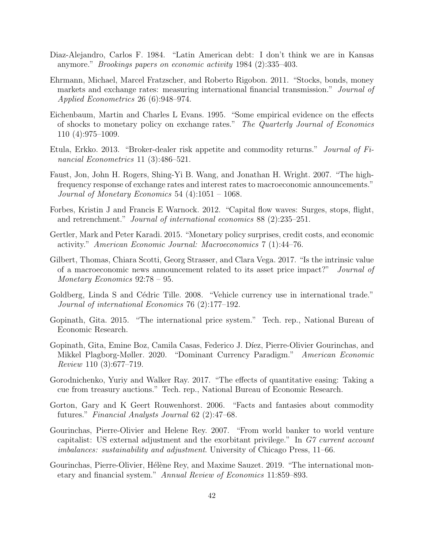- <span id="page-43-4"></span>Diaz-Alejandro, Carlos F. 1984. "Latin American debt: I don't think we are in Kansas anymore." Brookings papers on economic activity 1984 (2):335–403.
- <span id="page-43-9"></span>Ehrmann, Michael, Marcel Fratzscher, and Roberto Rigobon. 2011. "Stocks, bonds, money markets and exchange rates: measuring international financial transmission." Journal of Applied Econometrics 26 (6):948–974.
- <span id="page-43-13"></span>Eichenbaum, Martin and Charles L Evans. 1995. "Some empirical evidence on the effects of shocks to monetary policy on exchange rates." The Quarterly Journal of Economics 110 (4):975–1009.
- <span id="page-43-3"></span>Etula, Erkko. 2013. "Broker-dealer risk appetite and commodity returns." Journal of Financial Econometrics 11 (3):486–521.
- <span id="page-43-2"></span>Faust, Jon, John H. Rogers, Shing-Yi B. Wang, and Jonathan H. Wright. 2007. "The highfrequency response of exchange rates and interest rates to macroeconomic announcements." Journal of Monetary Economics 54  $(4)$ :1051 – 1068.
- <span id="page-43-11"></span>Forbes, Kristin J and Francis E Warnock. 2012. "Capital flow waves: Surges, stops, flight, and retrenchment." Journal of international economics 88 (2):235–251.
- <span id="page-43-1"></span>Gertler, Mark and Peter Karadi. 2015. "Monetary policy surprises, credit costs, and economic activity." American Economic Journal: Macroeconomics 7 (1):44–76.
- <span id="page-43-10"></span>Gilbert, Thomas, Chiara Scotti, Georg Strasser, and Clara Vega. 2017. "Is the intrinsic value of a macroeconomic news announcement related to its asset price impact?" Journal of Monetary Economics 92:78 – 95.
- <span id="page-43-6"></span>Goldberg, Linda S and Cédric Tille. 2008. "Vehicle currency use in international trade." Journal of international Economics 76 (2):177–192.
- <span id="page-43-7"></span>Gopinath, Gita. 2015. "The international price system." Tech. rep., National Bureau of Economic Research.
- <span id="page-43-8"></span>Gopinath, Gita, Emine Boz, Camila Casas, Federico J. Díez, Pierre-Olivier Gourinchas, and Mikkel Plagborg-Møller. 2020. "Dominant Currency Paradigm." American Economic Review 110 (3):677–719.
- <span id="page-43-14"></span>Gorodnichenko, Yuriy and Walker Ray. 2017. "The effects of quantitative easing: Taking a cue from treasury auctions." Tech. rep., National Bureau of Economic Research.
- <span id="page-43-12"></span>Gorton, Gary and K Geert Rouwenhorst. 2006. "Facts and fantasies about commodity futures." Financial Analysts Journal 62 (2):47–68.
- <span id="page-43-5"></span>Gourinchas, Pierre-Olivier and Helene Rey. 2007. "From world banker to world venture capitalist: US external adjustment and the exorbitant privilege." In G7 current account imbalances: sustainability and adjustment. University of Chicago Press, 11–66.
- <span id="page-43-0"></span>Gourinchas, Pierre-Olivier, Hélène Rey, and Maxime Sauzet. 2019. "The international monetary and financial system." Annual Review of Economics 11:859–893.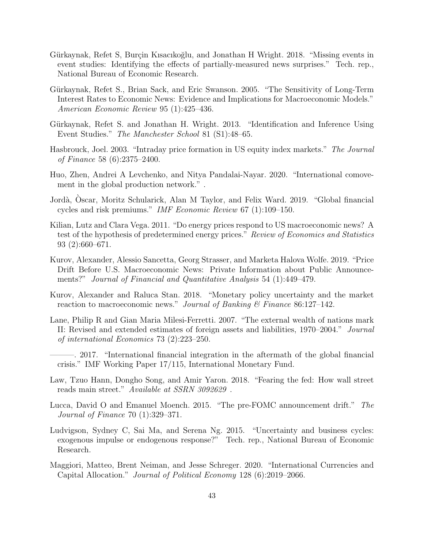- <span id="page-44-5"></span>Gürkaynak, Refet S, Burçin Kısacıkoğlu, and Jonathan H Wright. 2018. "Missing events in event studies: Identifying the effects of partially-measured news surprises." Tech. rep., National Bureau of Economic Research.
- <span id="page-44-3"></span>Gürkaynak, Refet S., Brian Sack, and Eric Swanson. 2005. "The Sensitivity of Long-Term Interest Rates to Economic News: Evidence and Implications for Macroeconomic Models." American Economic Review 95 (1):425–436.
- <span id="page-44-6"></span>Gürkaynak, Refet S. and Jonathan H. Wright. 2013. "Identification and Inference Using Event Studies." The Manchester School 81 (S1):48–65.
- <span id="page-44-9"></span>Hasbrouck, Joel. 2003. "Intraday price formation in US equity index markets." The Journal of Finance 58 (6):2375–2400.
- <span id="page-44-12"></span>Huo, Zhen, Andrei A Levchenko, and Nitya Pandalai-Nayar. 2020. "International comovement in the global production network." .
- <span id="page-44-1"></span>Jord`a, Oscar, Moritz Schularick, Alan M Taylor, and Felix Ward. 2019. "Global financial ` cycles and risk premiums." IMF Economic Review 67 (1):109–150.
- <span id="page-44-11"></span>Kilian, Lutz and Clara Vega. 2011. "Do energy prices respond to US macroeconomic news? A test of the hypothesis of predetermined energy prices." Review of Economics and Statistics 93 (2):660–671.
- <span id="page-44-8"></span>Kurov, Alexander, Alessio Sancetta, Georg Strasser, and Marketa Halova Wolfe. 2019. "Price Drift Before U.S. Macroeconomic News: Private Information about Public Announcements?" Journal of Financial and Quantitative Analysis 54 (1):449–479.
- <span id="page-44-10"></span>Kurov, Alexander and Raluca Stan. 2018. "Monetary policy uncertainty and the market reaction to macroeconomic news." Journal of Banking & Finance 86:127-142.
- <span id="page-44-13"></span>Lane, Philip R and Gian Maria Milesi-Ferretti. 2007. "The external wealth of nations mark II: Revised and extended estimates of foreign assets and liabilities, 1970–2004." Journal of international Economics 73 (2):223–250.
- <span id="page-44-14"></span>———. 2017. "International financial integration in the aftermath of the global financial crisis." IMF Working Paper 17/115, International Monetary Fund.
- <span id="page-44-4"></span>Law, Tzuo Hann, Dongho Song, and Amir Yaron. 2018. "Fearing the fed: How wall street reads main street." Available at SSRN 3092629 .
- <span id="page-44-7"></span>Lucca, David O and Emanuel Moench. 2015. "The pre-FOMC announcement drift." The Journal of Finance 70 (1):329–371.
- <span id="page-44-0"></span>Ludvigson, Sydney C, Sai Ma, and Serena Ng. 2015. "Uncertainty and business cycles: exogenous impulse or endogenous response?" Tech. rep., National Bureau of Economic Research.
- <span id="page-44-2"></span>Maggiori, Matteo, Brent Neiman, and Jesse Schreger. 2020. "International Currencies and Capital Allocation." Journal of Political Economy 128 (6):2019–2066.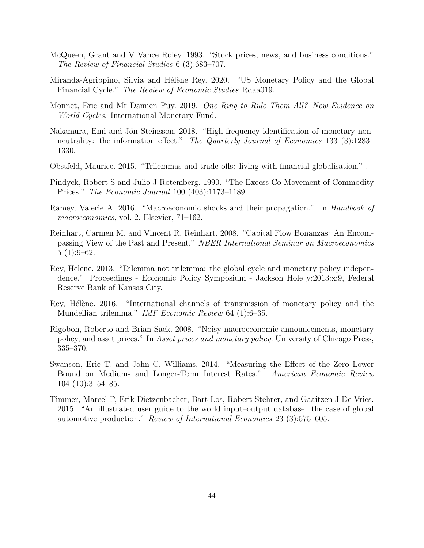- <span id="page-45-7"></span>McQueen, Grant and V Vance Roley. 1993. "Stock prices, news, and business conditions." The Review of Financial Studies 6 (3):683–707.
- <span id="page-45-1"></span>Miranda-Agrippino, Silvia and Hélène Rey. 2020. "US Monetary Policy and the Global Financial Cycle." The Review of Economic Studies Rdaa019.
- <span id="page-45-6"></span>Monnet, Eric and Mr Damien Puy. 2019. One Ring to Rule Them All? New Evidence on World Cycles. International Monetary Fund.
- <span id="page-45-11"></span>Nakamura, Emi and Jón Steinsson. 2018. "High-frequency identification of monetary nonneutrality: the information effect." The Quarterly Journal of Economics 133 (3):1283– 1330.
- <span id="page-45-5"></span>Obstfeld, Maurice. 2015. "Trilemmas and trade-offs: living with financial globalisation." .
- <span id="page-45-10"></span>Pindyck, Robert S and Julio J Rotemberg. 1990. "The Excess Co-Movement of Commodity Prices." The Economic Journal 100 (403):1173–1189.
- <span id="page-45-2"></span>Ramey, Valerie A. 2016. "Macroeconomic shocks and their propagation." In Handbook of macroeconomics, vol. 2. Elsevier, 71–162.
- <span id="page-45-4"></span>Reinhart, Carmen M. and Vincent R. Reinhart. 2008. "Capital Flow Bonanzas: An Encompassing View of the Past and Present." NBER International Seminar on Macroeconomics  $5(1):9-62.$
- <span id="page-45-0"></span>Rey, Helene. 2013. "Dilemma not trilemma: the global cycle and monetary policy independence." Proceedings - Economic Policy Symposium - Jackson Hole y:2013:x:9, Federal Reserve Bank of Kansas City.
- <span id="page-45-3"></span>Rey, Hélène. 2016. "International channels of transmission of monetary policy and the Mundellian trilemma." IMF Economic Review 64 (1):6–35.
- <span id="page-45-8"></span>Rigobon, Roberto and Brian Sack. 2008. "Noisy macroeconomic announcements, monetary policy, and asset prices." In Asset prices and monetary policy. University of Chicago Press, 335–370.
- <span id="page-45-9"></span>Swanson, Eric T. and John C. Williams. 2014. "Measuring the Effect of the Zero Lower Bound on Medium- and Longer-Term Interest Rates." American Economic Review 104 (10):3154–85.
- <span id="page-45-12"></span>Timmer, Marcel P, Erik Dietzenbacher, Bart Los, Robert Stehrer, and Gaaitzen J De Vries. 2015. "An illustrated user guide to the world input–output database: the case of global automotive production." Review of International Economics 23 (3):575–605.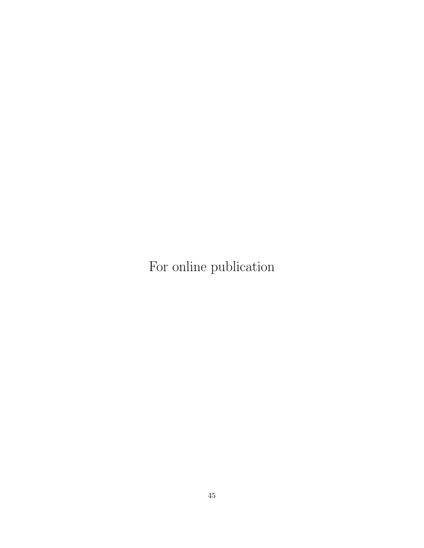For online publication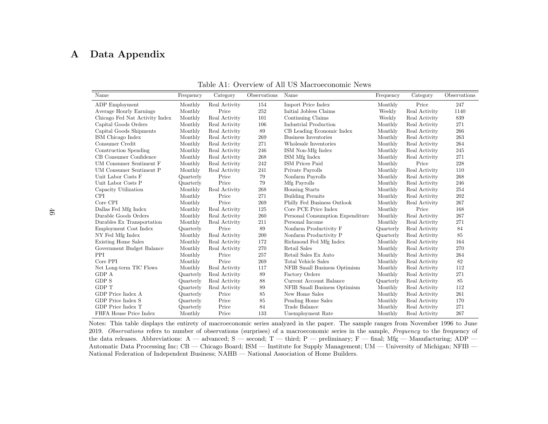# <span id="page-47-0"></span>A Data Appendix

| Name                           | Frequency | Category      | Observations | Name                             | Frequency | Category      | Observations |
|--------------------------------|-----------|---------------|--------------|----------------------------------|-----------|---------------|--------------|
| ADP Employment                 | Monthly   | Real Activity | 154          | Import Price Index               | Monthly   | Price         | 247          |
| Average Hourly Earnings        | Monthly   | Price         | 252          | Initial Jobless Claims           | Weekly    | Real Activity | 1140         |
| Chicago Fed Nat Activity Index | Monthly   | Real Activity | 101          | Continuing Claims                | Weekly    | Real Activity | 839          |
| Capital Goods Orders           | Monthly   | Real Activity | 106          | Industrial Production            | Monthly   | Real Activity | 271          |
| Capital Goods Shipments        | Monthly   | Real Activity | 89           | CB Leading Economic Index        | Monthly   | Real Activity | 266          |
| ISM Chicago Index              | Monthly   | Real Activity | 269          | Business Inventories             | Monthly   | Real Activity | 263          |
| Consumer Credit                | Monthly   | Real Activity | 271          | Wholesale Inventories            | Monthly   | Real Activity | 264          |
| Construction Spending          | Monthly   | Real Activity | 246          | ISM Non-Mfg Index                | Monthly   | Real Activity | 245          |
| CB Consumer Confidence         | Monthly   | Real Activity | 268          | ISM Mfg Index                    | Monthly   | Real Activity | 271          |
| <b>UM Consumer Sentiment F</b> | Monthly   | Real Activity | 242          | ISM Prices Paid                  | Monthly   | Price         | 228          |
| UM Consumer Sentiment P        | Monthly   | Real Activity | 241          | Private Payrolls                 | Monthly   | Real Activity | 110          |
| Unit Labor Costs F             | Quarterly | Price         | 79           | Nonfarm Payrolls                 | Monthly   | Real Activity | 268          |
| Unit Labor Costs P             | Quarterly | Price         | 79           | Mfg Payrolls                     | Monthly   | Real Activity | 246          |
| Capacity Utilization           | Monthly   | Real Activity | 268          | Housing Starts                   | Monthly   | Real Activity | 254          |
| <b>CPI</b>                     | Monthly   | Price         | 271          | <b>Building Permits</b>          | Monthly   | Real Activity | 202          |
| Core CPI                       | Monthly   | Price         | 269          | Philly Fed Business Outlook      | Monthly   | Real Activity | 267          |
| Dallas Fed Mfg Index           | Monthly   | Real Activity | 125          | Core PCE Price Index             | Monthly   | Price         | 168          |
| Durable Goods Orders           | Monthly   | Real Activity | 260          | Personal Consumption Expenditure | Monthly   | Real Activity | 267          |
| Durables Ex Transportation     | Monthly   | Real Activity | 211          | Personal Income                  | Monthly   | Real Activity | 271          |
| Employment Cost Index          | Quarterly | Price         | 89           | Nonfarm Productivity F           | Quarterly | Real Activity | 84           |
| NY Fed Mfg Index               | Monthly   | Real Activity | 200          | Nonfarm Productivity P           | Quarterly | Real Activity | 85           |
| <b>Existing Home Sales</b>     | Monthly   | Real Activity | 172          | Richmond Fed Mfg Index           | Monthly   | Real Activity | 164          |
| Government Budget Balance      | Monthly   | Real Activity | 270          | Retail Sales                     | Monthly   | Real Activity | 270          |
| PPI                            | Monthly   | Price         | 257          | Retail Sales Ex Auto             | Monthly   | Real Activity | 264          |
| Core PPI                       | Monthly   | Price         | 269          | Total Vehicle Sales              | Monthly   | Real Activity | 82           |
| Net Long-term TIC Flows        | Monthly   | Real Activity | 117          | NFIB Small Business Optimism     | Monthly   | Real Activity | 112          |
| GDP A                          | Quarterly | Real Activity | 89           | Factory Orders                   | Monthly   | Real Activity | 271          |
| GDP S                          | Quarterly | Real Activity | 88           | Current Account Balance          | Quarterly | Real Activity | 85           |
| <b>GDP T</b>                   | Quarterly | Real Activity | 89           | NFIB Small Business Optimism     | Monthly   | Real Activity | 112          |
| GDP Price Index A              | Quarterly | Price         | 85           | New Home Sales                   | Monthly   | Real Activity | 261          |
| GDP Price Index S              | Quarterly | Price         | 85           | Pending Home Sales               | Monthly   | Real Activity | 170          |
| GDP Price Index T              | Quarterly | Price         | 84           | Trade Balance                    | Monthly   | Real Activity | 271          |
| FHFA House Price Index         | Monthly   | Price         | 133          | Unemployment Rate                | Monthly   | Real Activity | 267          |

Table A1: Overview of All US Macroeconomic News

 Notes: This table displays the entirety of macroeconomic series analyzed in the paper. The sample ranges from November 1996 to June2019. Observations refers to number of observations (surprises) of a macroeconomic series in the sample, Frequency to the frequency of the data releases. Abbreviations: A — advanced; S — second; T — third; P — preliminary; F — final; Mfg — Manufacturing; ADP — Automatic Data Processing Inc; CB — Chicago Board; ISM — Institute for Supply Management; UM — University of Michigan; NFIB —National Federation of Independent Business; NAHB — National Association of Home Builders.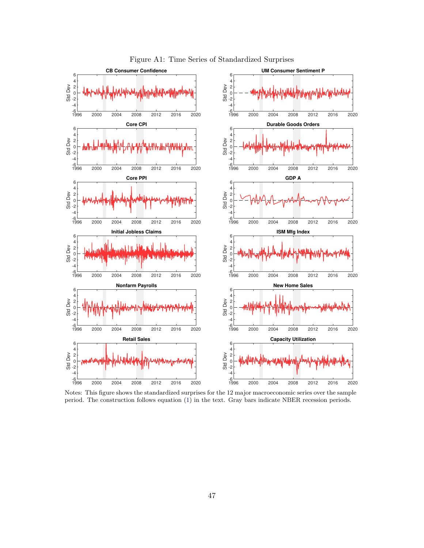

<span id="page-48-0"></span>Figure A1: Time Series of Standardized Surprises

Notes: This figure shows the standardized surprises for the 12 major macroeconomic series over the sample period. The construction follows equation [\(1\)](#page-8-1) in the text. Gray bars indicate NBER recession periods.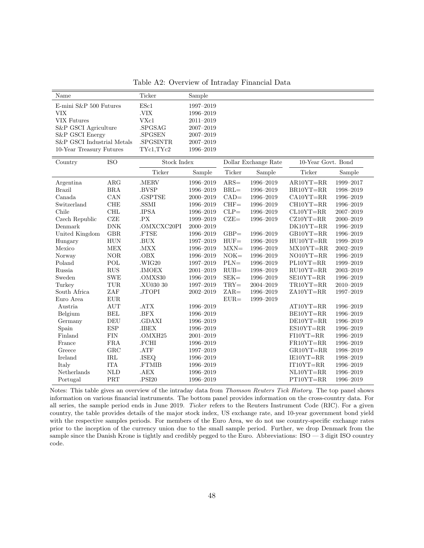<span id="page-49-0"></span>Table A2: Overview of Intraday Financial Data

| Name                       |                      | Ticker                       | Sample        |                                            |               |               |               |  |  |
|----------------------------|----------------------|------------------------------|---------------|--------------------------------------------|---------------|---------------|---------------|--|--|
| E-mini S&P 500 Futures     |                      | ESc1                         | 1997-2019     |                                            |               |               |               |  |  |
| <b>VIX</b>                 |                      |                              | 1996-2019     |                                            |               |               |               |  |  |
| <b>VIX Futures</b>         |                      | VXc1                         | 2011-2019     |                                            |               |               |               |  |  |
| S&P GSCI Agriculture       |                      | .SPGSAG                      | $2007 - 2019$ |                                            |               |               |               |  |  |
| S&P GSCI Energy            |                      | .SPGSEN                      | $2007 - 2019$ |                                            |               |               |               |  |  |
| S&P GSCI Industrial Metals |                      | .SPGSINTR                    | 2007-2019     |                                            |               |               |               |  |  |
| 10-Year Treasury Futures   |                      | TYc1,TYc2                    | 1996-2019     |                                            |               |               |               |  |  |
| Country                    | <b>ISO</b>           | <b>Stock Index</b>           |               | 10-Year Govt. Bond<br>Dollar Exchange Rate |               |               |               |  |  |
|                            |                      | Ticker<br>Sample             |               | Ticker                                     | Sample        | Ticker        | Sample        |  |  |
| Argentina                  | $\rm{ARG}$           | $\boldsymbol{.} \text{MERV}$ | 1996-2019     | $ARS =$                                    | 1996-2019     | $AR10YT = RR$ | 1999-2017     |  |  |
| <b>Brazil</b>              | <b>BRA</b>           | .BVSP                        | 1996-2019     | $BRL =$                                    | 1996-2019     | BR10YT=RR     | 1998-2019     |  |  |
| Canada                     | CAN                  | .GSPTSE                      | 2000-2019     | $CAD=$                                     | 1996-2019     | $CA10YT = RR$ | 1996-2019     |  |  |
| Switzerland                | <b>CHE</b>           | .SSMI                        | 1996-2019     | $CHF=$                                     | 1996-2019     | $CH10YT = RR$ | 1996-2019     |  |  |
| Chile                      | CHL                  | .IPSA                        | 1996-2019     | $CLP =$                                    | 1996-2019     | $CL10YT = RR$ | 2007-2019     |  |  |
| Czech Republic             | <b>CZE</b>           | .PX                          | 1999-2019     | $CZE=$                                     | 1996-2019     | $CZ10YT = RR$ | $2000 - 2019$ |  |  |
| Denmark                    | ${\rm DNK}$          | .OMXCXC20PI                  | $2000 - 2019$ |                                            |               | DK10YT=RR     | $1996 - 2019$ |  |  |
| United Kingdom             | GBR                  | .FTSE                        | 1996-2019     | $GBP=$                                     | 1996-2019     | GB10YT=RR     | 1996-2019     |  |  |
| Hungary                    | <b>HUN</b>           | .BUX                         | 1997-2019     | $HUF=$                                     | 1996-2019     | $HU10YT = RR$ | 1999-2019     |  |  |
| Mexico                     | MEX                  | .MXX                         | 1996-2019     | $MXN=$                                     | 1996-2019     | $MX10YT = RR$ | $2002 - 2019$ |  |  |
| Norway                     | <b>NOR</b>           | .OBX                         | 1996-2019     | $NOK=$                                     | 1996-2019     | $NO10YT = RR$ | 1996-2019     |  |  |
| Poland                     | $\operatorname{POL}$ | .WIG20                       | 1997-2019     | $PLN=$                                     | 1996-2019     | $PL10YT = RR$ | 1999-2019     |  |  |
| Russia                     | RUS                  | .IMOEX                       | $2001 - 2019$ | $RUB =$                                    | 1998-2019     | $RU10YT = RR$ | 2003-2019     |  |  |
| Sweden                     | <b>SWE</b>           | .OMXS30                      | 1996-2019     | $SEK =$                                    | 1996-2019     | SE10YT=RR     | 1996-2019     |  |  |
| Turkey                     | TUR                  | .XU030 30                    | 1997-2019     | $TRY =$                                    | $2004 - 2019$ | TR10YT=RR     | $2010 - 2019$ |  |  |
| South Africa               | ZAF                  | .JTOPI                       | $2002 - 2019$ | $ZAR =$                                    | 1996-2019     | $ZA10YT = RR$ | 1997-2019     |  |  |
| Euro Area                  | EUR                  |                              |               | $EUR =$                                    | 1999-2019     |               |               |  |  |
| Austria                    | <b>AUT</b>           | .ATX                         | 1996-2019     |                                            |               | AT10YT=RR     | 1996-2019     |  |  |
| Belgium                    | <b>BEL</b>           | .BFX                         | 1996-2019     |                                            |               | BE10YT=RR     | 1996-2019     |  |  |
| Germany                    | DEU                  | .GDAXI                       | 1996-2019     |                                            |               | DE10YT=RR     | 1996-2019     |  |  |
| Spain                      | <b>ESP</b>           | .IBEX                        | 1996-2019     |                                            |               | $ES10YT = RR$ | 1996-2019     |  |  |
| Finland                    | ${\rm FIN}$          | .OMXH25                      | $2001 - 2019$ |                                            |               | $FI10YT = RR$ | 1996-2019     |  |  |
| France                     | <b>FRA</b>           | .FCHI                        | 1996-2019     |                                            |               | $FR10YT = RR$ | 1996-2019     |  |  |
| Greece                     | GRC                  | .ATF                         | 1997-2019     |                                            |               | $GR10YT = RR$ | 1998-2019     |  |  |
| Ireland                    | $\operatorname{IRL}$ | .ISEQ                        | 1996-2019     |                                            |               | IE10YT=RR     | 1998-2019     |  |  |
| Italy                      | ${\rm ITA}$          | .FTMIB                       | 1996-2019     |                                            |               | $IT10YT = RR$ | 1996-2019     |  |  |
| Netherlands                | <b>NLD</b>           | .AEX                         | 1996-2019     |                                            |               | $NL10YT = RR$ | 1996-2019     |  |  |
| Portugal                   | PRT                  | .PSI20                       | 1996-2019     |                                            |               | $PT10YT = RR$ | 1996-2019     |  |  |

Notes: This table gives an overview of the intraday data from Thomson Reuters Tick History. The top panel shows information on various financial instruments. The bottom panel provides information on the cross-country data. For all series, the sample period ends in June 2019. Ticker refers to the Reuters Instrument Code (RIC). For a given country, the table provides details of the major stock index, US exchange rate, and 10-year government bond yield with the respective samples periods. For members of the Euro Area, we do not use country-specific exchange rates prior to the inception of the currency union due to the small sample period. Further, we drop Denmark from the sample since the Danish Krone is tightly and credibly pegged to the Euro. Abbreviations:  $ISO - 3$  digit ISO country code.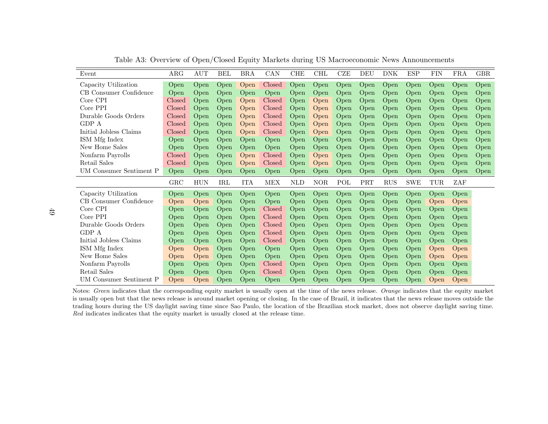| Event                   | ARG          | $\rm{AUT}$ | BEL        | <b>BRA</b> | CAN        | <b>CHE</b> | <b>CHL</b> | <b>CZE</b> | DEU                         | <b>DNK</b> | <b>ESP</b> | <b>FIN</b> | FRA  | GBR. |
|-------------------------|--------------|------------|------------|------------|------------|------------|------------|------------|-----------------------------|------------|------------|------------|------|------|
| Capacity Utilization    | Open         | Open       | Open       | Open       | Closed     | Open       | Open       | Open       | Open                        | Open       | Open       | Open       | Open | Open |
| CB Consumer Confidence  | Open         | Open       | Open       | Open       | Open       | Open       | Open       | Open       | Open                        | Open       | Open       | Open       | Open | Open |
| Core CPI                | Closed       | Open       | Open       | Open       | Closed     | Open       | Open       | Open       | Open                        | Open       | Open       | Open       | Open | Open |
| Core PPI                | Closed       | Open       | Open       | Open       | Closed     | Open       | Open       | Open       | Open                        | Open       | Open       | Open       | Open | Open |
| Durable Goods Orders    | Closed       | Open       | Open       | Open       | Closed     | Open       | Open       | Open       | Open                        | Open       | Open       | Open       | Open | Open |
| GDP A                   | Closed       | Open       | Open       | Open       | Closed     | Open       | Open       | Open       | Open                        | Open       | Open       | Open       | Open | Open |
| Initial Jobless Claims  | Closed       | Open       | Open       | Open       | Closed     | Open       | Open       | Open       | Open                        | Open       | Open       | Open       | Open | Open |
| ISM Mfg Index           | Open         | Open       | Open       | Open       | Open       | Open       | Open       | Open       | Open                        | Open       | Open       | Open       | Open | Open |
| New Home Sales          | Open         | Open       | Open       | Open       | Open       | Open       | Open       | Open       | Open                        | Open       | Open       | Open       | Open | Open |
| Nonfarm Payrolls        | Closed       | Open       | Open       | Open       | Closed     | Open       | Open       | Open       | Open                        | Open       | Open       | Open       | Open | Open |
| Retail Sales            | Closed       | Open       | Open       | Open       | Closed     | Open       | Open       | Open       | Open                        | Open       | Open       | Open       | Open | Open |
| UM Consumer Sentiment P | Open         | Open       | Open       | Open       | Open       | Open       | Open       | Open       | Open                        | Open       | Open       | Open       | Open | Open |
|                         | $_{\rm GRC}$ | <b>HUN</b> | <b>IRL</b> | <b>ITA</b> | <b>MEX</b> | <b>NLD</b> | <b>NOR</b> | POL        | $\ensuremath{\mathsf{PRT}}$ | <b>RUS</b> | <b>SWE</b> | TUR        | ZAF  |      |
| Capacity Utilization    | Open         | Open       | Open       | Open       | Open       | Open       | Open       | Open       | Open                        | Open       | Open       | Open       | Open |      |
| CB Consumer Confidence  | Open         | Open       | Open       | Open       | Open       | Open       | Open       | Open       | Open                        | Open       | Open       | Open       | Open |      |
| Core CPI                | Open         | Open       | Open       | Open       | Closed     | Open       | Open       | Open       | Open                        | Open       | Open       | Open       | Open |      |
| Core PPI                | Open         | Open       | Open       | Open       | Closed     | Open       | Open       | Open       | Open                        | Open       | Open       | Open       | Open |      |
| Durable Goods Orders    | Open         | Open       | Open       | Open       | Closed     | Open       | Open       | Open       | Open                        | Open       | Open       | Open       | Open |      |
| GDP A                   | Open         | Open       | Open       | Open       | Closed     | Open       | Open       | Open       | Open                        | Open       | Open       | Open       | Open |      |
| Initial Jobless Claims  | Open         | Open       | Open       | Open       | Closed     | Open       | Open       | Open       | Open                        | Open       | Open       | Open       | Open |      |
| ISM Mfg Index           | Open         | Open       | Open       | Open       | Open       | Open       | Open       | Open       | Open                        | Open       | Open       | Open       | Open |      |
| New Home Sales          | Open         | Open       | Open       | Open       | Open       | Open       | Open       | Open       | Open                        | Open       | Open       | Open       | Open |      |
| Nonfarm Payrolls        | Open         | Open       | Open       | Open       | Closed     | Open       | Open       | Open       | Open                        | Open       | Open       | Open       | Open |      |
| Retail Sales            | Open         | Open       | Open       | Open       | Closed     | Open       | Open       | Open       | Open                        | Open       | Open       | Open       | Open |      |
| UM Consumer Sentiment P | Open         | Open       | Open       | Open       | Open       | Open       | Open       | Open       | Open                        | Open       | Open       | Open       | Open |      |

<span id="page-50-0"></span>Table A3: Overview of Open/Closed Equity Markets during US Macroeconomic News Announcements

Notes: *Green* indicates that the corresponding equity market is usually open at the time of the news release. *Orange* indicates that the equity market is usually open but that the news release is around market opening or closing. In the case of Brazil, it indicates that the news release moves outside the trading hours during the US daylight saving time since Sao Paulo, the location of the Brazilian stock market, does not observe daylight saving time.Red indicates indicates that the equity market is usually closed at the release time.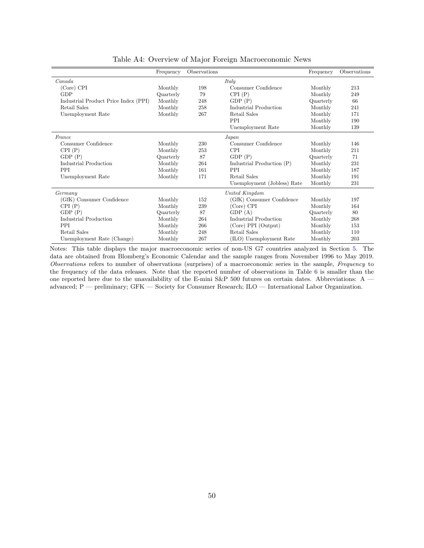|                                      | Frequency | Observations |                             | Frequency | Observations |
|--------------------------------------|-----------|--------------|-----------------------------|-----------|--------------|
| Canada                               |           |              | Italy                       |           |              |
| (Core) CPI                           | Monthly   | 198          | Consumer Confidence         | Monthly   | 213          |
| <b>GDP</b>                           | Quarterly | 79           | CPI(P)                      | Monthly   | 249          |
| Industrial Product Price Index (PPI) | Monthly   | 248          | GDP(P)                      | Quarterly | 66           |
| Retail Sales                         | Monthly   | 258          | Industrial Production       | Monthly   | 241          |
| Unemployment Rate                    | Monthly   | 267          | Retail Sales                | Monthly   | 171          |
|                                      |           |              | PPI                         | Monthly   | 190          |
|                                      |           |              | Unemployment Rate           | Monthly   | 139          |
| France                               |           |              | Japan                       |           |              |
| Consumer Confidence                  | Monthly   | 230          | Consumer Confidence         | Monthly   | 146          |
| CPI(P)                               | Monthly   | 253          | <b>CPI</b>                  | Monthly   | 211          |
| GDP(P)                               | Quarterly | 87           | GDP(P)                      | Quarterly | 71           |
| Industrial Production                | Monthly   | 264          | Industrial Production (P)   | Monthly   | 231          |
| <b>PPI</b>                           | Monthly   | 161          | <b>PPI</b>                  | Monthly   | 187          |
| Unemployment Rate                    | Monthly   | 171          | Retail Sales                | Monthly   | 191          |
|                                      |           |              | Unemployment (Jobless) Rate | Monthly   | 231          |
| Germany                              |           |              | United Kingdom              |           |              |
| (GfK) Consumer Confidence            | Monthly   | 152          | (GfK) Consumer Confidence   | Monthly   | 197          |
| CPI(P)                               | Monthly   | 239          | (Core) CPI                  | Monthly   | 164          |
| GDP(P)                               | Quarterly | 87           | GDP(A)                      | Quarterly | 80           |
| Industrial Production                | Monthly   | 264          | Industrial Production       | Monthly   | 268          |
| PPI                                  | Monthly   | 266          | (Core) PPI (Output)         | Monthly   | 153          |
| Retail Sales                         | Monthly   | 248          | Retail Sales                | Monthly   | 110          |
| Unemployment Rate (Change)           | Monthly   | 267          | (ILO) Unemployment Rate     | Monthly   | 203          |

<span id="page-51-0"></span>Table A4: Overview of Major Foreign Macroeconomic News

Notes: This table displays the major macroeconomic series of non-US G7 countries analyzed in Section [5.](#page-26-0) The data are obtained from Blomberg's Economic Calendar and the sample ranges from November 1996 to May 2019. Observations refers to number of observations (surprises) of a macroeconomic series in the sample, Frequency to the frequency of the data releases. Note that the reported number of observations in Table [6](#page-30-0) is smaller than the one reported here due to the unavailability of the E-mini S&P 500 futures on certain dates. Abbreviations: A advanced; P — preliminary; GFK — Society for Consumer Research; ILO — International Labor Organization.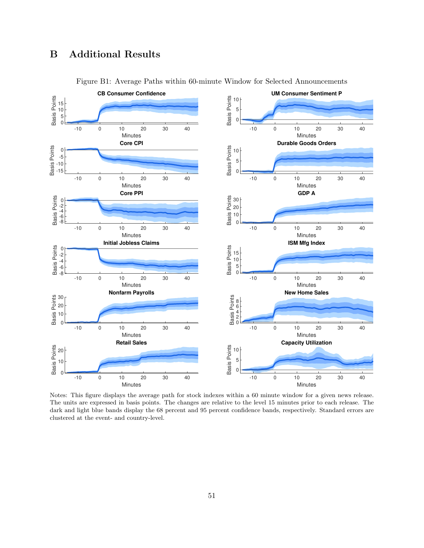# <span id="page-52-1"></span>B Additional Results



<span id="page-52-0"></span>Figure B1: Average Paths within 60-minute Window for Selected Announcements

Notes: This figure displays the average path for stock indexes within a 60 minute window for a given news release. The units are expressed in basis points. The changes are relative to the level 15 minutes prior to each release. The dark and light blue bands display the 68 percent and 95 percent confidence bands, respectively. Standard errors are clustered at the event- and country-level.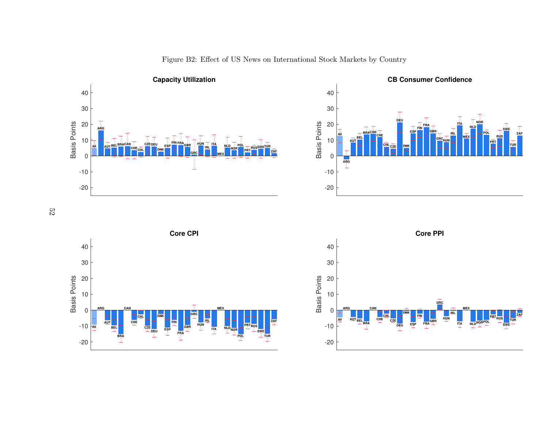

<span id="page-53-0"></span>

Figure B2: Effect of US News on International Stock Markets by Country





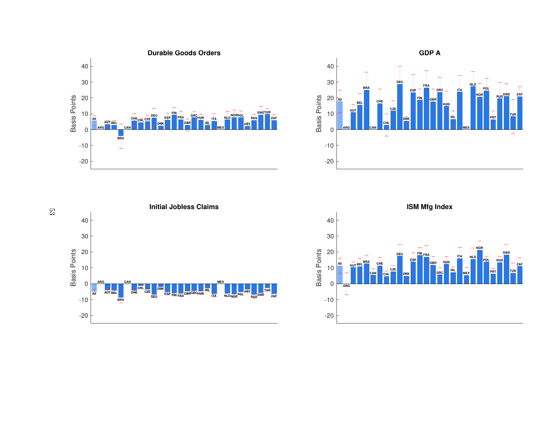







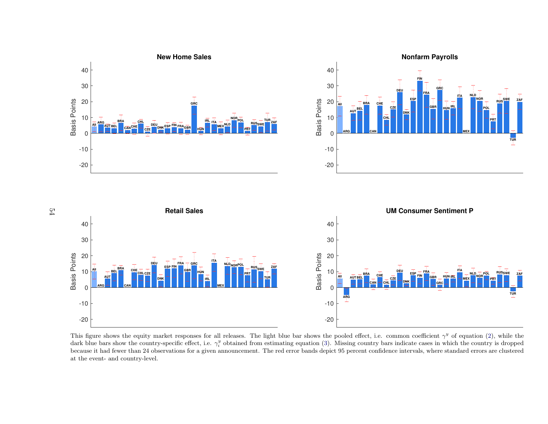

This figure shows the equity market responses for all releases. The light blue bar shows the pooled effect, i.e. common coefficient  $\gamma^y$  of equation [\(2\)](#page-11-3), while the dark blue bars show the country-specific effect, i.e.  $\gamma_i^y$  obtained from estimating equation [\(3\)](#page-12-1). Missing country bars indicate cases in which the country is dropped because it had fewer than 24 observations for <sup>a</sup> given announcement. The red error bands depict 95 percent confidence intervals, where standard errors are clusteredat the event- and country-level.

 $54\,$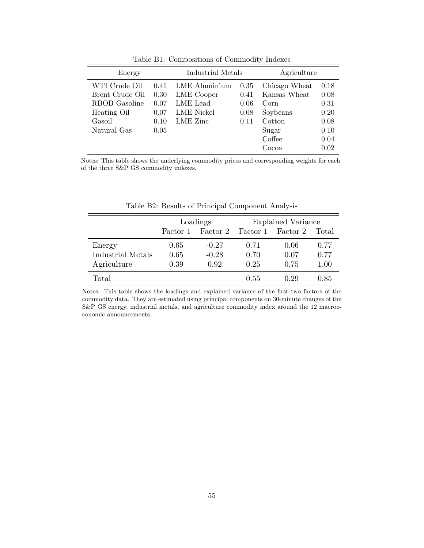| Energy          |      | Industrial Metals    |      | Agriculture   |      |  |
|-----------------|------|----------------------|------|---------------|------|--|
| WTI Crude Oil   | 0.41 | <b>LME</b> Aluminium | 0.35 | Chicago Wheat | 0.18 |  |
| Brent Crude Oil | 0.30 | LME Cooper           | 0.41 | Kansas Wheat  | 0.08 |  |
| RBOB Gasoline   | 0.07 | LME Lead             | 0.06 | Corn          | 0.31 |  |
| Heating Oil     | 0.07 | LME Nickel           | 0.08 | Soybeans      | 0.20 |  |
| Gasoil          | 0.10 | LME Zinc             | 0.11 | Cotton        | 0.08 |  |
| Natural Gas     | 0.05 |                      |      | Sugar         | 0.10 |  |
|                 |      |                      |      | Coffee        | 0.04 |  |
|                 |      |                      |      | Cocoa         | 0.02 |  |

<span id="page-56-0"></span>Table B1: Compositions of Commodity Indexes

Notes: This table shows the underlying commodity prices and corresponding weights for each of the three S&P GS commodity indexes.

|                   |          | Loadings | Explained Variance |          |       |  |
|-------------------|----------|----------|--------------------|----------|-------|--|
|                   | Factor 1 | Factor 2 | Factor 1           | Factor 2 | Total |  |
| Energy            | 0.65     | $-0.27$  | 0.71               | 0.06     | 0.77  |  |
| Industrial Metals | 0.65     | $-0.28$  | 0.70               | 0.07     | 0.77  |  |
| Agriculture       | 0.39     | 0.92     | 0.25               | 0.75     | 1.00  |  |
| Total             |          |          | 0.55               | 0.29     | 0.85  |  |

<span id="page-56-1"></span>Table B2: Results of Principal Component Analysis

Notes: This table shows the loadings and explained variance of the first two factors of the commodity data. They are estimated using principal components on 30-minute changes of the S&P GS energy, industrial metals, and agriculture commodity index around the 12 macroeconomic announcements.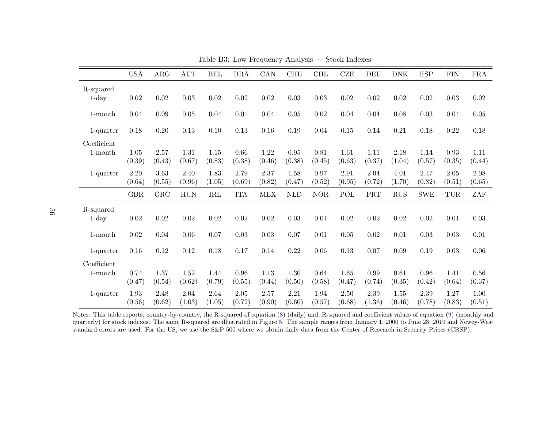|              | <b>USA</b>     | $\rm{ARG}$     | $\mathop{\rm AUT}$ | <b>BEL</b>     | <b>BRA</b>     | CAN            | CHE            | $\rm CHL$      | CZE            | <b>DEU</b>     | <b>DNK</b>     | <b>ESP</b>     | <b>FIN</b>           | ${\rm FRA}$    |
|--------------|----------------|----------------|--------------------|----------------|----------------|----------------|----------------|----------------|----------------|----------------|----------------|----------------|----------------------|----------------|
| R-squared    |                |                |                    |                |                |                |                |                |                |                |                |                |                      |                |
| $1$ -day     | 0.02           | 0.02           | $0.03\,$           | 0.02           | $0.02\,$       | 0.02           | $0.03\,$       | 0.03           | 0.02           | $0.02\,$       | 0.02           | 0.02           | 0.03                 | 0.02           |
| $1$ -month   | 0.04           | 0.09           | 0.05               | 0.04           | 0.01           | 0.04           | $0.05\,$       | $0.02\,$       | 0.04           | 0.04           | 0.08           | 0.03           | 0.04                 | 0.05           |
| 1-quarter    | 0.18           | 0.20           | $0.13\,$           | 0.10           | $0.13\,$       | 0.16           | 0.19           | 0.04           | 0.15           | 0.14           | $\rm 0.21$     | 0.18           | 0.22                 | 0.18           |
| Coefficient  |                |                |                    |                |                |                |                |                |                |                |                |                |                      |                |
| $1$ -month   | 1.05<br>(0.39) | 2.57<br>(0.43) | 1.31<br>(0.67)     | 1.15<br>(0.83) | 0.66<br>(0.38) | 1.22<br>(0.46) | 0.95<br>(0.38) | 0.81<br>(0.45) | 1.61<br>(0.63) | 1.11<br>(0.37) | 2.18<br>(1.04) | 1.14<br>(0.57) | 0.93<br>(0.35)       | 1.11<br>(0.44) |
| $1$ -quarter | 2.20<br>(0.64) | 3.63<br>(0.55) | 2.40<br>(0.96)     | 1.83<br>(1.05) | 2.79<br>(0.69) | 2.37<br>(0.82) | 1.58<br>(0.47) | 0.97<br>(0.52) | 2.91<br>(0.95) | 2.04<br>(0.72) | 4.01<br>(1.70) | 2.47<br>(0.82) | $2.05\,$<br>(0.51)   | 2.08<br>(0.65) |
|              | GBR            | GRC            | <b>HUN</b>         | IRL            | <b>ITA</b>     | <b>MEX</b>     | <b>NLD</b>     | <b>NOR</b>     | POL            | $\rm{PRT}$     | RUS            | <b>SWE</b>     | $\operatorname{TUR}$ | ZAF            |
| R-squared    |                |                |                    |                |                |                |                |                |                |                |                |                |                      |                |
| $1$ -day     | 0.02           | $0.02\,$       | $0.02\,$           | 0.02           | $0.02\,$       | 0.02           | 0.03           | $0.01\,$       | 0.02           | $0.02\,$       | $0.02\,$       | 0.02           | $0.01\,$             | 0.03           |
| $1$ -month   | 0.02           | 0.04           | 0.06               | 0.07           | 0.03           | 0.03           | 0.07           | 0.01           | $0.05\,$       | 0.02           | 0.01           | 0.03           | 0.03                 | 0.01           |
| $1$ -quarter | 0.16           | 0.12           | 0.12               | 0.18           | 0.17           | 0.14           | 0.22           | $0.06\,$       | 0.13           | $0.07\,$       | 0.09           | 0.19           | 0.03                 | 0.06           |
| Coefficient  |                |                |                    |                |                |                |                |                |                |                |                |                |                      |                |
| $1$ -month   | 0.74<br>(0.47) | 1.37<br>(0.54) | 1.52<br>(0.62)     | 1.44<br>(0.79) | 0.96<br>(0.55) | 1.13<br>(0.44) | 1.30<br>(0.50) | 0.64<br>(0.58) | 1.65<br>(0.47) | 0.99<br>(0.74) | 0.61<br>(0.35) | 0.96<br>(0.42) | 1.41<br>(0.64)       | 0.56<br>(0.37) |
| 1-quarter    | 1.93<br>(0.56) | 2.48<br>(0.62) | 2.04<br>(1.03)     | 2.64<br>(1.05) | 2.05<br>(0.72) | 2.57<br>(0.90) | 2.21<br>(0.60) | 1.94<br>(0.57) | 2.50<br>(0.68) | 2.39<br>(1.36) | 1.55<br>(0.46) | 2.39<br>(0.78) | 1.27<br>(0.83)       | 1.00<br>(0.51) |

<span id="page-57-0"></span>Table B3: Low Frequency Analysis — Stock Indexes

Notes: This table reports, country-by-country, the R-squared of equation [\(8\)](#page-23-5) (daily) and, R-squared and coefficient values of equation ([9\)](#page-23-6) (monthly and quarterly) for stock indexes. The same R-squared are illustrated in Figure [5.](#page-24-2) The sample ranges from January 1, <sup>2000</sup> to June 28, <sup>2019</sup> and Newey-West standard errors are used. For the US, we use the S&P <sup>500</sup> where we obtain daily data from the Center of Research in Security Prices (CRSP).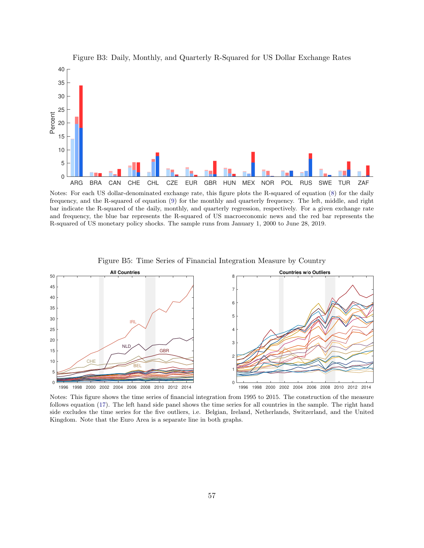

<span id="page-58-0"></span>Figure B3: Daily, Monthly, and Quarterly R-Squared for US Dollar Exchange Rates

Notes: For each US dollar-denominated exchange rate, this figure plots the R-squared of equation [\(8\)](#page-23-2) for the daily frequency, and the R-squared of equation [\(9\)](#page-23-4) for the monthly and quarterly frequency. The left, middle, and right bar indicate the R-squared of the daily, monthly, and quarterly regression, respectively. For a given exchange rate and frequency, the blue bar represents the R-squared of US macroeconomic news and the red bar represents the R-squared of US monetary policy shocks. The sample runs from January 1, 2000 to June 28, 2019.



<span id="page-58-1"></span>Figure B5: Time Series of Financial Integration Measure by Country

Notes: This figure shows the time series of financial integration from 1995 to 2015. The construction of the measure follows equation [\(17\)](#page-35-2). The left hand side panel shows the time series for all countries in the sample. The right hand side excludes the time series for the five outliers, i.e. Belgian, Ireland, Netherlands, Switzerland, and the United Kingdom. Note that the Euro Area is a separate line in both graphs.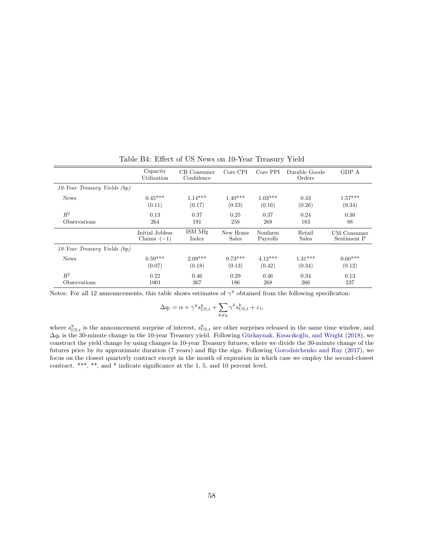|                                   | Capacity<br>Utilization | CB Consumer<br>Confidence | Core CPI     | Core PPI  | Durable Goods<br>Orders | GDP A              |
|-----------------------------------|-------------------------|---------------------------|--------------|-----------|-------------------------|--------------------|
| $10$ -Year Treasury Yields $(bp)$ |                         |                           |              |           |                         |                    |
| <b>News</b>                       | $0.45***$               | $1.14***$                 | $1.40***$    | $1.03***$ | 0.43                    | $1.57***$          |
|                                   | (0.11)                  | (0.17)                    | (0.23)       | (0.16)    | (0.26)                  | (0.34)             |
| $R^2$                             | 0.13                    | 0.37                      | 0.25         | 0.37      | 0.24                    | 0.30               |
| Observations                      | 264                     | 191                       | 258          | 268       | 183                     | 88                 |
|                                   | Initial Jobless         | ISM Mfg                   | New Home     | Nonfarm   | Retail                  | <b>UM</b> Consumer |
|                                   | Claims $\cdot(-1)$      | Index                     | <b>Sales</b> | Payrolls  | <b>Sales</b>            | Sentiment P        |
| 10-Year Treasury Yields (bp)      |                         |                           |              |           |                         |                    |
| <b>News</b>                       | $0.59***$               | $2.09***$                 | $0.73***$    | $4.12***$ | $1.31***$               | $0.60***$          |
|                                   | (0.07)                  | (0.18)                    | (0.13)       | (0.42)    | (0.34)                  | (0.12)             |
| $R^2$                             | 0.22                    | 0.46                      | 0.29         | 0.46      | 0.34                    | 0.13               |
| Observations                      | 1001                    | 267                       | 186          | 268       | 266                     | 237                |

<span id="page-59-0"></span>Table B4: Effect of US News on 10-Year Treasury Yield

Notes: For all 12 announcements, this table shows estimates of  $\gamma^y$  obtained from the following specificaton:

$$
\Delta q_t = \alpha + \gamma^y s_{US,t}^y + \sum_{k \neq y} \gamma^k s_{US,t}^k + \varepsilon_t,
$$

where  $s_{US,t}^y$  is the announcement surprise of interest,  $s_{US,t}^k$  are other surprises released in the same time window, and  $\Delta q_t$  is the 30-minute change in the 10-year Treasury yield. Following Gürkaynak, Kısacıkoğlu, and Wright [\(2018\)](#page-44-5), we construct the yield change by using changes in 10-year Treasury futures, where we divide the 30-minute change of the futures price by its approximate duration (7 years) and flip the sign. Following [Gorodnichenko and Ray](#page-43-14) [\(2017\)](#page-43-14), we focus on the closest quarterly contract except in the month of expiration in which case we employ the second-closest contract. \*\*\*, \*\*, and \* indicate significance at the 1, 5, and 10 percent level.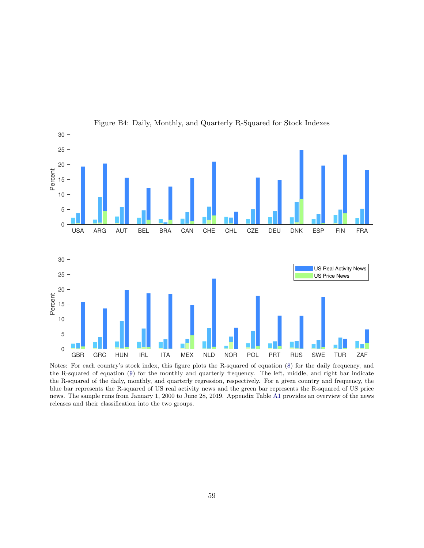

<span id="page-60-0"></span>Figure B4: Daily, Monthly, and Quarterly R-Squared for Stock Indexes

Notes: For each country's stock index, this figure plots the R-squared of equation [\(8\)](#page-23-2) for the daily frequency, and the R-squared of equation [\(9\)](#page-23-4) for the monthly and quarterly frequency. The left, middle, and right bar indicate the R-squared of the daily, monthly, and quarterly regression, respectively. For a given country and frequency, the blue bar represents the R-squared of US real activity news and the green bar represents the R-squared of US price news. The sample runs from January 1, 2000 to June 28, 2019. Appendix Table [A1](#page-47-0) provides an overview of the news releases and their classification into the two groups.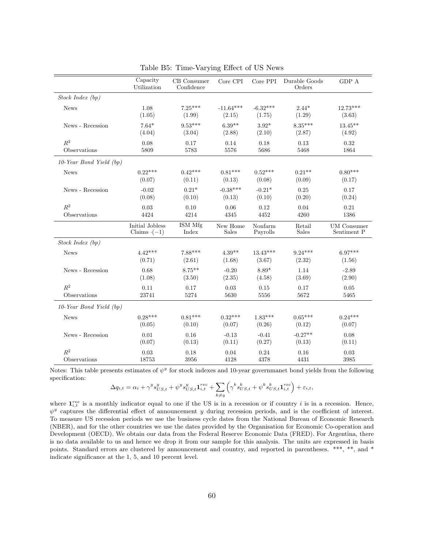|                            | Capacity<br>Utilization | CB Consumer<br>Confidence | Core CPI     | Core PPI   | Durable Goods<br>Orders | GDP A              |
|----------------------------|-------------------------|---------------------------|--------------|------------|-------------------------|--------------------|
| Stock Index(bp)            |                         |                           |              |            |                         |                    |
| <b>News</b>                | 1.08                    | $7.25***$                 | $-11.64***$  | $-6.32***$ | $2.44*$                 | $12.73***$         |
|                            | (1.05)                  | (1.99)                    | (2.15)       | (1.75)     | (1.29)                  | (3.63)             |
| News - Recession           | $7.64*$                 | $9.53***$                 | $6.39**$     | $3.92*$    | $8.35***$               | $13.45***$         |
|                            | (4.04)                  | (3.04)                    | (2.88)       | (2.10)     | (2.87)                  | (4.92)             |
| $R^2$                      | 0.08                    | 0.17                      | 0.14         | 0.18       | 0.13                    | 0.32               |
| Observations               | 5809                    | 5783                      | 5576         | 5686       | 5468                    | 1864               |
| $10$ -Year Bond Yield (bp) |                         |                           |              |            |                         |                    |
| <b>News</b>                | $0.22***$               | $0.42***$                 | $0.81***$    | $0.52***$  | $0.21**$                | $0.80***$          |
|                            | (0.07)                  | (0.11)                    | (0.13)       | (0.08)     | (0.09)                  | (0.17)             |
| News - Recession           | $-0.02$                 | $0.21*$                   | $-0.38***$   | $-0.21*$   | 0.25                    | 0.17               |
|                            | (0.08)                  | (0.10)                    | (0.13)       | (0.10)     | (0.20)                  | (0.24)             |
| $R^2$                      | 0.03                    | 0.10                      | 0.06         | 0.12       | 0.04                    | 0.21               |
| Observations               | 4424                    | 4214                      | 4345         | 4452       | 4260                    | 1386               |
|                            | Initial Jobless         | ISM Mfg                   | New Home     | Nonfarm    | Retail                  | <b>UM</b> Consumer |
|                            | Claims $\cdot(-1)$      | Index                     | <b>Sales</b> | Payrolls   | <b>Sales</b>            | Sentiment P        |
| Stock Index(bp)            |                         |                           |              |            |                         |                    |
| <b>News</b>                | $4.42***$               | $7.88***$                 | $4.39**$     | $13.43***$ | $9.24***$               | $6.97***$          |
|                            | (0.71)                  | (2.61)                    | (1.68)       | (3.67)     | (2.32)                  | (1.56)             |
| News - Recession           | 0.68                    | $8.75***$                 | $-0.20$      | 8.89*      | 1.14                    | $-2.89$            |
|                            | (1.08)                  | (3.50)                    | (2.35)       | (4.58)     | (3.69)                  | (2.90)             |
| $R^2$                      | 0.11                    | 0.17                      | 0.03         | 0.15       | 0.17                    | 0.05               |
| Observations               | 23741                   | 5274                      | 5630         | 5556       | 5672                    | 5465               |
| 10-Year Bond Yield (bp)    |                         |                           |              |            |                         |                    |
| <b>News</b>                | $0.28***$               | $0.81***$                 | $0.32***$    | $1.83***$  | $0.65***$               | $0.24***$          |
|                            | (0.05)                  | (0.10)                    | (0.07)       | (0.26)     | (0.12)                  | (0.07)             |
| News - Recession           | 0.01                    | 0.16                      | $-0.13$      | $-0.41$    | $-0.27**$               | 0.08               |
|                            | (0.07)                  | (0.13)                    | (0.11)       | (0.27)     | (0.13)                  | (0.11)             |
| $R^2$                      | 0.03                    | 0.18                      | 0.04         | 0.24       | 0.16                    | 0.03               |
| Observations               | 18753                   | 3956                      | 4128         | 4378       | 4431                    | 3985               |

<span id="page-61-0"></span>Table B5: Time-Varying Effect of US News

Notes: This table presents estimates of  $\psi^y$  for stock indexes and 10-year governmanet bond yields from the following specification:

$$
\Delta q_{i,t} = \alpha_i + \gamma^y s_{US,t}^y + \psi^y s_{US,t}^y \mathbf{1}_{i,t}^{rec} + \sum_{k \neq y} \left( \gamma^k s_{US,t}^k + \psi^k s_{US,t}^k \mathbf{1}_{i,t}^{rec} \right) + \varepsilon_{i,t},
$$

where  $\mathbf{1}_{i,t}^{rec}$  is a monthly indicator equal to one if the US is in a recession or if country i is in a recession. Hence,  $\psi^y$  captures the differential effect of announcement y during recession periods, and is the coefficient of interest. To measure US recession periods we use the business cycle dates from the National Bureau of Economic Research (NBER), and for the other countries we use the dates provided by the Organisation for Economic Co-operation and Development (OECD). We obtain our data from the Federal Reserve Economic Data (FRED). For Argentina, there is no data available to us and hence we drop it from our sample for this analysis. The units are expressed in basis points. Standard errors are clustered by announcement and country, and reported in parentheses. \*\*\*, \*\*, and \* indicate significance at the 1, 5, and 10 percent level.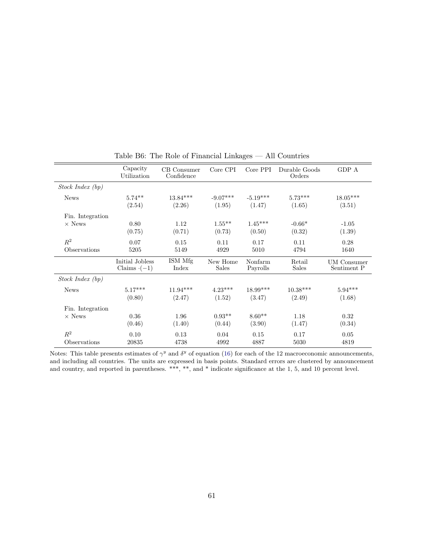|                  | Capacity<br>Utilization          | CB Consumer<br>Confidence | Core CPI                 | Core PPI            | Durable Goods<br>Orders | GDP A                      |
|------------------|----------------------------------|---------------------------|--------------------------|---------------------|-------------------------|----------------------------|
| Stock Index (bp) |                                  |                           |                          |                     |                         |                            |
| <b>News</b>      | $5.74***$                        | $13.84***$                | $-9.07***$               | $-5.19***$          | $5.73***$               | $18.05^{***}\,$            |
|                  | (2.54)                           | (2.26)                    | (1.95)                   | (1.47)              | (1.65)                  | (3.51)                     |
| Fin. Integration |                                  |                           |                          |                     |                         |                            |
| $\times$ News    | 0.80                             | 1.12                      | $1.55***$                | $1.45***$           | $-0.66*$                | $-1.05$                    |
|                  | (0.75)                           | (0.71)                    | (0.73)                   | (0.50)              | (0.32)                  | (1.39)                     |
| $\mathbb{R}^2$   | 0.07                             | 0.15                      | 0.11                     | 0.17                | 0.11                    | 0.28                       |
| Observations     | 5205                             | 5149                      | 4929                     | 5010                | 4794                    | 1640                       |
|                  | Initial Jobless<br>Claims $(-1)$ | ISM Mfg<br>Index          | New Home<br><b>Sales</b> | Nonfarm<br>Payrolls | Retail<br><b>Sales</b>  | UM Consumer<br>Sentiment P |
| Stock Index (bp) |                                  |                           |                          |                     |                         |                            |
| <b>News</b>      | $5.17***$                        | $11.94***$                | $4.23***$                | 18.99***            | $10.38***$              | $5.94***$                  |
|                  | (0.80)                           | (2.47)                    | (1.52)                   | (3.47)              | (2.49)                  | (1.68)                     |
| Fin. Integration |                                  |                           |                          |                     |                         |                            |
| $\times$ News    | 0.36                             | 1.96                      | $0.93**$                 | $8.60**$            | 1.18                    | 0.32                       |
|                  | (0.46)                           | (1.40)                    | (0.44)                   | (3.90)              | (1.47)                  | (0.34)                     |
| $\mathbb{R}^2$   | 0.10                             | 0.13                      | 0.04                     | 0.15                | 0.17                    | 0.05                       |
| Observations     | 20835                            | 4738                      | 4992                     | 4887                | 5030                    | 4819                       |

<span id="page-62-0"></span>Table B6: The Role of Financial Linkages — All Countries

Notes: This table presents estimates of  $\gamma^y$  and  $\delta^y$  of equation [\(16\)](#page-35-0) for each of the 12 macroeconomic announcements, and including all countries. The units are expressed in basis points. Standard errors are clustered by announcement and country, and reported in parentheses. \*\*\*, \*\*, and \* indicate significance at the 1, 5, and 10 percent level.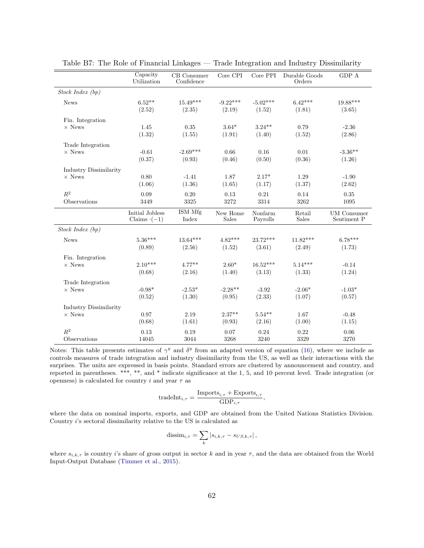|                        | Capacity<br>Utilization               | CB Consumer<br>Confidence | Core CPI                 | Core PPI             | Durable Goods<br>Orders | ${\rm GDP}$ A                     |
|------------------------|---------------------------------------|---------------------------|--------------------------|----------------------|-------------------------|-----------------------------------|
| Stock Index (bp)       |                                       |                           |                          |                      |                         |                                   |
| <b>News</b>            | $6.52**$<br>(2.52)                    | $15.49***$<br>(2.35)      | $-9.22***$<br>(2.19)     | $-5.02***$<br>(1.52) | $6.42***$<br>(1.81)     | $19.88***$<br>(3.65)              |
| Fin. Integration       |                                       |                           |                          |                      |                         |                                   |
| $\times$ News          | 1.45<br>(1.32)                        | 0.35<br>(1.55)            | $3.64*$<br>(1.91)        | $3.24**$<br>(1.40)   | 0.79<br>(1.52)          | $-2.36$<br>(2.86)                 |
| Trade Integration      |                                       |                           |                          |                      |                         |                                   |
| $\times$ News          | $-0.61$<br>(0.37)                     | $-2.69***$<br>(0.93)      | 0.66<br>(0.46)           | 0.16<br>(0.50)       | 0.01<br>(0.36)          | $-3.36**$<br>(1.26)               |
| Industry Dissimilarity |                                       |                           |                          |                      |                         |                                   |
| $\times$ News          | 0.80<br>(1.06)                        | $-1.41$<br>(1.36)         | 1.87<br>(1.65)           | $2.17*$<br>(1.17)    | 1.29<br>(1.37)          | $-1.90$<br>(2.62)                 |
| $\mathbb{R}^2$         | 0.09                                  | 0.20                      | 0.13                     | 0.21                 | 0.14                    | 0.35                              |
| Observations           | 3449                                  | 3325                      | 3272                     | 3314                 | 3262                    | 1095                              |
|                        | Initial Jobless<br>Claims $\cdot(-1)$ | ISM Mfg<br>Index          | New Home<br><b>Sales</b> | Nonfarm<br>Payrolls  | Retail<br><b>Sales</b>  | <b>UM</b> Consumer<br>Sentiment P |
| Stock Index(bp)        |                                       |                           |                          |                      |                         |                                   |
| <b>News</b>            | $5.36***$<br>(0.89)                   | $13.64***$<br>(2.56)      | $4.82***$<br>(1.52)      | $23.72***$<br>(3.61) | $11.82***$<br>(2.49)    | $6.78***$<br>(1.73)               |
| Fin. Integration       |                                       |                           |                          |                      |                         |                                   |
| $\times$ News          | $2.10***$                             | $4.77***$                 | $2.60*$                  | $16.52***$           | $5.14***$               | $-0.14$                           |
|                        | (0.68)                                | (2.16)                    | (1.40)                   | (3.13)               | (1.33)                  | (1.24)                            |
| Trade Integration      |                                       |                           |                          |                      |                         |                                   |
| $\times$ News          | $-0.98*$                              | $-2.53*$                  | $-2.28**$                | $-3.92$              | $-2.06*$                | $-1.03*$                          |
|                        | (0.52)                                | (1.30)                    | (0.95)                   | (2.33)               | (1.07)                  | (0.57)                            |
| Industry Dissimilarity |                                       |                           |                          |                      |                         |                                   |
| $\times$ News          | 0.97<br>(0.68)                        | 2.19<br>(1.61)            | $2.37**$<br>(0.93)       | $5.54**$<br>(2.16)   | 1.67<br>(1.00)          | $-0.48$<br>(1.15)                 |
| $R^2$                  | 0.13                                  | 0.19                      | 0.07                     | 0.24                 | 0.22                    | 0.06                              |
| Observations           | 14045                                 | 3044                      | 3268                     | 3240                 | 3329                    | 3270                              |

<span id="page-63-0"></span>Table B7: The Role of Financial Linkages — Trade Integration and Industry Dissimilarity

Notes: This table presents estimates of  $\gamma^y$  and  $\delta^y$  from an adapted version of equation [\(16\)](#page-35-0), where we include as controls measures of trade integration and industry dissimilarity from the US, as well as their interactions with the surprises. The units are expressed in basis points. Standard errors are clustered by announcement and country, and reported in parentheses. \*\*\*, \*\*, and \* indicate significance at the 1, 5, and 10 percent level. Trade integration (or openness) is calculated for country  $i$  and year  $\tau$  as

$$
tradeInt_{i,\tau} = \frac{Imports_{i,\tau} + Exports_{i,\tau}}{GDP_{i,\tau}},
$$

where the data on nominal imports, exports, and GDP are obtained from the United Nations Statistics Division. Country i's sectoral dissimilarity relative to the US is calculated as

$$
\text{dissim}_{i,\tau} = \sum_{k} |s_{i,k,\tau} - s_{US,k,\tau}|,
$$

where  $s_{i,k,\tau}$  is country i's share of gross output in sector k and in year  $\tau$ , and the data are obtained from the World Input-Output Database [\(Timmer et al.,](#page-45-12) [2015\)](#page-45-12).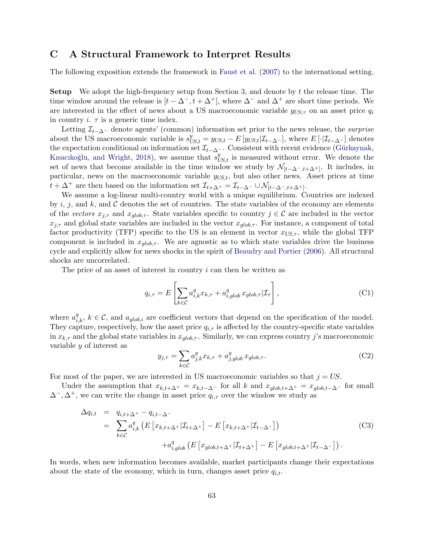# <span id="page-64-0"></span>C A Structural Framework to Interpret Results

The following exposition extends the framework in [Faust et al.](#page-43-2) [\(2007\)](#page-43-2) to the international setting.

Setup We adopt the high-frequency setup from Section [3,](#page-10-0) and denote by t the release time. The time window around the release is  $[t - \Delta^{-}, t + \Delta^{+}]$ , where  $\Delta^{-}$  and  $\Delta^{+}$  are short time periods. We are interested in the effect of news about a US macroeconomic variable  $y_{US,\tau}$  on an asset price  $q_i$ in country  $i$ .  $\tau$  is a generic time index.

Letting  $\mathcal{I}_{t-\Delta^-}$  denote agents' (common) information set prior to the news release, the *surprise* about the US macroeconomic variable is  $s_{US,t}^y = y_{US,t} - E[y_{US,t}|\mathcal{I}_{t-\Delta^{-}}]$ , where  $E[\cdot|\mathcal{I}_{t-\Delta^{-}}]$  denotes the expectation conditional on information set  $\mathcal{I}_{t-\Delta^{-}}$ . Consistent with recent evidence (Gürkaynak, Kısacıkoğlu, and Wright, [2018\)](#page-44-5), we assume that  $s_{US,t}^y$  is measured without error. We denote the set of news that become available in the time window we study by  $\mathcal{N}_{[t-\Delta^-,t+\Delta^+]}$ . It includes, in particular, news on the macroeconomic variable  $y_{U,S,t}$ , but also other news. Asset prices at time  $t + \Delta^+$  are then based on the information set  $\mathcal{I}_{t+\Delta^+} = \mathcal{I}_{t-\Delta^-} \cup \mathcal{N}_{[t-\Delta^-, t+\Delta^+]}$ .

We assume a log-linear multi-country world with a unique equilibrium. Countries are indexed by i, j, and k, and C denotes the set of countries. The state variables of the economy are elements of the vectors  $x_{j,\tau}$  and  $x_{glob,\tau}$ . State variables specific to country  $j \in \mathcal{C}$  are included in the vector  $x_{j,\tau}$  and global state variables are included in the vector  $x_{glob,\tau}$ . For instance, a component of total factor productivity (TFP) specific to the US is an element in vector  $x_{US,\tau}$ , while the global TFP component is included in  $x_{q\ell_0b,\tau}$ . We are agnostic as to which state variables drive the business cycle and explicitly allow for news shocks in the spirit of [Beaudry and Portier](#page-41-13) [\(2006\)](#page-41-13). All structural shocks are uncorrelated.

The price of an asset of interest in country  $i$  can then be written as

$$
q_{i,\tau} = E\left[\sum_{k \in \mathcal{C}} a_{i,k}^q x_{k,\tau} + a_{i,glob}^q x_{glob,\tau} | \mathcal{I}_{\tau}\right],
$$
\n(C1)

where  $a_{i,k}^q$ ,  $k \in \mathcal{C}$ , and  $a_{glob,i}$  are coefficient vectors that depend on the specification of the model. They capture, respectively, how the asset price  $q_{i,\tau}$  is affected by the country-specific state variables in  $x_{k,\tau}$  and the global state variables in  $x_{qlob,\tau}$ . Similarly, we can express country j's macroeconomic variable y of interest as

$$
y_{j,\tau} = \sum_{k \in \mathcal{C}} a_{j,k}^y x_{k,\tau} + a_{j,glob}^y x_{glob,\tau}.
$$
 (C2)

For most of the paper, we are interested in US macroeconomic variables so that  $j = US$ .

Under the assumption that  $x_{k,t+\Delta^+} = x_{k,t-\Delta^-}$  for all k and  $x_{glob,t+\Delta^+} = x_{glob,t-\Delta^-}$  for small  $\Delta^{-}, \Delta^{+}$ , we can write the change in asset price  $q_{i,\tau}$  over the window we study as

<span id="page-64-1"></span>
$$
\Delta q_{i,t} = q_{i,t+\Delta^{+}} - q_{i,t-\Delta^{-}}
$$
\n
$$
= \sum_{k \in \mathcal{C}} a_{i,k}^{q} \left( E \left[ x_{k,t+\Delta^{+}} | \mathcal{I}_{t+\Delta^{+}} \right] - E \left[ x_{k,t+\Delta^{+}} | \mathcal{I}_{t-\Delta^{-}} \right] \right)
$$
\n
$$
+ a_{i,glob}^{q} \left( E \left[ x_{glob,t+\Delta^{+}} | \mathcal{I}_{t+\Delta^{+}} \right] - E \left[ x_{glob,t+\Delta^{+}} | \mathcal{I}_{t-\Delta^{-}} \right] \right).
$$
\n(C3)

In words, when new information becomes available, market participants change their expectations about the state of the economy, which in turn, changes asset price  $q_{i,t}$ .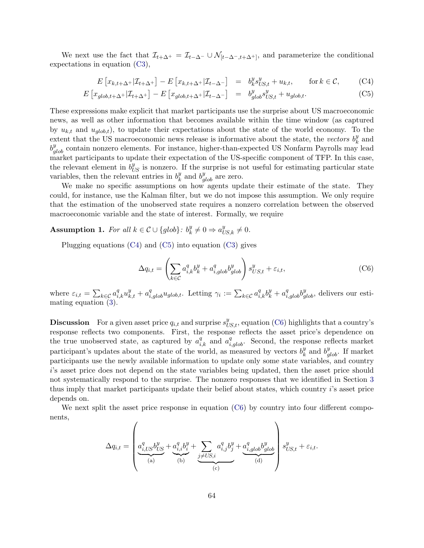We next use the fact that  $\mathcal{I}_{t+\Delta^+} = \mathcal{I}_{t-\Delta^-} \cup \mathcal{N}_{[t-\Delta^-, t+\Delta^+]},$  and parameterize the conditional expectations in equation [\(C3\)](#page-64-1),

<span id="page-65-0"></span>
$$
E\left[x_{k,t+\Delta^{+}}|\mathcal{I}_{t+\Delta^{+}}\right] - E\left[x_{k,t+\Delta^{+}}|\mathcal{I}_{t-\Delta^{-}}\right] = b_{k}^{y} s_{US,t}^{y} + u_{k,t}, \quad \text{for } k \in \mathcal{C},
$$
 (C4)

$$
E\left[x_{glob,t+\Delta^{+}}|\mathcal{I}_{t+\Delta^{+}}\right] - E\left[x_{glob,t+\Delta^{+}}|\mathcal{I}_{t-\Delta^{-}}\right] = b_{glob}^{y} s_{US,t}^{y} + u_{glob,t}.
$$
 (C5)

These expressions make explicit that market participants use the surprise about US macroeconomic news, as well as other information that becomes available within the time window (as captured by  $u_{k,t}$  and  $u_{alob,t}$ , to update their expectations about the state of the world economy. To the extent that the US macroeconomic news release is informative about the state, the vectors  $b_k^y$  $\frac{y}{k}$  and  $b_{glob}^y$  contain nonzero elements. For instance, higher-than-expected US Nonfarm Payrolls may lead market participants to update their expectation of the US-specific component of TFP. In this case, the relevant element in  $b_{US}^y$  is nonzero. If the surprise is not useful for estimating particular state variables, then the relevant entries in  $b_k^y$  $\frac{y}{k}$  and  $b_{glob}^y$  are zero.

We make no specific assumptions on how agents update their estimate of the state. They could, for instance, use the Kalman filter, but we do not impose this assumption. We only require that the estimation of the unobserved state requires a nonzero correlation between the observed macroeconomic variable and the state of interest. Formally, we require

#### <span id="page-65-2"></span>Assumption 1. For all  $k \in \mathcal{C} \cup \{glob\}$ :  $b_k^y$  $k \neq 0 \Rightarrow a_{US,k}^y \neq 0.$

Plugging equations [\(C4\)](#page-65-0) and [\(C5\)](#page-65-0) into equation [\(C3\)](#page-64-1) gives

<span id="page-65-1"></span>
$$
\Delta q_{i,t} = \left(\sum_{k \in \mathcal{C}} a_{i,k}^q b_k^y + a_{i,glob}^q b_{glob}^y\right) s_{US,t}^y + \varepsilon_{i,t},\tag{C6}
$$

where  $\varepsilon_{i,t} = \sum_{k \in \mathcal{C}} a_{i,k}^q u_{k,t}^y + a_{i,glob}^q u_{glob,t}$ . Letting  $\gamma_i := \sum_{k \in \mathcal{C}} a_{i,k}^q b_k^y + a_{i,glob}^q b_{glob}^y$ , delivers our estimating equation [\(3\)](#page-12-2).

**Discussion** For a given asset price  $q_{i,t}$  and surprise  $s_{US,t}^y$ , equation [\(C6\)](#page-65-1) highlights that a country's response reflects two components. First, the response reflects the asset price's dependence on the true unobserved state, as captured by  $a_{i,k}^q$  and  $a_{i,glob}^q$ . Second, the response reflects market participant's updates about the state of the world, as measured by vectors  $b_k^y$  $\frac{y}{k}$  and  $b_{glob}^y$ . If market participants use the newly available information to update only some state variables, and country i's asset price does not depend on the state variables being updated, then the asset price should not systematically respond to the surprise. The nonzero responses that we identified in Section [3](#page-10-0) thus imply that market participants update their belief about states, which country i's asset price depends on.

We next split the asset price response in equation [\(C6\)](#page-65-1) by country into four different components,  $\overline{1}$  $\overline{\phantom{0}}$ 

$$
\Delta q_{i,t} = \left(\underbrace{a_{i,US}^q b_{US}^y + a_{i,i}^q b_i^y}_{\text{(a)}} + \underbrace{\sum_{j \neq US,i} a_{i,j}^q b_j^y}_{\text{(c)}} + \underbrace{a_{i,glob}^q b_{glob}^y}_{\text{(d)}}\right) s_{US,t}^y + \varepsilon_{i,t}.
$$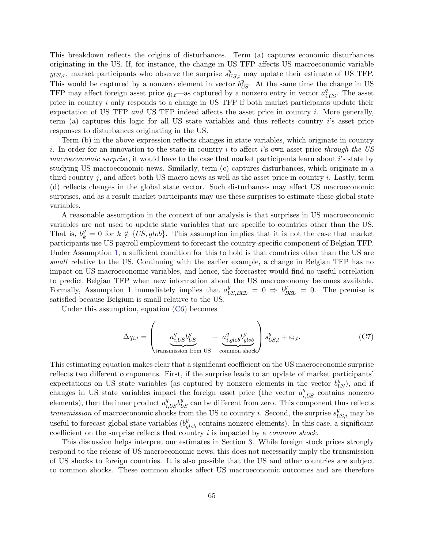This breakdown reflects the origins of disturbances. Term (a) captures economic disturbances originating in the US. If, for instance, the change in US TFP affects US macroeconomic variable  $y_{US,\tau}$ , market participants who observe the surprise  $s_{US,t}^y$  may update their estimate of US TFP. This would be captured by a nonzero element in vector  $b_{US}^{y}$ . At the same time the change in US TFP may affect foreign asset price  $q_{i,t}$ —as captured by a nonzero entry in vector  $a_{i,US}^q$ . The asset price in country i only responds to a change in US TFP if both market participants update their expectation of US TFP and US TFP indeed affects the asset price in country i. More generally, term (a) captures this logic for all US state variables and thus reflects country i's asset price responses to disturbances originating in the US.

Term (b) in the above expression reflects changes in state variables, which originate in country i. In order for an innovation to the state in country i to affect i's own asset price through the US macroeconomic surprise, it would have to the case that market participants learn about i's state by studying US macroeconomic news. Similarly, term (c) captures disturbances, which originate in a third country j, and affect both US macro news as well as the asset price in country i. Lastly, term (d) reflects changes in the global state vector. Such disturbances may affect US macroeconomic surprises, and as a result market participants may use these surprises to estimate these global state variables.

A reasonable assumption in the context of our analysis is that surprises in US macroeconomic variables are not used to update state variables that are specific to countries other than the US. That is,  $b_k^y = 0$  for  $k \notin \{US, glob\}$ . This assumption implies that it is not the case that market participants use US payroll employment to forecast the country-specific component of Belgian TFP. Under Assumption [1,](#page-65-2) a sufficient condition for this to hold is that countries other than the US are small relative to the US. Continuing with the earlier example, a change in Belgian TFP has no impact on US macroeconomic variables, and hence, the forecaster would find no useful correlation to predict Belgian TFP when new information about the US macroeconomy becomes available. Formally, Assumption [1](#page-65-2) immediately implies that  $a_{US,BEL}^y = 0 \Rightarrow b_{BEL}^y = 0$ . The premise is satisfied because Belgium is small relative to the US.

Under this assumption, equation [\(C6\)](#page-65-1) becomes

$$
\Delta q_{i,t} = \left(\underbrace{a_{i,US}^q b_{US}^y}_{\text{transmission from US}} + \underbrace{a_{i,glob}^q b_{glob}^y}_{\text{common shock}}\right) s_{US,t}^y + \varepsilon_{i,t}.
$$
 (C7)

This estimating equation makes clear that a significant coefficient on the US macroeconomic surprise reflects two different components. First, if the surprise leads to an update of market participants' expectations on US state variables (as captured by nonzero elements in the vector  $b_{US}^y$ ), and if changes in US state variables impact the foreign asset price (the vector  $a_{i,US}^q$  contains nonzero elements), then the inner product  $a_{i,US}^q b_{US}^y$  can be different from zero. This component thus reflects transmission of macroeconomic shocks from the US to country *i*. Second, the surprise  $s_{US,t}^y$  may be useful to forecast global state variables  $(b_{glob}^y$  contains nonzero elements). In this case, a significant coefficient on the surprise reflects that country i is impacted by a common shock.

This discussion helps interpret our estimates in Section [3.](#page-10-0) While foreign stock prices strongly respond to the release of US macroeconomic news, this does not necessarily imply the transmission of US shocks to foreign countries. It is also possible that the US and other countries are subject to common shocks. These common shocks affect US macroeconomic outcomes and are therefore